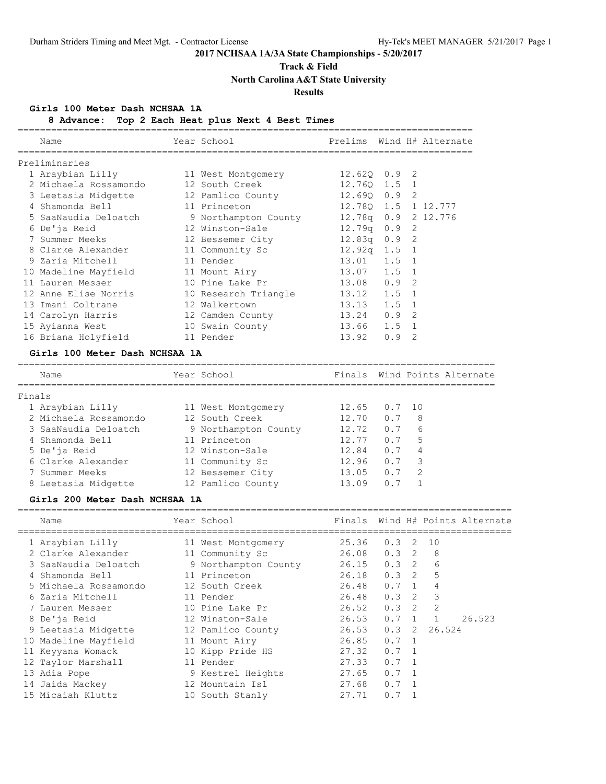**Track & Field**

**North Carolina A&T State University**

## **Results**

### **Girls 100 Meter Dash NCHSAA 1A**

**8 Advance: Top 2 Each Heat plus Next 4 Best Times**

|        | Name                                                                                                                                                                                                                 | Year School and the School and the School            | Prelims Wind H# Alternate |          |   |                              |
|--------|----------------------------------------------------------------------------------------------------------------------------------------------------------------------------------------------------------------------|------------------------------------------------------|---------------------------|----------|---|------------------------------|
|        | Preliminaries                                                                                                                                                                                                        |                                                      |                           |          |   |                              |
|        | 1 Araybian Lilly 11 West Montgomery 12.62Q 0.9 2                                                                                                                                                                     |                                                      |                           |          |   |                              |
|        | 2 Michaela Rossamondo 12 South Creek                                                                                                                                                                                 |                                                      | $12.76Q$ $1.5$ 1          |          |   |                              |
|        |                                                                                                                                                                                                                      |                                                      |                           |          |   |                              |
|        |                                                                                                                                                                                                                      |                                                      |                           |          |   |                              |
|        |                                                                                                                                                                                                                      |                                                      |                           |          |   |                              |
|        | 3 Leetasia Midgette 12 Pamlico County 12.690 0.9 2<br>4 Shamonda Bell 11 Princeton 12.780 1.5 1 12.777<br>5 SaaNaudia Deloatch 9 Northampton County 12.780 0.9 2 12.776<br>6 De'ja Reid 12 Winston-Sale 12.79q 0.9 2 |                                                      |                           |          |   |                              |
|        | 7 Summer Meeks 12 Bessemer City 12.83q 0.9 2                                                                                                                                                                         |                                                      |                           |          |   |                              |
|        | 8 Clarke Alexander 11 Community Sc 12.92q 1.5 1                                                                                                                                                                      |                                                      |                           |          |   |                              |
|        | 9 Zaria Mitchell 11 Pender                                                                                                                                                                                           |                                                      | 13.01 1.5 1               |          |   |                              |
|        | 10 Madeline Mayfield 11 Mount Airy 13.07 1.5 1                                                                                                                                                                       |                                                      |                           |          |   |                              |
|        | 11 Lauren Messer                                                                                                                                                                                                     |                                                      |                           |          | 2 |                              |
|        | 12 Anne Elise Norris 10 Research Triangle 13.12 1.5 1                                                                                                                                                                |                                                      |                           |          |   |                              |
|        | 13 Imani Coltrane                                                                                                                                                                                                    |                                                      | $13.13$ $1.5$ 1           |          |   |                              |
|        | 14 Carolyn Harris                                                                                                                                                                                                    | 12 Walkertown<br>12 Camden County<br>10 Swain County | 13.24 0.9 2               |          |   |                              |
|        | 15 Ayianna West                                                                                                                                                                                                      |                                                      | 13.66 1.5 1               |          |   |                              |
|        | 16 Briana Holyfield 11 Pender                                                                                                                                                                                        |                                                      | $13.92$ 0.9 2             |          |   |                              |
|        | Girls 100 Meter Dash NCHSAA 1A                                                                                                                                                                                       |                                                      |                           |          |   |                              |
|        |                                                                                                                                                                                                                      |                                                      |                           |          |   |                              |
|        | Name                                                                                                                                                                                                                 | Year School and the School                           |                           |          |   | Finals Wind Points Alternate |
| Finals |                                                                                                                                                                                                                      |                                                      |                           |          |   |                              |
|        | 1 Araybian Lilly 11 West Montgomery 12.65                                                                                                                                                                            |                                                      |                           | $0.7$ 10 |   |                              |
|        | 2 Michaela Rossamondo 12 South Creek                                                                                                                                                                                 |                                                      | 12.70                     | $0.7$ 8  |   |                              |
|        | 3 SaaNaudia Deloatch                                                                                                                                                                                                 |                                                      |                           | 0.76     |   |                              |
|        | 4 Shamonda Bell                                                                                                                                                                                                      | 9 Northampton County 12.72<br>11 Princeton 12.77     | 12.77                     | 0.75     |   |                              |
|        | 5 De'ja Reid                                                                                                                                                                                                         | 12 Winston-Sale                                      | 12.84                     | $0.7$ 4  |   |                              |
|        | 6 Clarke Alexander 11 Community Sc 12.96                                                                                                                                                                             |                                                      |                           | 0.7 3    |   |                              |
|        | 7 Summer Meeks                                                                                                                                                                                                       | 12 Bessemer City 13.05 0.7 2                         |                           |          |   |                              |
|        | 8 Leetasia Midgette 12 Pamlico County 13.09                                                                                                                                                                          |                                                      |                           | 0.7 1    |   |                              |
|        | Girls 200 Meter Dash NCHSAA 1A                                                                                                                                                                                       |                                                      |                           |          |   |                              |
|        |                                                                                                                                                                                                                      |                                                      |                           |          |   |                              |

| Name                  | Year School          | Finals              |               |                |                | Wind H# Points Alternate |
|-----------------------|----------------------|---------------------|---------------|----------------|----------------|--------------------------|
| 1 Araybian Lilly      | 11 West Montgomery   | 25.36               | 0.3           | 2              | 10             |                          |
| 2 Clarke Alexander    | 11 Community Sc      | 26.08               | $0.3$ 2       |                | -8             |                          |
| 3 SaaNaudia Deloatch  | 9 Northampton County | $26.15$ 0.3 2       |               |                | 6              |                          |
| 4 Shamonda Bell       | 11 Princeton         | $26.18$ 0.3 2       |               |                | 5              |                          |
| 5 Michaela Rossamondo | 12 South Creek       | 26.48               | $0.7 \quad 1$ |                | 4              |                          |
| 6 Zaria Mitchell      | 11 Pender            | 26.48 0.3 2         |               |                | 3              |                          |
| 7 Lauren Messer       | 10 Pine Lake Pr      | $26.52$ $0.3$ 2     |               |                | $\overline{2}$ |                          |
| 8 De'ja Reid          | 12 Winston-Sale      | 26.53               | 0.7           | 1              |                | 26.523                   |
| 9 Leetasia Midgette   | 12 Pamlico County    | $26.53$ 0.3         |               | 2              | 26.524         |                          |
| 10 Madeline Mayfield  | 11 Mount Airy        | 26.85               | $0.7 \quad 1$ |                |                |                          |
| 11 Keyyana Womack     | 10 Kipp Pride HS     | $27.32 \t 0.7 \t 1$ |               |                |                |                          |
| 12 Taylor Marshall    | 11 Pender            | 27.33               | $0.7 \quad 1$ |                |                |                          |
| 13 Adia Pope          | 9 Kestrel Heights    | 27.65               | $0.7 \quad 1$ |                |                |                          |
| 14 Jaida Mackey       | 12 Mountain Isl      | 27.68               | 0.7           | $\overline{1}$ |                |                          |
| 15 Micaiah Kluttz     | 10 South Stanly      | 27.71               | 0.7           |                |                |                          |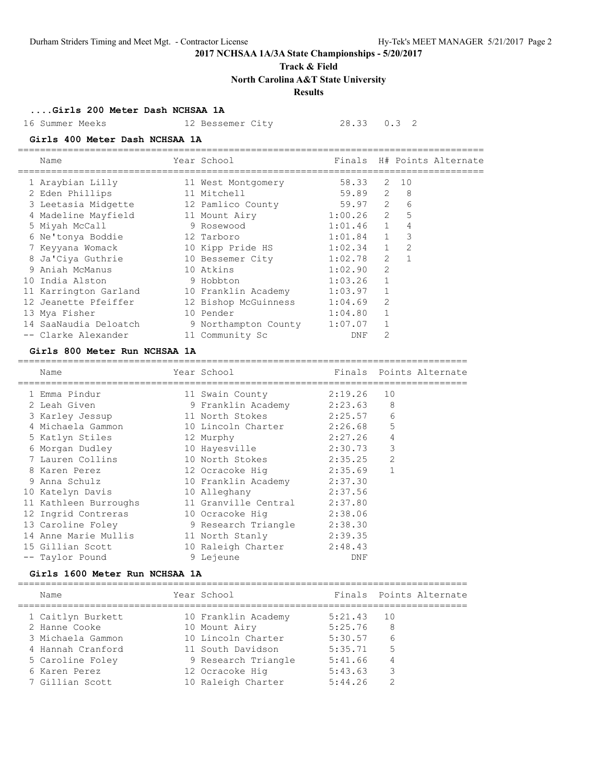### **Track & Field**

**North Carolina A&T State University**

## **Results**

**....Girls 200 Meter Dash NCHSAA 1A**

16 Summer Meeks 12 Bessemer City 28.33 0.3 2

### **Girls 400 Meter Dash NCHSAA 1A**

| Name                  | Year School          |               |                |      | Finals H# Points Alternate |
|-----------------------|----------------------|---------------|----------------|------|----------------------------|
| 1 Araybian Lilly      | 11 West Montgomery   | 58.33         |                | 2 10 |                            |
| 2 Eden Phillips       | 11 Mitchell          | 59.89 2       |                | - 8  |                            |
| 3 Leetasia Midgette   | 12 Pamlico County    | 59.97 2       |                | 6    |                            |
| 4 Madeline Mayfield   | 11 Mount Airy        | $1:00.26$ 2 5 |                |      |                            |
| 5 Miyah McCall        | 9 Rosewood           | $1:01.46$ 1   |                | 4    |                            |
| 6 Ne'tonya Boddie     | 12 Tarboro           | $1:01.84$ 1   |                | 3    |                            |
| 7 Keyyana Womack      | 10 Kipp Pride HS     | $1:02.34$ 1   |                | 2    |                            |
| 8 Ja'Ciya Guthrie     | 10 Bessemer City     | $1:02.78$ 2   |                |      |                            |
| 9 Aniah McManus       | 10 Atkins            | 1:02.90       | $\mathfrak{D}$ |      |                            |
| 10 India Alston       | 9 Hobbton            | 1:03.26       |                |      |                            |
| 11 Karrington Garland | 10 Franklin Academy  | 1:03.97       |                |      |                            |
| 12 Jeanette Pfeiffer  | 12 Bishop McGuinness | 1:04.69       | 2              |      |                            |
| 13 Mya Fisher         | 10 Pender            | 1:04.80       |                |      |                            |
| 14 SaaNaudia Deloatch | 9 Northampton County | 1:07.07       |                |      |                            |
| -- Clarke Alexander   | 11 Community Sc      | DNF           | 2              |      |                            |

====================================================================================

### **Girls 800 Meter Run NCHSAA 1A**

| Name                  | Year School                 |         |                | Finals Points Alternate |
|-----------------------|-----------------------------|---------|----------------|-------------------------|
| 1 Emma Pindur         | 11 Swain County             | 2:19.26 | 10             |                         |
| 2 Leah Given          | 9 Franklin Academy          | 2:23.63 | 8              |                         |
| 3 Karley Jessup       | 11 North Stokes             | 2:25.57 | 6              |                         |
| 4 Michaela Gammon     | 10 Lincoln Charter 2:26.68  |         | 5              |                         |
| 5 Katlyn Stiles       | 12 Murphy                   | 2:27.26 | 4              |                         |
| 6 Morgan Dudley       | 10 Hayesville               | 2:30.73 | 3              |                         |
| 7 Lauren Collins      | 10 North Stokes             | 2:35.25 | $\overline{2}$ |                         |
| 8 Karen Perez         | 12 Ocracoke Hiq             | 2:35.69 |                |                         |
| 9 Anna Schulz         | 10 Franklin Academy 2:37.30 |         |                |                         |
| 10 Katelyn Davis      | 10 Alleghany                | 2:37.56 |                |                         |
| 11 Kathleen Burroughs | 11 Granville Central        | 2:37.80 |                |                         |
| 12 Ingrid Contreras   | 10 Ocracoke Hig             | 2:38.06 |                |                         |
| 13 Caroline Foley     | 9 Research Triangle         | 2:38.30 |                |                         |
| 14 Anne Marie Mullis  | 11 North Stanly             | 2:39.35 |                |                         |
| 15 Gillian Scott      | 10 Raleigh Charter          | 2:48.43 |                |                         |
| -- Taylor Pound       | 9 Lejeune                   | DNF     |                |                         |
|                       |                             |         |                |                         |

### **Girls 1600 Meter Run NCHSAA 1A**

=================================================================================

| Name              | Year School         |         | Finals Points Alternate |
|-------------------|---------------------|---------|-------------------------|
| 1 Caitlyn Burkett | 10 Franklin Academy | 5:21.43 | 10                      |
| 2 Hanne Cooke     | 10 Mount Airy       | 5:25.76 | 8                       |
| 3 Michaela Gammon | 10 Lincoln Charter  | 5:30.57 | 6                       |
| 4 Hannah Cranford | 11 South Davidson   | 5:35.71 | 5                       |
| 5 Caroline Foley  | 9 Research Triangle | 5:41.66 | 4                       |
| 6 Karen Perez     | 12 Ocracoke Hig     | 5:43.63 | 3                       |
| 7 Gillian Scott   | 10 Raleigh Charter  | 5:44.26 |                         |
|                   |                     |         |                         |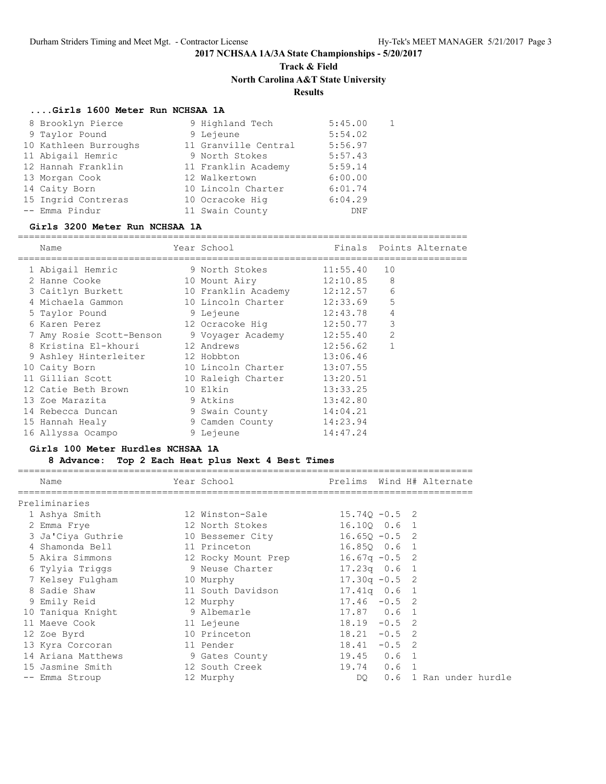## **Track & Field North Carolina A&T State University**

## **Results**

### **....Girls 1600 Meter Run NCHSAA 1A**

| 8 Brooklyn Pierce     | 9 Highland Tech      | 5:45.00 |  |
|-----------------------|----------------------|---------|--|
| 9 Taylor Pound        | 9 Lejeune            | 5:54.02 |  |
| 10 Kathleen Burroughs | 11 Granville Central | 5:56.97 |  |
| 11 Abigail Hemric     | 9 North Stokes       | 5:57.43 |  |
| 12 Hannah Franklin    | 11 Franklin Academy  | 5:59.14 |  |
| 13 Morgan Cook        | 12 Walkertown        | 6:00.00 |  |
| 14 Caity Born         | 10 Lincoln Charter   | 6:01.74 |  |
| 15 Ingrid Contreras   | 10 Ocracoke Hig      | 6:04.29 |  |
| -- Emma Pindur        | 11 Swain County      | DNF     |  |

### **Girls 3200 Meter Run NCHSAA 1A**

=================================================================================

| Name                     | Year School                  |          |                | Finals Points Alternate |
|--------------------------|------------------------------|----------|----------------|-------------------------|
| 1 Abigail Hemric         | 9 North Stokes               | 11:55.40 | 10             |                         |
| 2 Hanne Cooke            | 10 Mount Airy                | 12:10.85 | 8              |                         |
| 3 Caitlyn Burkett        | 10 Franklin Academy 12:12.57 |          | 6              |                         |
| 4 Michaela Gammon        | 10 Lincoln Charter           | 12:33.69 | 5              |                         |
| 5 Taylor Pound           | 9 Lejeune                    | 12:43.78 | 4              |                         |
| 6 Karen Perez            |                              |          | 3              |                         |
| 7 Amy Rosie Scott-Benson | 9 Voyager Academy            | 12:55.40 | $\overline{2}$ |                         |
| 8 Kristina El-khouri     | 12 Andrews                   | 12:56.62 | $\mathbf{1}$   |                         |
| 9 Ashley Hinterleiter    | 12 Hobbton                   | 13:06.46 |                |                         |
| 10 Caity Born            | 10 Lincoln Charter           | 13:07.55 |                |                         |
| 11 Gillian Scott         | 10 Raleigh Charter           | 13:20.51 |                |                         |
| 12 Catie Beth Brown      | 10 Elkin                     | 13:33.25 |                |                         |
| 13 Zoe Marazita          | 9 Atkins                     | 13:42.80 |                |                         |
| 14 Rebecca Duncan        | 9 Swain County               | 14:04.21 |                |                         |
| 15 Hannah Healy          | 9 Camden County              | 14:23.94 |                |                         |
| 16 Allyssa Ocampo        | 9 Lejeune                    | 14:47.24 |                |                         |

### **Girls 100 Meter Hurdles NCHSAA 1A**

### **8 Advance: Top 2 Each Heat plus Next 4 Best Times**

| Name                          | Year School Near School           |                  |  | Prelims Wind H# Alternate |
|-------------------------------|-----------------------------------|------------------|--|---------------------------|
| Preliminaries                 |                                   |                  |  |                           |
| 1 Ashya Smith                 | 12 Winston-Sale                   | $15.74Q - 0.5$ 2 |  |                           |
| 2 Emma Frye                   | 12 North Stokes                   | 16.100 0.6 1     |  |                           |
| 3 Ja'Ciya Guthrie             | 10 Bessemer City                  | $16.650 - 0.5$ 2 |  |                           |
| 4 Shamonda Bell               | 11 Princeton                      | 16.850 0.6 1     |  |                           |
| 5 Akira Simmons               | 12 Rocky Mount Prep 16.67q -0.5 2 |                  |  |                           |
| 6 Tylyia Triggs               | 9 Neuse Charter                   | $17.23q$ 0.6 1   |  |                           |
| 7 Kelsey Fulgham<br>10 Murphy |                                   | $17.30q - 0.5$ 2 |  |                           |
| 8 Sadie Shaw                  | 11 South Davidson                 | 17.41q 0.6 1     |  |                           |
| 9 Emily Reid                  | 12 Murphy                         | $17.46 - 0.5$ 2  |  |                           |
| 10 Taniqua Knight             | 9 Albemarle                       | 17.87 0.6 1      |  |                           |
| 11 Maeve Cook                 | 11 Lejeune                        | $18.19 - 0.5$ 2  |  |                           |
| 12 Zoe Byrd                   | 10 Princeton                      | $18.21 - 0.5$ 2  |  |                           |
| 13 Kyra Corcoran              | 11 Pender                         | $18.41 - 0.5$ 2  |  |                           |
| 14 Ariana Matthews            | 9 Gates County                    | $19.45$ 0.6 1    |  |                           |
| 15 Jasmine Smith              | 12 South Creek                    | $19.74$ 0.6 1    |  |                           |
| -- Emma Stroup                | 12 Murphy                         |                  |  | DO 0.6 1 Ran under hurdle |
|                               |                                   |                  |  |                           |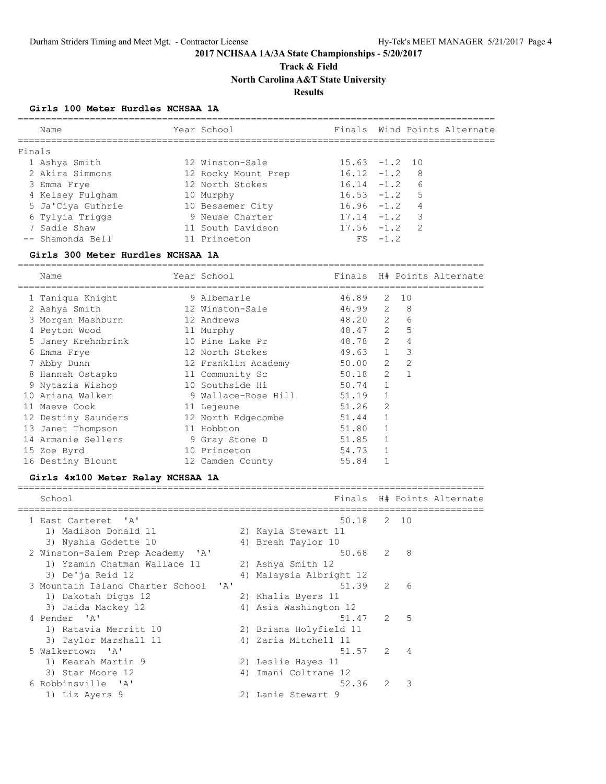**Track & Field**

**North Carolina A&T State University**

## **Results**

### **Girls 100 Meter Hurdles NCHSAA 1A**

|        | Name              | Year School         |                  |           |                         | Finals Wind Points Alternate |
|--------|-------------------|---------------------|------------------|-----------|-------------------------|------------------------------|
| Finals |                   |                     |                  |           |                         |                              |
|        | 1 Ashya Smith     | 12 Winston-Sale     | $15.63 - 1.2$ 10 |           |                         |                              |
|        | 2 Akira Simmons   | 12 Rocky Mount Prep | $16.12 - 1.2$    |           | - 8                     |                              |
|        | 3 Emma Frye       | 12 North Stokes     | $16.14 - 1.2$    |           | 6                       |                              |
|        | 4 Kelsey Fulgham  | 10 Murphy           | $16.53 - 1.2$    |           | .5                      |                              |
|        | 5 Ja'Ciya Guthrie | 10 Bessemer City    | $16.96 - 1.2$    |           | 4                       |                              |
|        | 6 Tylyia Triggs   | 9 Neuse Charter     | $17.14 - 1.2$    |           | $\overline{\mathbf{3}}$ |                              |
|        | 7 Sadie Shaw      | 11 South Davidson   | $17.56 - 1.2$    |           | $\overline{2}$          |                              |
|        | -- Shamonda Bell  | 11 Princeton        |                  | $FS -1.2$ |                         |                              |
|        |                   |                     |                  |           |                         |                              |

### **Girls 300 Meter Hurdles NCHSAA 1A**

====================================================================================

| Name                | Year School         | Finals  |   | H# Points Alternate |
|---------------------|---------------------|---------|---|---------------------|
| 1 Taniqua Knight    | 9 Albemarle         | 46.89   | 2 | 10                  |
| 2 Ashya Smith       | 12 Winston-Sale     | 46.99 2 |   | 8                   |
| 3 Morgan Mashburn   | 12 Andrews          | 48.20 2 |   | 6                   |
| 4 Peyton Wood       | 11 Murphy           | 48.47 2 |   | 5                   |
| 5 Janey Krehnbrink  | 10 Pine Lake Pr     | 48.78 2 |   | 4                   |
| 6 Emma Frye         | 12 North Stokes     | 49.63 1 |   | 3                   |
| 7 Abby Dunn         | 12 Franklin Academy | 50.00 2 |   | 2                   |
| 8 Hannah Ostapko    | 11 Community Sc     | 50.18   | 2 |                     |
| 9 Nytazia Wishop    | 10 Southside Hi     | 50.74   |   |                     |
| 10 Ariana Walker    | 9 Wallace-Rose Hill | 51.19   |   |                     |
| 11 Maeve Cook       | 11 Lejeune          | 51.26   | 2 |                     |
| 12 Destiny Saunders | 12 North Edgecombe  | 51.44   |   |                     |
| 13 Janet Thompson   | 11 Hobbton          | 51.80   |   |                     |
| 14 Armanie Sellers  | 9 Gray Stone D      | 51.85   |   |                     |
| 15 Zoe Byrd         | 10 Princeton        | 54.73   |   |                     |
| 16 Destiny Blount   | 12 Camden County    | 55.84   |   |                     |

## **Girls 4x100 Meter Relay NCHSAA 1A**

| School                               |    |                         |   |                | Finals H# Points Alternate |
|--------------------------------------|----|-------------------------|---|----------------|----------------------------|
| 1 East Carteret 'A'                  |    | 50.18 2 10              |   |                |                            |
| 1) Madison Donald 11                 |    | 2) Kayla Stewart 11     |   |                |                            |
| 3) Nyshia Godette 10                 |    | 4) Breah Taylor 10      |   |                |                            |
| 2 Winston-Salem Prep Academy 'A'     |    | 50.68 2                 |   | - 8            |                            |
| 1) Yzamin Chatman Wallace 11         |    | 2) Ashya Smith 12       |   |                |                            |
| 3) De'ja Reid 12                     |    | 4) Malaysia Albright 12 |   |                |                            |
| 3 Mountain Island Charter School 'A' |    | $51.39$ 2               |   | - 6            |                            |
| 1) Dakotah Diggs 12                  |    | 2) Khalia Byers 11      |   |                |                            |
| 3) Jaida Mackey 12                   |    | 4) Asia Washington 12   |   |                |                            |
| 4 Pender 'A'                         |    | $51.47$ 2 5             |   |                |                            |
| 1) Ratavia Merritt 10                |    | 2) Briana Holyfield 11  |   |                |                            |
| 3) Taylor Marshall 11                |    | 4) Zaria Mitchell 11    |   |                |                            |
| 5 Walkertown 'A'                     |    | 51.57 2                 |   | $\overline{4}$ |                            |
| 1) Kearah Martin 9                   |    | 2) Leslie Hayes 11      |   |                |                            |
| 3) Star Moore 12                     | 4) | Imani Coltrane 12       |   |                |                            |
| 6 Robbinsville 'A'                   |    | 52.36                   | 2 | 3              |                            |
| 1) Liz Ayers 9                       |    | 2) Lanie Stewart 9      |   |                |                            |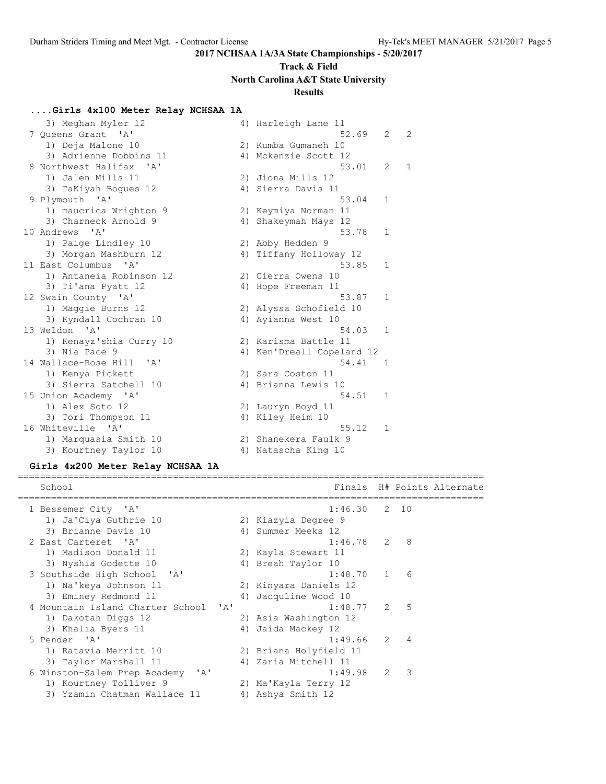## **Track & Field North Carolina A&T State University**

## **Results**

### **....Girls 4x100 Meter Relay NCHSAA 1A**

| 3) Meghan Myler 12                                |    | 4) Harleigh Lane 11       |              |   |
|---------------------------------------------------|----|---------------------------|--------------|---|
| 7 Oueens Grant 'A'                                |    | 52.69                     | 2            | 2 |
| 1) Deja Malone 10                                 |    | 2) Kumba Gumaneh 10       |              |   |
| 3) Adrienne Dobbins 11                            |    | 4) Mckenzie Scott 12      |              |   |
| 8 Northwest Halifax<br>$^{\prime}$ A $^{\prime}$  |    | 53.01                     | 2            | 1 |
| 1) Jalen Mills 11                                 |    | 2) Jiona Mills 12         |              |   |
| 3) TaKiyah Boques 12                              |    | 4) Sierra Davis 11        |              |   |
| 9 Plymouth 'A'                                    |    | 53.04                     | $\mathbf{1}$ |   |
| 1) maucrica Wrighton 9                            |    | 2) Keymiya Norman 11      |              |   |
| 3) Charneck Arnold 9                              |    | 4) Shakeymah Mays 12      |              |   |
| 10 Andrews<br>$\mathsf{I} \wedge \mathsf{I}$      |    | 53.78                     | 1            |   |
| 1) Paige Lindley 10                               |    | 2) Abby Hedden 9          |              |   |
| 3) Morgan Mashburn 12                             |    | 4) Tiffany Holloway 12    |              |   |
| 11 East Columbus<br>$\mathsf{A}$                  |    | 53.85                     | $\mathbf{1}$ |   |
| 1) Antaneia Robinson 12                           |    | 2) Cierra Owens 10        |              |   |
| 3) Ti'ana Pyatt 12                                |    | 4) Hope Freeman 11        |              |   |
| 12 Swain County 'A'                               |    | 53.87                     | 1            |   |
| 1) Maggie Burns 12                                |    | 2) Alyssa Schofield 10    |              |   |
| 3) Kyndall Cochran 10                             |    | 4) Ayianna West 10        |              |   |
| 13 Weldon 'A'                                     |    | 54.03                     | $\mathbf{1}$ |   |
| 1) Kenayz'shia Curry 10                           |    | 2) Karisma Battle 11      |              |   |
| 3) Nia Pace 9                                     |    | 4) Ken'Dreall Copeland 12 |              |   |
| 14 Wallace-Rose Hill<br>$^{\prime}$ A $^{\prime}$ |    | 54.41                     | 1            |   |
| 1) Kenya Pickett                                  |    | 2) Sara Coston 11         |              |   |
| 3) Sierra Satchell 10                             |    | 4) Brianna Lewis 10       |              |   |
| 15 Union Academy 'A'                              |    | 54.51                     | 1            |   |
| 1) Alex Soto 12                                   |    | 2) Lauryn Boyd 11         |              |   |
| 3) Tori Thompson 11                               |    | 4) Kiley Heim 10          |              |   |
| 16 Whiteville<br>$\mathsf{A}$                     |    | 55.12                     | $\mathbf{1}$ |   |
| 1) Marquasia Smith 10                             |    | 2) Shanekera Faulk 9      |              |   |
| 3) Kourtney Taylor 10                             | 4) | Natascha King 10          |              |   |

### **Girls 4x200 Meter Relay NCHSAA 1A**

==================================================================================== School **Finals H# Points Alternate** ==================================================================================== 1 Bessemer City 'A' 1:46.30 2 10 1) Ja'Ciya Guthrie 10 2) Kiazyia Degree 9 3) Brianne Davis 10 (4) Summer Meeks 12 2 East Carteret 'A' 1:46.78 2 8 1) Madison Donald 11 2) Kayla Stewart 11 3) Nyshia Godette 10 <a>
4) Breah Taylor 10 3 Southside High School 'A' 1:48.70 1 6 1) Na'keya Johnson 11 2) Kinyara Daniels 12 3) Eminey Redmond 11 (4) Jacquline Wood 10 4 Mountain Island Charter School 'A' 1:48.77 2 5 1) Dakotah Diggs 12 2) Asia Washington 12 3) Khalia Byers 11 4) Jaida Mackey 12 5 Pender 'A' 1:49.66 2 4 1) Ratavia Merritt 10 2) Briana Holyfield 11 3) Taylor Marshall 11  $\hskip1cm$  4) Zaria Mitchell 11 6 Winston-Salem Prep Academy 'A' 1:49.98 2 3 1) Kourtney Tolliver 9 2) Ma'Kayla Terry 12 3) Yzamin Chatman Wallace 11  $\hskip10mm$  4) Ashya Smith 12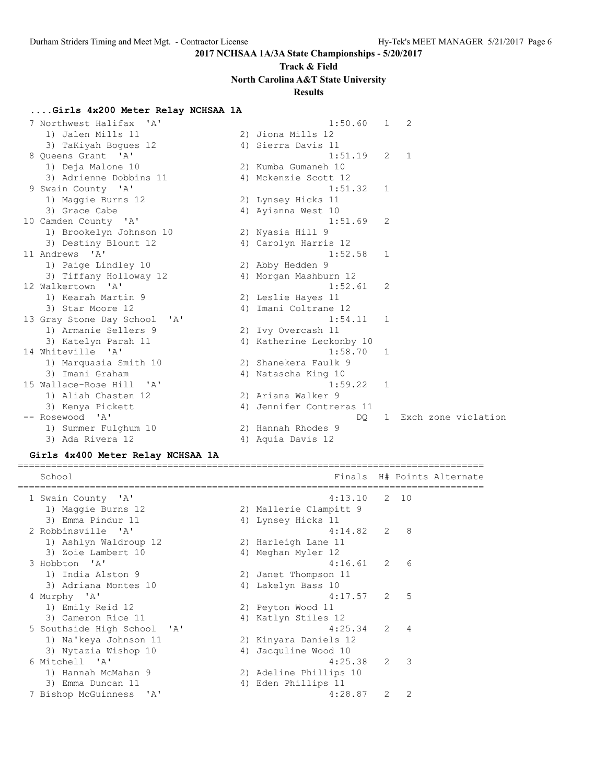## **Track & Field North Carolina A&T State University**

## **Results**

====================================================================================

## **....Girls 4x200 Meter Relay NCHSAA 1A**

| Northwest Halifax<br>$\mathsf{I} \wedge \mathsf{I}$ | 1:50.60                  | 1              | 2 |                     |  |
|-----------------------------------------------------|--------------------------|----------------|---|---------------------|--|
| 1) Jalen Mills 11                                   | 2) Jiona Mills 12        |                |   |                     |  |
| 3) TaKiyah Boques 12                                | 4) Sierra Davis 11       |                |   |                     |  |
| 8 Oueens Grant 'A'                                  | 1:51.19                  | $\overline{2}$ | 1 |                     |  |
| 1) Deja Malone 10                                   | 2) Kumba Gumaneh 10      |                |   |                     |  |
| 3) Adrienne Dobbins 11                              | 4) Mckenzie Scott 12     |                |   |                     |  |
| 9 Swain County 'A'                                  | 1:51.32                  | $\mathbf{1}$   |   |                     |  |
| 1) Maggie Burns 12                                  | 2) Lynsey Hicks 11       |                |   |                     |  |
| 3) Grace Cabe                                       | 4) Ayianna West 10       |                |   |                     |  |
| 10 Camden County 'A'                                | 1:51.69                  | 2              |   |                     |  |
| 1) Brookelyn Johnson 10                             | 2) Nyasia Hill 9         |                |   |                     |  |
| 3) Destiny Blount 12                                | 4) Carolyn Harris 12     |                |   |                     |  |
| 11 Andrews 'A'                                      | 1:52.58                  | $\mathbf{1}$   |   |                     |  |
| 1) Paige Lindley 10                                 | 2) Abby Hedden 9         |                |   |                     |  |
| 3) Tiffany Holloway 12                              | 4) Morgan Mashburn 12    |                |   |                     |  |
| 12 Walkertown<br>$^{\prime}$ A $^{\prime}$          | 1:52.61                  | 2              |   |                     |  |
| 1) Kearah Martin 9                                  | 2) Leslie Hayes 11       |                |   |                     |  |
| 3) Star Moore 12                                    | 4) Imani Coltrane 12     |                |   |                     |  |
| 13 Gray Stone Day School<br>' A '                   | $1:54.11$ 1              |                |   |                     |  |
| 1) Armanie Sellers 9                                | 2) Ivy Overcash 11       |                |   |                     |  |
| 3) Katelyn Parah 11                                 | 4) Katherine Leckonby 10 |                |   |                     |  |
| 14 Whiteville 'A'                                   | 1:58.70                  | $\mathbf{1}$   |   |                     |  |
| 1) Marquasia Smith 10                               | 2) Shanekera Faulk 9     |                |   |                     |  |
| 3) Imani Graham                                     | 4) Natascha King 10      |                |   |                     |  |
| 15 Wallace-Rose Hill 'A'                            | 1:59.22                  | <sup>1</sup>   |   |                     |  |
| 1) Aliah Chasten 12                                 | 2) Ariana Walker 9       |                |   |                     |  |
| 3) Kenya Pickett                                    | 4) Jennifer Contreras 11 |                |   |                     |  |
| -- Rosewood<br>$\overline{A}$                       | DQ.                      | $\mathbf{1}$   |   | Exch zone violation |  |
| 1) Summer Fulghum 10                                | 2) Hannah Rhodes 9       |                |   |                     |  |
| 3) Ada Rivera 12                                    | 4) Aquia Davis 12        |                |   |                     |  |

### **Girls 4x400 Meter Relay NCHSAA 1A**

| School                      |    |                        |   |                          | Finals H# Points Alternate |
|-----------------------------|----|------------------------|---|--------------------------|----------------------------|
| 1 Swain County 'A'          |    | $4:13.10$ 2 10         |   |                          |                            |
| 1) Maggie Burns 12          |    | 2) Mallerie Clampitt 9 |   |                          |                            |
| 3) Emma Pindur 11           |    | 4) Lynsey Hicks 11     |   |                          |                            |
| 2 Robbinsville 'A'          |    | 4:14.82 2              |   | - 8                      |                            |
| 1) Ashlyn Waldroup 12       |    | 2) Harleigh Lane 11    |   |                          |                            |
| 3) Zoie Lambert 10          |    | 4) Meghan Myler 12     |   |                          |                            |
| 3 Hobbton 'A'               |    | $4:16.61$ 2 6          |   |                          |                            |
| 1) India Alston 9           |    | 2) Janet Thompson 11   |   |                          |                            |
| 3) Adriana Montes 10        |    | 4) Lakelyn Bass 10     |   |                          |                            |
| 4 Murphy 'A'                |    | $4:17.57$ 2 5          |   |                          |                            |
| 1) Emily Reid 12            |    | 2) Peyton Wood 11      |   |                          |                            |
| 3) Cameron Rice 11          |    | 4) Katlyn Stiles 12    |   |                          |                            |
| 5 Southside High School 'A' |    | 4:25.34                | 2 | $\overline{4}$           |                            |
| 1) Na'keya Johnson 11       |    | 2) Kinyara Daniels 12  |   |                          |                            |
| 3) Nytazia Wishop 10        | 4) | Jacquline Wood 10      |   |                          |                            |
| 6 Mitchell 'A'              |    | 4:25.38                | 2 | $\overline{\phantom{a}}$ |                            |
| 1) Hannah McMahan 9         |    | 2) Adeline Phillips 10 |   |                          |                            |
| 3) Emma Duncan 11           | 4) | Eden Phillips 11       |   |                          |                            |
| 7 Bishop McGuinness 'A'     |    | 4:28.87                | 2 | 2                        |                            |
|                             |    |                        |   |                          |                            |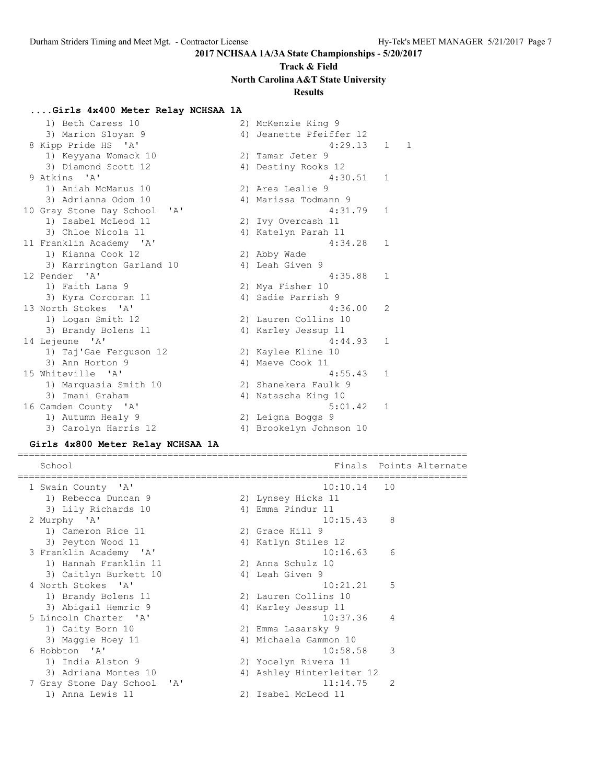## **Track & Field North Carolina A&T State University**

## **Results**

### **....Girls 4x400 Meter Relay NCHSAA 1A**

| 1) Beth Caress 10                        | 2) McKenzie King 9      |              |              |
|------------------------------------------|-------------------------|--------------|--------------|
| 3) Marion Sloyan 9                       | 4) Jeanette Pfeiffer 12 |              |              |
| 8 Kipp Pride HS 'A'                      | 4:29.13                 | 1            | $\mathbf{1}$ |
| 1) Keyyana Womack 10                     | 2) Tamar Jeter 9        |              |              |
| 3) Diamond Scott 12                      | 4) Destiny Rooks 12     |              |              |
| 9 Atkins 'A'                             | 4:30.51                 | $\mathbf{1}$ |              |
| 1) Aniah McManus 10                      | 2) Area Leslie 9        |              |              |
| 3) Adrianna Odom 10                      | 4) Marissa Todmann 9    |              |              |
| $\mathsf{A}$<br>10 Gray Stone Day School | 4:31.79                 | $\mathbf{1}$ |              |
| 1) Isabel McLeod 11                      | 2) Ivy Overcash 11      |              |              |
| 3) Chloe Nicola 11                       | 4) Katelyn Parah 11     |              |              |
| 11 Franklin Academy 'A'                  | 4:34.28                 | $\mathbf{1}$ |              |
| 1) Kianna Cook 12                        | 2) Abby Wade            |              |              |
| 3) Karrington Garland 10                 | 4) Leah Given 9         |              |              |
| 12 Pender 'A'                            | 4:35.88                 | $\mathbf{1}$ |              |
| 1) Faith Lana 9                          | 2) Mya Fisher 10        |              |              |
| 3) Kyra Corcoran 11                      | 4) Sadie Parrish 9      |              |              |
| 13 North Stokes 'A'                      | 4:36.00                 | 2            |              |
| 1) Logan Smith 12                        | 2) Lauren Collins 10    |              |              |
| 3) Brandy Bolens 11                      | 4) Karley Jessup 11     |              |              |
| 14 Lejeune 'A'                           | 4:44.93                 | $\mathbf{1}$ |              |
| 1) Taj'Gae Ferquson 12                   | 2) Kaylee Kline 10      |              |              |
| 3) Ann Horton 9                          | 4) Maeve Cook 11        |              |              |
| 15 Whiteville 'A'                        | 4:55.43                 | $\mathbf{1}$ |              |
| 1) Marquasia Smith 10                    | 2) Shanekera Faulk 9    |              |              |
| 3) Imani Graham                          | 4) Natascha King 10     |              |              |
| 16 Camden County 'A'                     | 5:01.42                 | $\mathbf{1}$ |              |
| 1) Autumn Healy 9                        | 2) Leigna Boggs 9       |              |              |
| 3) Carolyn Harris 12                     | 4) Brookelyn Johnson 10 |              |              |

### **Girls 4x800 Meter Relay NCHSAA 1A**

================================================================================= School School **Finals** Points Alternate ================================================================================= 1 Swain County 'A' 10:10.14 10 1) Rebecca Duncan 9 2) Lynsey Hicks 11 3) Lily Richards 10 4) Emma Pindur 11 2 Murphy 'A' 10:15.43 8 1) Cameron Rice 11 2) Grace Hill 9 3) Peyton Wood 11 4) Katlyn Stiles 12 3 Franklin Academy 'A' 10:16.63 6 1) Hannah Franklin 11 2) Anna Schulz 10 3) Caitlyn Burkett 10 <a>
4) Leah Given 9 4 North Stokes 'A' 10:21.21 5 1) Brandy Bolens 11 2) Lauren Collins 10 3) Abigail Hemric 9 (4) Karley Jessup 11 5 Lincoln Charter 'A' 10:37.36 4 1) Caity Born 10 2) Emma Lasarsky 9 3) Maggie Hoey 11 4) Michaela Gammon 10 6 Hobbton 'A' 10:58.58 3 1) India Alston 9 2) Yocelyn Rivera 11 3) Adriana Montes 10 4) Ashley Hinterleiter 12 7 Gray Stone Day School 'A' 11:14.75 2 1) Anna Lewis 11 2) Isabel McLeod 11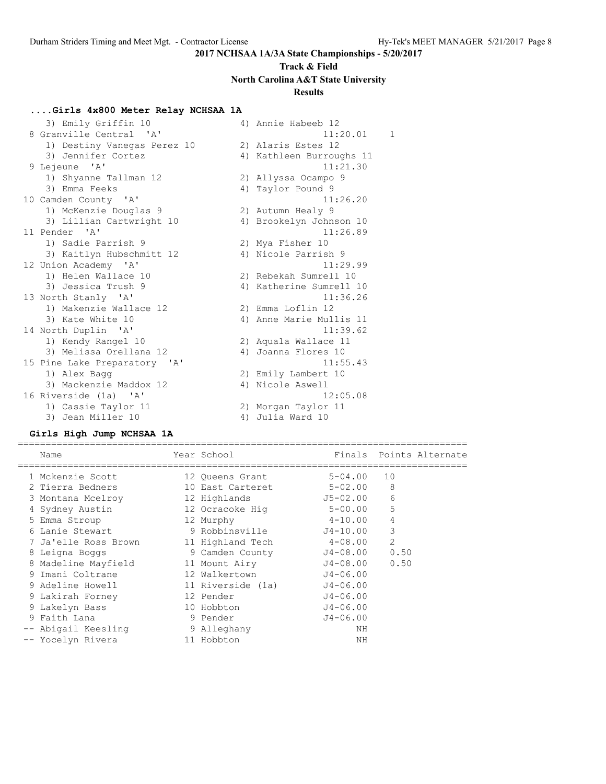## **Track & Field North Carolina A&T State University Results**

## **....Girls 4x800 Meter Relay NCHSAA 1A**

| 3) Emily Griffin 10          |    | 4) Annie Habeeb 12       |              |
|------------------------------|----|--------------------------|--------------|
| 8 Granville Central 'A'      |    | 11:20.01                 | $\mathbf{1}$ |
| 1) Destiny Vanegas Perez 10  |    | 2) Alaris Estes 12       |              |
| 3) Jennifer Cortez           |    | 4) Kathleen Burroughs 11 |              |
| 9 Lejeune 'A'                |    | 11:21.30                 |              |
| 1) Shyanne Tallman 12        |    | 2) Allyssa Ocampo 9      |              |
| 3) Emma Feeks                |    | 4) Taylor Pound 9        |              |
| 10 Camden County 'A'         |    | 11:26.20                 |              |
| 1) McKenzie Douglas 9        |    | 2) Autumn Healy 9        |              |
| 3) Lillian Cartwright 10     |    | 4) Brookelyn Johnson 10  |              |
| 11 Pender 'A'                |    | 11:26.89                 |              |
| 1) Sadie Parrish 9           |    | 2) Mya Fisher 10         |              |
| 3) Kaitlyn Hubschmitt 12     |    | 4) Nicole Parrish 9      |              |
| 12 Union Academy 'A'         |    | 11:29.99                 |              |
| 1) Helen Wallace 10          |    | 2) Rebekah Sumrell 10    |              |
| 3) Jessica Trush 9           |    | 4) Katherine Sumrell 10  |              |
| 13 North Stanly 'A'          |    | 11:36.26                 |              |
| 1) Makenzie Wallace 12       |    | 2) Emma Loflin 12        |              |
| 3) Kate White 10             |    | 4) Anne Marie Mullis 11  |              |
| 14 North Duplin 'A'          |    | 11:39.62                 |              |
| 1) Kendy Rangel 10           |    | 2) Aquala Wallace 11     |              |
| 3) Melissa Orellana 12       | 4) | Joanna Flores 10         |              |
| 15 Pine Lake Preparatory 'A' |    | 11:55.43                 |              |
| 1) Alex Bagg                 |    | 2) Emily Lambert 10      |              |
| 3) Mackenzie Maddox 12       |    | 4) Nicole Aswell         |              |
| 16 Riverside (1a) 'A'        |    | 12:05.08                 |              |
| 1) Cassie Taylor 11          |    | 2) Morgan Taylor 11      |              |
| 3) Jean Miller 10            |    | 4) Julia Ward 10         |              |

### **Girls High Jump NCHSAA 1A**

|    | Name                 | Year School       |              |                | Finals Points Alternate |
|----|----------------------|-------------------|--------------|----------------|-------------------------|
|    | 1 Mckenzie Scott     | 12 Queens Grant   | $5 - 04.00$  | 10             |                         |
|    | 2 Tierra Bedners     | 10 East Carteret  | 5-02.00      | 8              |                         |
|    | 3 Montana Mcelroy    | 12 Highlands      | J5-02.00     | 6              |                         |
|    | 4 Sydney Austin      | 12 Ocracoke Hiq   | $5 - 00.00$  | 5              |                         |
|    | 5 Emma Stroup        | 12 Murphy         | $4 - 10.00$  | 4              |                         |
|    | 6 Lanie Stewart      | 9 Robbinsville    | J4-10.00     | 3              |                         |
|    | 7 Ja'elle Ross Brown | 11 Highland Tech  | 4-08.00      | $\overline{2}$ |                         |
|    | 8 Leigna Boggs       | 9 Camden County   | J4-08.00     | 0.50           |                         |
|    | 8 Madeline Mayfield  | 11 Mount Airy     | J4-08.00     | 0.50           |                         |
| 9. | Imani Coltrane       | 12 Walkertown     | J4-06.00     |                |                         |
|    | 9 Adeline Howell     | 11 Riverside (1a) | J4-06.00     |                |                         |
|    | 9 Lakirah Forney     | 12 Pender         | J4-06.00     |                |                         |
|    | 9 Lakelyn Bass       | 10 Hobbton        | J4-06.00     |                |                         |
|    | 9 Faith Lana         | 9 Pender          | $J4 - 06.00$ |                |                         |
|    | -- Abigail Keesling  | 9 Alleghany       | ΝH           |                |                         |
|    | -- Yocelyn Rivera    | 11 Hobbton        | ΝH           |                |                         |
|    |                      |                   |              |                |                         |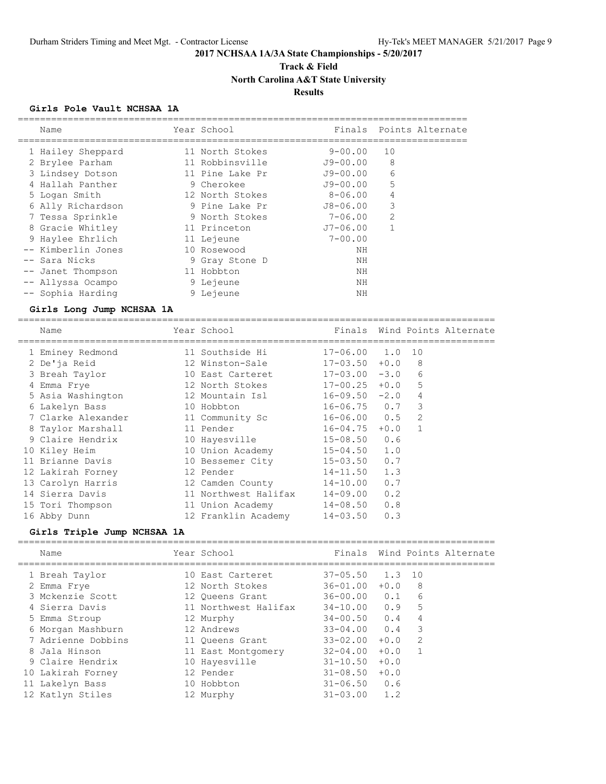## **Track & Field North Carolina A&T State University**

## **Results**

### **Girls Pole Vault NCHSAA 1A**

| Name                                  | ---------------------------<br>Year School |                          |              | Finals Points Alternate |
|---------------------------------------|--------------------------------------------|--------------------------|--------------|-------------------------|
| 1 Hailey Sheppard                     | 11 North Stokes                            | $9 - 00.00$              | 10           |                         |
| 2 Brylee Parham                       | 11 Robbinsville                            | $J9 - 00.00$             | 8            |                         |
| 3 Lindsey Dotson                      | 11 Pine Lake Pr                            | $J9 - 00.00$             | 6            |                         |
| 4 Hallah Panther                      | 9 Cherokee                                 | J9-00.00                 | 5            |                         |
| 5 Logan Smith                         | 12 North Stokes                            | $8 - 06.00$              | 4            |                         |
| 6 Ally Richardson                     | 9 Pine Lake Pr                             | J8-06.00                 | 3            |                         |
| 7 Tessa Sprinkle                      | 9 North Stokes                             | 7-06.00                  | $\mathbf{2}$ |                         |
| 8 Gracie Whitley                      | 11 Princeton                               | $J7 - 06.00$             | $\mathbf{1}$ |                         |
| 9 Haylee Ehrlich                      | 11 Lejeune                                 | $7 - 00.00$              |              |                         |
| -- Kimberlin Jones                    | 10 Rosewood                                | ΝH                       |              |                         |
| -- Sara Nicks                         | 9 Gray Stone D                             | NH                       |              |                         |
| -- Janet Thompson                     | 11 Hobbton                                 | NH                       |              |                         |
| -- Allyssa Ocampo                     | 9 Lejeune                                  | ΝH                       |              |                         |
| -- Sophia Harding                     | 9 Lejeune                                  | ΝH                       |              |                         |
| Girls Long Jump NCHSAA 1A             |                                            |                          |              |                         |
|                                       |                                            |                          |              |                         |
| Name                                  | Year School                                | Finals                   |              | Wind Points Alternate   |
|                                       | 11 Southside Hi                            | $17 - 06.00$ 1.0         |              | 10                      |
| 1 Eminey Redmond                      | 12 Winston-Sale                            | $17 - 03.50 + 0.0$       |              | 8                       |
| 2 De'ja Reid                          | 10 East Carteret                           | $17 - 03.00 - 3.0$       |              | 6                       |
| 3 Breah Taylor                        | 12 North Stokes                            | $17 - 00.25 + 0.0$       |              | 5                       |
| 4 Emma Frye                           | 12 Mountain Isl                            | $16 - 09.50 - 2.0$       |              | $\overline{4}$          |
| 5 Asia Washington                     | 10 Hobbton                                 | $16 - 06.75$ 0.7         |              | $\mathbf{3}$            |
| 6 Lakelyn Bass<br>7 Clarke Alexander  |                                            | $16 - 06.00$ 0.5         |              | $\overline{2}$          |
|                                       | 11 Community Sc<br>11 Pender               | $16 - 04.75 + 0.0$       |              | $\mathbf{1}$            |
| 8 Taylor Marshall<br>9 Claire Hendrix |                                            | $15 - 08.50$ 0.6         |              |                         |
|                                       | 10 Hayesville                              | $15 - 04.50$ 1.0         |              |                         |
| 10 Kiley Heim<br>11 Brianne Davis     | 10 Union Academy<br>10 Bessemer City       | $15 - 03.50$             | 0.7          |                         |
|                                       | 12 Pender                                  |                          | 1.3          |                         |
| 12 Lakirah Forney                     |                                            | $14 - 11.50$             |              |                         |
| 13 Carolyn Harris<br>14 Sierra Davis  | 12 Camden County<br>11 Northwest Halifax   | 14-10.00                 | 0.7<br>0.2   |                         |
| 15 Tori Thompson                      | 11 Union Academy                           | 14-09.00<br>$14 - 08.50$ | 0.8          |                         |

## **Girls Triple Jump NCHSAA 1A**

| Name                                  | Year School                           |                                      |        |        | Finals Wind Points Alternate |
|---------------------------------------|---------------------------------------|--------------------------------------|--------|--------|------------------------------|
| 1 Breah Taylor<br>2 Emma Frye         | 10 East Carteret<br>12 North Stokes   | $37 - 05.50$<br>$36 - 01.00 + 0.0$   | 1.3 10 | - 8    |                              |
| 3 Mckenzie Scott                      | 12 Oueens Grant                       | $36 - 00.00$ $0.1$                   |        | 6      |                              |
| 4 Sierra Davis<br>5 Emma Stroup       | 11 Northwest Halifax<br>12 Murphy     | $34 - 10.00$ 0.9<br>$34 - 00.50$ 0.4 |        | 5<br>4 |                              |
| 6 Morgan Mashburn                     | 12 Andrews                            | $33 - 04.00$ 0.4 3                   |        |        |                              |
| 7 Adrienne Dobbins<br>8 Jala Hinson   | 11 Oueens Grant<br>11 East Montgomery | $33 - 02.00 + 0.0$ 2<br>$32 - 04.00$ | $+0.0$ |        |                              |
| 9 Claire Hendrix<br>10 Lakirah Forney | 10 Hayesville<br>12 Pender            | $31 - 10.50$<br>$31 - 08.50 + 0.0$   | $+0.0$ |        |                              |
| 11 Lakelyn Bass                       | 10 Hobbton                            | $31 - 06.50$ 0.6                     |        |        |                              |
| 12 Katlyn Stiles                      | 12 Murphy                             | $31 - 03.00$ 1.2                     |        |        |                              |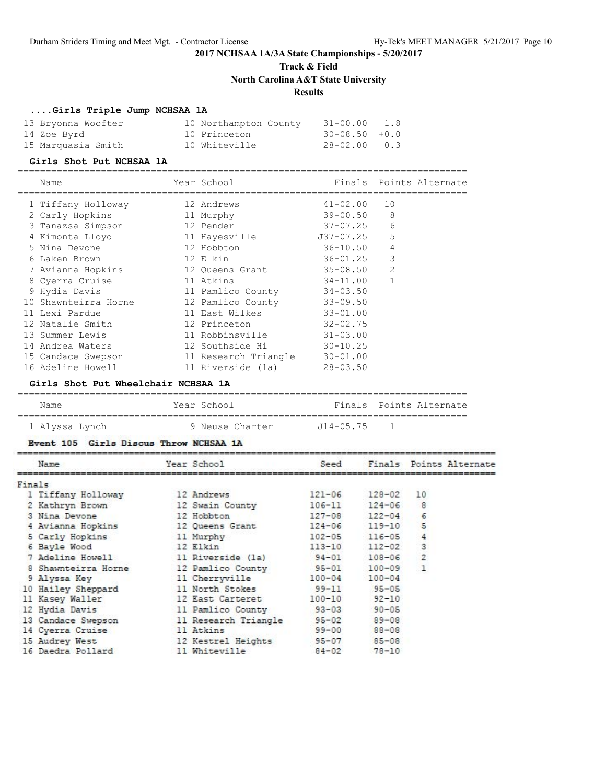## **Track & Field North Carolina A&T State University**

## **Results**

### **....Girls Triple Jump NCHSAA 1A**

| 13 Bryonna Woofter | 10 Northampton County | 31-00.00 1.8       |  |
|--------------------|-----------------------|--------------------|--|
| 14 Zoe Byrd        | 10 Princeton          | $30 - 08.50 + 0.0$ |  |
| 15 Marquasia Smith | 10 Whiteville         | 28-02.00 0.3       |  |

### **Girls Shot Put NCHSAA 1A**

#### =================================================================================

| Name                 | Year School          | Finals       | Points Alternate |
|----------------------|----------------------|--------------|------------------|
| 1 Tiffany Holloway   | 12 Andrews           | $41 - 02.00$ | 10               |
| 2 Carly Hopkins      | 11 Murphy            | 39-00.50     | 8                |
| 3 Tanazsa Simpson    | 12 Pender            | 37-07.25     | 6                |
| 4 Kimonta Lloyd      | 11 Hayesville        | J37-07.25    | 5                |
| 5 Nina Devone        | 12 Hobbton           | 36-10.50     | 4                |
| 6 Laken Brown        | 12 Elkin             | 36-01.25     | 3                |
| 7 Avianna Hopkins    | 12 Queens Grant      | 35-08.50     | 2                |
| 8 Cyerra Cruise      | 11 Atkins            | 34-11.00     | $\mathbf{1}$     |
| 9 Hydia Davis        | 11 Pamlico County    | $34 - 03.50$ |                  |
| 10 Shawnteirra Horne | 12 Pamlico County    | $33 - 09.50$ |                  |
| 11 Lexi Pardue       | 11 East Wilkes       | $33 - 01.00$ |                  |
| 12 Natalie Smith     | 12 Princeton         | $32 - 02.75$ |                  |
| 13 Summer Lewis      | 11 Robbinsville      | $31 - 03.00$ |                  |
| 14 Andrea Waters     | 12 Southside Hi      | $30 - 10.25$ |                  |
| 15 Candace Swepson   | 11 Research Triangle | $30 - 01.00$ |                  |
| 16 Adeline Howell    | 11 Riverside (1a)    | $28 - 03.50$ |                  |

### **Girls Shot Put Wheelchair NCHSAA 1A**

| Name           | Year School     |               | Finals Points Alternate |
|----------------|-----------------|---------------|-------------------------|
| 1 Alyssa Lynch | 9 Neuse Charter | $J14 - 05.75$ |                         |

## **Girls Discus Throw NCHSAA 1A**

| Name                | Year School          | Seed       |            |                | Finals Points Alternate |
|---------------------|----------------------|------------|------------|----------------|-------------------------|
| Finals              |                      |            |            |                |                         |
| 1 Tiffany Holloway  | 12 Andrews           | $121 - 06$ | $128 - 02$ | 10             |                         |
| 2 Kathryn Brown     | 12 Swain County      | $106 - 11$ | $124 - 06$ | 8              |                         |
| 3 Nina Devone       | 12 Hobbton           | $127 - 08$ | $122 - 04$ | 6              |                         |
| 4 Avianna Hopkins   | 12 Queens Grant      | $124 - 06$ | $119 - 10$ | 5              |                         |
| 5 Carly Hopkins     | 11 Murphy            | $102 - 05$ | $116 - 05$ | 4              |                         |
| 6 Bayle Wood        | 12 Elkin             | $113 - 10$ | $112 - 02$ | 3              |                         |
| 7 Adeline Howell    | 11 Riverside (1a)    | $94 - 01$  | $108 - 06$ | $\overline{2}$ |                         |
| 8 Shawnteirra Horne | 12 Pamlico County    | $95 - 01$  | $100 - 09$ | $\mathbf{1}$   |                         |
| 9 Alyssa Key        | 11 Cherryville       | $100 - 04$ | $100 - 04$ |                |                         |
| 10 Hailey Sheppard  | 11 North Stokes      | $99 - 11$  | $95 - 05$  |                |                         |
| 11 Kasey Waller     | 12 East Carteret     | $100 - 10$ | $92 - 10$  |                |                         |
| 12 Hydia Davis      | 11 Pamlico County    | $93 - 03$  | $90 - 05$  |                |                         |
| 13 Candace Swepson  | 11 Research Triangle | $95 - 02$  | $89 - 08$  |                |                         |
| 14 Cyerra Cruise    | 11 Atkins            | $99 - 00$  | $88 - 08$  |                |                         |
| 15 Audrey West      | 12 Kestrel Heights   | $95 - 07$  | $85 - 08$  |                |                         |
| 16 Daedra Pollard   | 11 Whiteville        | $84 - 02$  | $78 - 10$  |                |                         |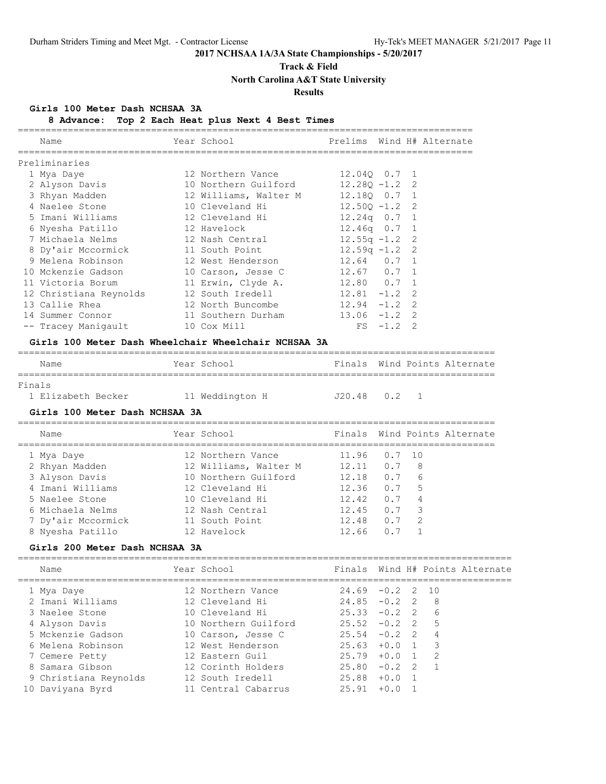## **Track & Field**

**North Carolina A&T State University**

### **Results**

### **Girls 100 Meter Dash NCHSAA 3A**

**8 Advance: Top 2 Each Heat plus Next 4 Best Times**

| Name                                                 | Year School                        |                  |             | Prelims Wind H# Alternate    |
|------------------------------------------------------|------------------------------------|------------------|-------------|------------------------------|
| Preliminaries                                        |                                    |                  |             |                              |
| 1 Mya Daye                                           | 12 Northern Vance 12.040 0.7 1     |                  |             |                              |
| 2 Alyson Davis                                       | 10 Northern Guilford               | $12.280 - 1.2$ 2 |             |                              |
| 3 Rhyan Madden                                       | 12 Williams, Walter M 12.18Q 0.7 1 |                  |             |                              |
| 4 Naelee Stone                                       | 10 Cleveland Hi 12.50Q -1.2 2      |                  |             |                              |
| 5 Imani Williams                                     | 12 Cleveland Hi                    | $12.24q$ 0.7 1   |             |                              |
|                                                      |                                    | $12.46q$ 0.7 1   |             |                              |
| 7 Michaela Nelms                                     | 12 Nash Central $12.55q -1.2$ 2    |                  |             |                              |
| 8 Dy'air Mccormick 11 South Point                    |                                    | $12.59q - 1.2$ 2 |             |                              |
| 9 Melena Robinson                                    | 12 West Henderson 12.64 0.7 1      |                  |             |                              |
| 10 Mckenzie Gadson                                   | 10 Carson, Jesse C 12.67 0.7 1     |                  |             |                              |
| 11 Victoria Borum 11 Erwin, Clyde A. 12.80 0.7 1     |                                    |                  |             |                              |
| 12 Christiana Reynolds                               | 12 South Iredell 12.81 -1.2 2      |                  |             |                              |
| 13 Callie Rhea                                       | 12 North Buncombe 12.94 -1.2 2     |                  |             |                              |
| 14 Summer Connor                                     |                                    |                  |             |                              |
| -- Tracey Maniqault                                  | 10 Cox Mill                        |                  | $FS -1.2 2$ |                              |
| Girls 100 Meter Dash Wheelchair Wheelchair NCHSAA 3A |                                    |                  |             |                              |
| Name                                                 | Year School                        |                  |             | Finals Wind Points Alternate |

| Finals             |                 |           |  |
|--------------------|-----------------|-----------|--|
| 1 Elizabeth Becker | 11 Weddington H | .T2048 02 |  |

### **Girls 100 Meter Dash NCHSAA 3A**

====================================================================================== Name The Year School Team Points Alternate ====================================================================================== 1 Mya Daye 12 Northern Vance 11.96 0.7 10 2 Rhyan Madden 12 Williams, Walter M 12.11 0.7 8 3 Alyson Davis 10 Northern Guilford 12.18 0.7 6 4 Imani Williams 12 Cleveland Hi 12.36 0.7 5 5 Naelee Stone 10 Cleveland Hi 12.42 0.7 4 6 Michaela Nelms 12 Nash Central 12.45 0.7 3 7 Dy'air Mccormick 11 South Point 12.48 0.7 2 8 Nyesha Patillo 12 Havelock 12.66 0.7 1

### **Girls 200 Meter Dash NCHSAA 3A**

| Name                  | Year School          |                 |        |                | Finals Wind H# Points Alternate |
|-----------------------|----------------------|-----------------|--------|----------------|---------------------------------|
| 1 Mya Daye            | 12 Northern Vance    | $24.69 - 0.2$ 2 |        | 10             |                                 |
| 2 Imani Williams      | 12 Cleveland Hi      | $24.85 - 0.2$ 2 |        | - 8            |                                 |
| 3 Naelee Stone        | 10 Cleveland Hi      | $25.33 - 0.2$ 2 |        | -6             |                                 |
| 4 Alyson Davis        | 10 Northern Guilford | $25.52 - 0.2$ 2 |        | $-5$           |                                 |
| 5 Mckenzie Gadson     | 10 Carson, Jesse C   | $25.54 - 0.2$ 2 |        | $\overline{4}$ |                                 |
| 6 Melena Robinson     | 12 West Henderson    | $25.63 + 0.0 1$ |        | $\mathcal{R}$  |                                 |
| 7 Cemere Petty        | 12 Eastern Guil      | $25.79 + 0.0$   |        | -2             |                                 |
| 8 Samara Gibson       | 12 Corinth Holders   | $25.80 - 0.2$ 2 |        |                |                                 |
| 9 Christiana Reynolds | 12 South Iredell     | 25.88           | $+0.0$ |                |                                 |
| 10 Daviyana Byrd      | 11 Central Cabarrus  | 25.91           | $+0.0$ |                |                                 |
|                       |                      |                 |        |                |                                 |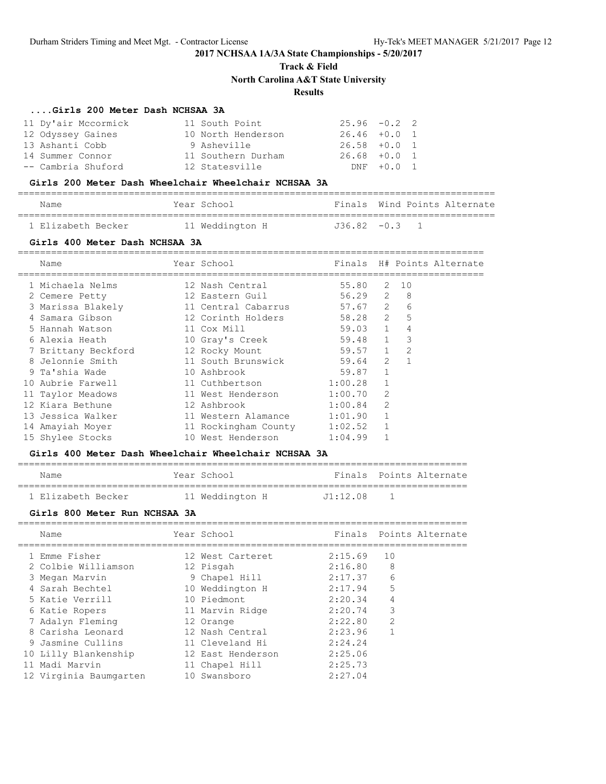**Track & Field**

**North Carolina A&T State University**

## **Results**

### **....Girls 200 Meter Dash NCHSAA 3A**

| 11 Dy'air Mccormick | 11 South Point     | $25.96 - 0.2$ 2 |            |  |
|---------------------|--------------------|-----------------|------------|--|
| 12 Odyssey Gaines   | 10 North Henderson | $26.46 + 0.0 1$ |            |  |
| 13 Ashanti Cobb     | 9 Asheville        | $26.58 + 0.0 1$ |            |  |
| 14 Summer Connor    | 11 Southern Durham | $26.68 + 0.0 1$ |            |  |
| -- Cambria Shuford  | 12 Statesville     |                 | DNF +0.0 1 |  |

### **Girls 200 Meter Dash Wheelchair Wheelchair NCHSAA 3A**

| Name               | Year School     |                 |  | Finals Wind Points Alternate |
|--------------------|-----------------|-----------------|--|------------------------------|
| 1 Elizabeth Becker | 11 Weddington H | $J36.82 -0.3$ 1 |  |                              |

### **Girls 400 Meter Dash NCHSAA 3A**

| Name                | Year School          |             |              |                | Finals H# Points Alternate |
|---------------------|----------------------|-------------|--------------|----------------|----------------------------|
| 1 Michaela Nelms    | 12 Nash Central      | 55.80       | 2            | 10             |                            |
| 2 Cemere Petty      | 12 Eastern Guil      | $56.29$ 2   |              | 8 <sup>8</sup> |                            |
| 3 Marissa Blakely   | 11 Central Cabarrus  | $57.67$ 2 6 |              |                |                            |
| 4 Samara Gibson     | 12 Corinth Holders   | 58.28 2 5   |              |                |                            |
| 5 Hannah Watson     | 11 Cox Mill          | 59.03 1     |              | 4              |                            |
| 6 Alexia Heath      | 10 Gray's Creek      | 59.48 1     |              | 3              |                            |
| 7 Brittany Beckford | 12 Rocky Mount       | 59.57 1 2   |              |                |                            |
| 8 Jelonnie Smith    | 11 South Brunswick   | 59.64 2     |              |                |                            |
| 9 Ta'shia Wade      | 10 Ashbrook          | 59.87       | $\mathbf{1}$ |                |                            |
| 10 Aubrie Farwell   | 11 Cuthbertson       | 1:00.28     | $\mathbf{1}$ |                |                            |
| 11 Taylor Meadows   | 11 West Henderson    | 1:00.70     | 2            |                |                            |
| 12 Kiara Bethune    | 12 Ashbrook          | $1:00.84$ 2 |              |                |                            |
| 13 Jessica Walker   | 11 Western Alamance  | 1:01.90 1   |              |                |                            |
| 14 Amayiah Moyer    | 11 Rockingham County | 1:02.52     |              |                |                            |
| 15 Shylee Stocks    | 10 West Henderson    | 1:04.99     |              |                |                            |

### **Girls 400 Meter Dash Wheelchair Wheelchair NCHSAA 3A**

| Name               | Year School     |          | Finals Points Alternate |
|--------------------|-----------------|----------|-------------------------|
|                    |                 |          |                         |
| 1 Elizabeth Becker | 11 Weddington H | J1:12.08 |                         |

### **Girls 800 Meter Run NCHSAA 3A**

| Name                                                           | Year School                                             |                               | Finals Points Alternate |
|----------------------------------------------------------------|---------------------------------------------------------|-------------------------------|-------------------------|
| 1 Emme Fisher<br>2 Colbie Williamson<br>3 Megan Marvin         | 12 West Carteret<br>12 Pisgah<br>9 Chapel Hill          | 2:15.69<br>2:16.80<br>2:17.37 | 10<br>8<br>6            |
| 4 Sarah Bechtel<br>5 Katie Verrill                             | 10 Weddington H<br>10 Piedmont                          | 2:17.94<br>2:20.34            | 5<br>$\overline{4}$     |
| 6 Katie Ropers<br>7 Adalyn Fleming                             | 11 Marvin Ridge<br>12 Orange                            | 2:20.74<br>2:22.80            | 3<br>$\overline{2}$     |
| 8 Carisha Leonard<br>9 Jasmine Cullins<br>10 Lilly Blankenship | 12 Nash Central<br>11 Cleveland Hi<br>12 East Henderson | 2:23.96<br>2:24.24<br>2:25.06 |                         |
| 11 Madi Marvin<br>12 Virginia Baumgarten                       | 11 Chapel Hill<br>10 Swansboro                          | 2:25.73<br>2:27.04            |                         |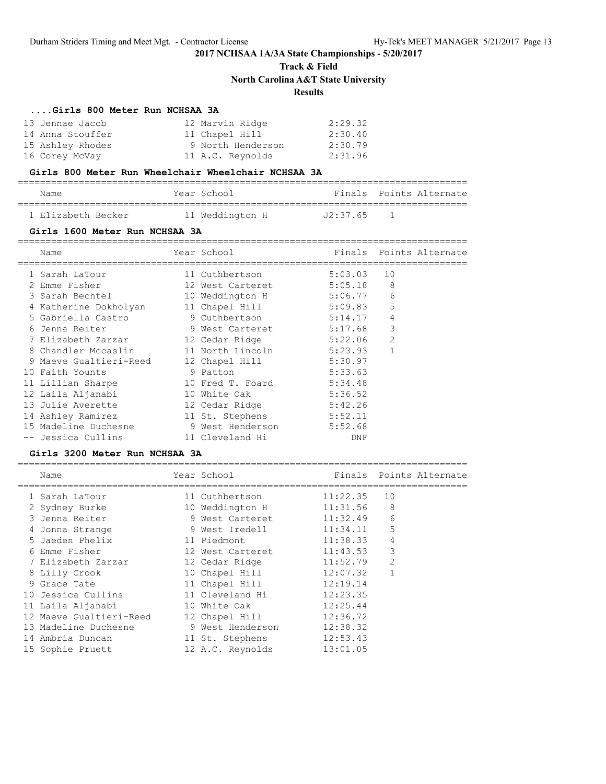**Track & Field**

**North Carolina A&T State University**

## **Results**

### **....Girls 800 Meter Run NCHSAA 3A**

| 13 Jennae Jacob  | 12 Marvin Ridge   | 2:29.32 |
|------------------|-------------------|---------|
| 14 Anna Stouffer | 11 Chapel Hill    | 2:30.40 |
| 15 Ashley Rhodes | 9 North Henderson | 2:30.79 |
| 16 Corey McVay   | 11 A.C. Reynolds  | 2:31.96 |

### **Girls 800 Meter Run Wheelchair Wheelchair NCHSAA 3A**

=================================================================================

| Name               | Year School     |          | Finals Points Alternate |
|--------------------|-----------------|----------|-------------------------|
| 1 Elizabeth Becker | 11 Weddington H | J2:37.65 |                         |

### **Girls 1600 Meter Run NCHSAA 3A**

| Name                   | Year School      |         |                | Finals Points Alternate |
|------------------------|------------------|---------|----------------|-------------------------|
| 1 Sarah LaTour         | 11 Cuthbertson   | 5:03.03 | 10             |                         |
| 2 Emme Fisher          | 12 West Carteret | 5:05.18 | 8              |                         |
| 3 Sarah Bechtel        | 10 Weddington H  | 5:06.77 | 6              |                         |
| 4 Katherine Dokholyan  | 11 Chapel Hill   | 5:09.83 | 5              |                         |
| 5 Gabriella Castro     | 9 Cuthbertson    | 5:14.17 | 4              |                         |
| 6 Jenna Reiter         | 9 West Carteret  | 5:17.68 | 3              |                         |
| 7 Elizabeth Zarzar     | 12 Cedar Ridge   | 5:22.06 | $\overline{2}$ |                         |
| 8 Chandler Mccaslin    | 11 North Lincoln | 5:23.93 |                |                         |
| 9 Maeve Gualtieri-Reed | 12 Chapel Hill   | 5:30.97 |                |                         |
| 10 Faith Younts        | 9 Patton         | 5:33.63 |                |                         |
| 11 Lillian Sharpe      | 10 Fred T. Foard | 5:34.48 |                |                         |
| 12 Laila Aljanabi      | 10 White Oak     | 5:36.52 |                |                         |
| 13 Julie Averette      | 12 Cedar Ridge   | 5:42.26 |                |                         |
| 14 Ashley Ramirez      | 11 St. Stephens  | 5:52.11 |                |                         |
| 15 Madeline Duchesne   | 9 West Henderson | 5:52.68 |                |                         |
| -- Jessica Cullins     | 11 Cleveland Hi  | DNF     |                |                         |

### **Girls 3200 Meter Run NCHSAA 3A**

| Name                    | Year School             |          |                | Finals Points Alternate |
|-------------------------|-------------------------|----------|----------------|-------------------------|
| 1 Sarah LaTour          | 11 Cuthbertson          | 11:22.35 | 10             |                         |
| 2 Sydney Burke          | 10 Weddington H         | 11:31.56 | 8              |                         |
| 3 Jenna Reiter          | 9 West Carteret         | 11:32.49 | 6              |                         |
| 4 Jonna Strange         | 9 West Iredell 11:34.11 |          | 5              |                         |
| 5 Jaeden Phelix         | 11 Piedmont             | 11:38.33 | 4              |                         |
| 6 Emme Fisher           | 12 West Carteret        | 11:43.53 | 3              |                         |
| 7 Elizabeth Zarzar      | 12 Cedar Ridge          | 11:52.79 | $\overline{2}$ |                         |
| 8 Lilly Crook           | 10 Chapel Hill          | 12:07.32 |                |                         |
| 9 Grace Tate            | 11 Chapel Hill          | 12:19.14 |                |                         |
| 10 Jessica Cullins      | 11 Cleveland Hi         | 12:23.35 |                |                         |
| 11 Laila Aljanabi       | 10 White Oak            | 12:25.44 |                |                         |
| 12 Maeve Gualtieri-Reed | 12 Chapel Hill          | 12:36.72 |                |                         |
| 13 Madeline Duchesne    | 9 West Henderson        | 12:38.32 |                |                         |
| 14 Ambria Duncan        | 11 St. Stephens         | 12:53.43 |                |                         |
| 15 Sophie Pruett        | 12 A.C. Reynolds        | 13:01.05 |                |                         |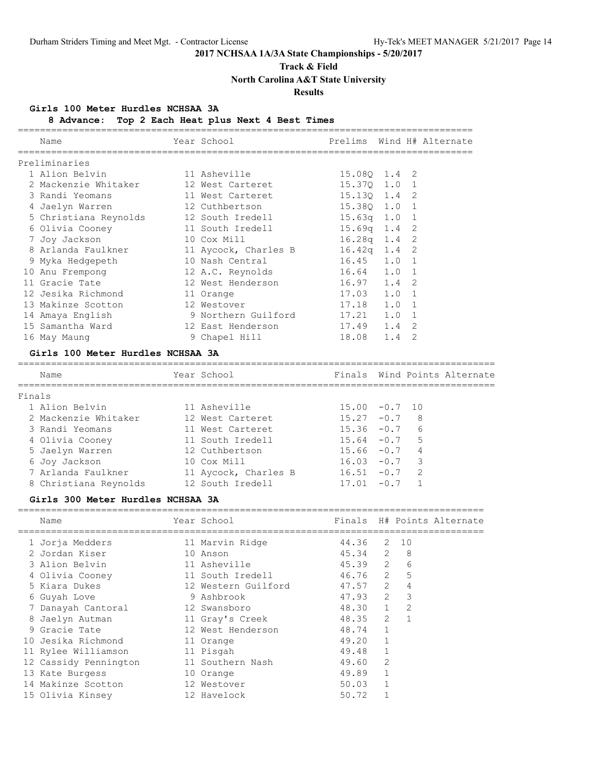## **Track & Field**

**North Carolina A&T State University**

## **Results**

### **Girls 100 Meter Hurdles NCHSAA 3A**

**8 Advance: Top 2 Each Heat plus Next 4 Best Times**

| Name                              | Year School                     |                  |   | Prelims Wind H# Alternate |
|-----------------------------------|---------------------------------|------------------|---|---------------------------|
| Preliminaries                     |                                 |                  |   |                           |
| 1 Alion Belvin                    | 11 Asheville                    | 15.080 1.4 2     |   |                           |
| 2 Mackenzie Whitaker              | 12 West Carteret                | 15.370 1.0 1     |   |                           |
| 3 Randi Yeomans                   | 11 West Carteret                | 15.130 1.4 2     |   |                           |
| 4 Jaelyn Warren                   | 12 Cuthbertson                  | 15.380 1.0 1     |   |                           |
| 5 Christiana Reynolds             | 12 South Iredell                | $15.63q$ $1.0$ 1 |   |                           |
| 6 Olivia Cooney 11 South Iredell  |                                 | $15.69q$ 1.4 2   |   |                           |
| 7 Joy Jackson                     | 10 Cox Mill                     | $16.28q$ $1.4$ 2 |   |                           |
| 8 Arlanda Faulkner                | 11 Aycock, Charles B            | $16.42q$ 1.4 2   |   |                           |
| 9 Myka Hedgepeth                  | 10 Nash Central                 | $16.45$ $1.0$ 1  |   |                           |
| 10 Anu Frempong                   | 12 A.C. Reynolds 16.64 1.0 1    |                  |   |                           |
| 11 Gracie Tate                    | 12 West Henderson               | 16.97 1.4 2      |   |                           |
| 12 Jesika Richmond                | 11 Orange                       | 17.03 1.0 1      |   |                           |
| 13 Makinze Scotton                | 12 Westover                     | 17.18 1.0 1      |   |                           |
| 14 Amaya English                  | 9 Northern Guilford 17.21 1.0 1 |                  |   |                           |
| 15 Samantha Ward                  | 12 East Henderson               | 17.49 1.4 2      |   |                           |
| 16 May Maung                      | 9 Chapel Hill                   | 18.08 1.4        | 2 |                           |
| Girls 100 Meter Hurdles NCHSAA 3A |                                 |                  |   |                           |
|                                   |                                 |                  |   |                           |

| Name                  | Year School          |                  |        | Finals Wind Points Alternate |
|-----------------------|----------------------|------------------|--------|------------------------------|
| Finals                |                      |                  |        |                              |
| 1 Alion Belvin        | 11 Asheville         | $15.00 - 0.7 10$ |        |                              |
| 2 Mackenzie Whitaker  | 12 West Carteret     | $15.27 - 0.7$    |        | 8                            |
| 3 Randi Yeomans       | 11 West Carteret     | $15.36 - 0.7$    |        | 6                            |
| 4 Olivia Cooney       | 11 South Iredell     | $15.64 - 0.7$    |        | .5                           |
| 5 Jaelyn Warren       | 12 Cuthbertson       | $15.66 - 0.7$    |        | 4                            |
| 6 Joy Jackson         | 10 Cox Mill          | $16.03 - 0.7$    |        | $\overline{\mathbf{3}}$      |
| 7 Arlanda Faulkner    | 11 Aycock, Charles B | $16.51 - 0.7$    |        | - 2                          |
| 8 Christiana Reynolds | 12 South Iredell     | 17.01            | $-0.7$ |                              |

### **Girls 300 Meter Hurdles NCHSAA 3A**

| Name                  | Year School         |         |         |                | Finals H# Points Alternate |
|-----------------------|---------------------|---------|---------|----------------|----------------------------|
| 1 Jorja Medders       | 11 Marvin Ridge     | 44.36   | 2       | 10             |                            |
| 2 Jordan Kiser        | 10 Anson            | 45.34 2 |         | 8              |                            |
| 3 Alion Belvin        | 11 Asheville        | 45.39 2 |         | 6              |                            |
| 4 Olivia Cooney       | 11 South Iredell    | 46.76 2 |         | 5              |                            |
| 5 Kiara Dukes         | 12 Western Guilford | 47.57 2 |         | 4              |                            |
| 6 Guyah Love          | 9 Ashbrook          | 47.93 2 |         | 3              |                            |
| 7 Danayah Cantoral    | 12 Swansboro        | 48.30 1 |         | $\overline{2}$ |                            |
| 8 Jaelyn Autman       | 11 Gray's Creek     | 48.35   | $2^{1}$ | $\mathbf{1}$   |                            |
| 9 Gracie Tate         | 12 West Henderson   | 48.74   |         |                |                            |
| 10 Jesika Richmond    | 11 Orange           | 49.20   |         |                |                            |
| 11 Rylee Williamson   | 11 Pisgah           | 49.48   |         |                |                            |
| 12 Cassidy Pennington | 11 Southern Nash    | 49.60   | 2       |                |                            |
| 13 Kate Burgess       | 10 Orange           | 49.89   |         |                |                            |
| 14 Makinze Scotton    | 12 Westover         | 50.03   |         |                |                            |
| 15 Olivia Kinsey      | 12 Havelock         | 50.72   |         |                |                            |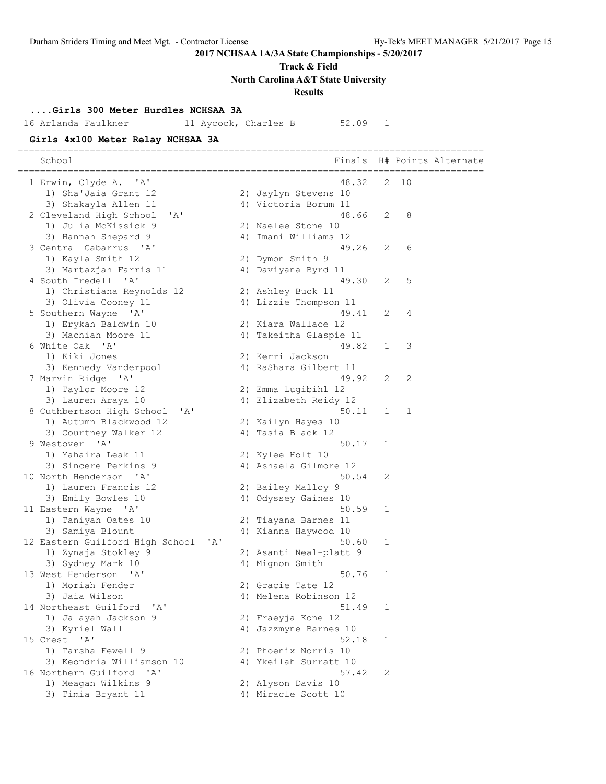**Track & Field**

**North Carolina A&T State University**

**Results**

## **....Girls 300 Meter Hurdles NCHSAA 3A**

16 Arlanda Faulkner 11 Aycock, Charles B 52.09 1

## **Girls 4x100 Meter Relay NCHSAA 3A**

| School                          |                           |       | Finals                         |   |    | H# Points Alternate |
|---------------------------------|---------------------------|-------|--------------------------------|---|----|---------------------|
| 1 Erwin, Clyde A. 'A'           |                           |       | 48.32                          | 2 | 10 |                     |
| 1) Sha'Jaia Grant 12            |                           |       | 2) Jaylyn Stevens 10           |   |    |                     |
| 3) Shakayla Allen 11            |                           |       | 4) Victoria Borum 11           |   |    |                     |
| 2 Cleveland High School         | 'A'                       |       | 48.66                          | 2 | 8  |                     |
| 1) Julia McKissick 9            |                           |       | 2) Naelee Stone 10             |   |    |                     |
| 3) Hannah Shepard 9             |                           |       | 4) Imani Williams 12           |   |    |                     |
| 3 Central Cabarrus 'A'          |                           |       | 49.26                          | 2 | 6  |                     |
| 1) Kayla Smith 12               |                           |       | 2) Dymon Smith 9               |   |    |                     |
| 3) Martazjah Farris 11          |                           |       | 4) Daviyana Byrd 11            |   |    |                     |
| 4 South Iredell                 | $\mathsf{A}$              |       | 49.30                          | 2 | 5  |                     |
| 1) Christiana Reynolds 12       |                           |       | 2) Ashley Buck 11              |   |    |                     |
| 3) Olivia Cooney 11             |                           |       | 4) Lizzie Thompson 11          |   |    |                     |
| 5 Southern Wayne 'A'            |                           |       | 49.41                          | 2 | 4  |                     |
| 1) Erykah Baldwin 10            |                           |       | 2) Kiara Wallace 12            |   |    |                     |
| 3) Machiah Moore 11             |                           |       | 4) Takeitha Glaspie 11         |   |    |                     |
| 6 White Oak 'A'                 |                           |       | 49.82                          | 1 | 3  |                     |
| 1) Kiki Jones                   |                           |       |                                |   |    |                     |
|                                 |                           |       | 2) Kerri Jackson               |   |    |                     |
| 3) Kennedy Vanderpool           |                           |       | 4) RaShara Gilbert 11<br>49.92 | 2 | 2  |                     |
| 7 Marvin Ridge 'A'              |                           |       |                                |   |    |                     |
| 1) Taylor Moore 12              |                           |       | 2) Emma Lugibihl 12            |   |    |                     |
| 3) Lauren Araya 10              |                           |       | 4) Elizabeth Reidy 12<br>50.11 |   |    |                     |
| 8 Cuthbertson High School       | 'A'                       |       |                                | 1 | 1  |                     |
| 1) Autumn Blackwood 12          |                           |       | 2) Kailyn Hayes 10             |   |    |                     |
| 3) Courtney Walker 12           |                           |       | 4) Tasia Black 12              |   |    |                     |
| 9 Westover 'A'                  |                           |       | 50.17                          | 1 |    |                     |
| 1) Yahaira Leak 11              |                           |       | 2) Kylee Holt 10               |   |    |                     |
| 3) Sincere Perkins 9            |                           |       | 4) Ashaela Gilmore 12          |   |    |                     |
| 10 North Henderson 'A'          |                           |       | 50.54                          | 2 |    |                     |
| 1) Lauren Francis 12            |                           |       | 2) Bailey Malloy 9             |   |    |                     |
| 3) Emily Bowles 10              |                           |       | 4) Odyssey Gaines 10           |   |    |                     |
| 11 Eastern Wayne 'A'            |                           |       | 50.59                          | 1 |    |                     |
| 1) Taniyah Oates 10             |                           |       | 2) Tiayana Barnes 11           |   |    |                     |
| 3) Samiya Blount                |                           |       | 4) Kianna Haywood 10           |   |    |                     |
| 12 Eastern Guilford High School |                           | ' A ' | 50.60                          | 1 |    |                     |
| 1) Zynaja Stokley 9             |                           |       | 2) Asanti Neal-platt 9         |   |    |                     |
| 3) Sydney Mark 10               |                           |       | 4) Mignon Smith                |   |    |                     |
| 13 West Henderson               | $^{\prime}$ A $^{\prime}$ |       | 50.76                          | 1 |    |                     |
| 1) Moriah Fender                |                           |       | 2) Gracie Tate 12              |   |    |                     |
| 3) Jaia Wilson                  |                           |       | 4) Melena Robinson 12          |   |    |                     |
| 14 Northeast Guilford           | ' A'                      |       | 51.49                          | 1 |    |                     |
| 1) Jalayah Jackson 9            |                           |       | 2) Fraeyja Kone 12             |   |    |                     |
| 3) Kyriel Wall                  |                           |       | 4) Jazzmyne Barnes 10          |   |    |                     |
| 15 Crest 'A'                    |                           |       | 52.18                          | 1 |    |                     |
| 1) Tarsha Fewell 9              |                           |       | 2) Phoenix Norris 10           |   |    |                     |
| 3) Keondria Williamson 10       |                           |       | 4) Ykeilah Surratt 10          |   |    |                     |
| 16 Northern Guilford            | $^{\prime}$ A $^{\prime}$ |       | 57.42                          | 2 |    |                     |
| 1) Meagan Wilkins 9             |                           |       | 2) Alyson Davis 10             |   |    |                     |
| 3) Timia Bryant 11              |                           |       | 4) Miracle Scott 10            |   |    |                     |
|                                 |                           |       |                                |   |    |                     |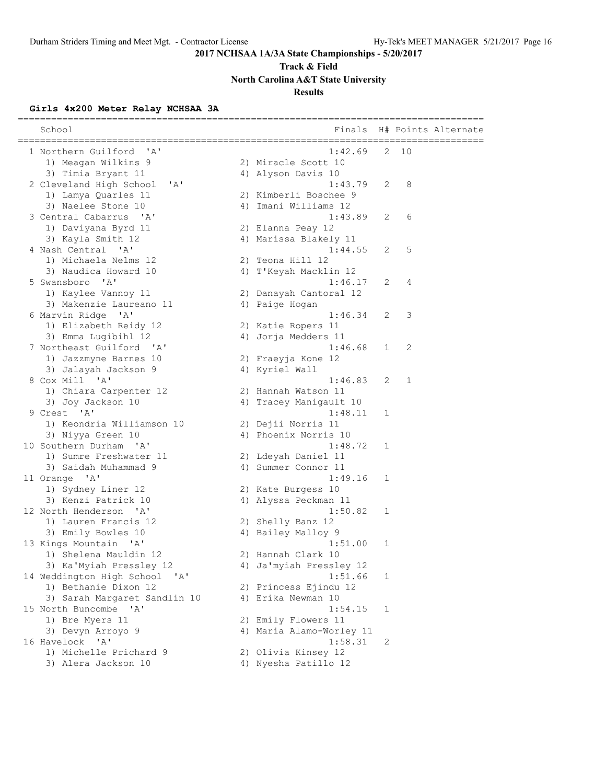## **Track & Field**

**North Carolina A&T State University**

## **Results**

## **Girls 4x200 Meter Relay NCHSAA 3A**

| School                          | Finals                   |   | __________________ | H# Points Alternate |
|---------------------------------|--------------------------|---|--------------------|---------------------|
| 1 Northern Guilford 'A'         | 1:42.69                  | 2 | 10                 |                     |
| 1) Meagan Wilkins 9             | 2) Miracle Scott 10      |   |                    |                     |
| 3) Timia Bryant 11              | 4) Alyson Davis 10       |   |                    |                     |
| 2 Cleveland High School<br>' A' | 1:43.79                  | 2 | 8                  |                     |
| 1) Lamya Quarles 11             | 2) Kimberli Boschee 9    |   |                    |                     |
| 3) Naelee Stone 10              | 4) Imani Williams 12     |   |                    |                     |
| 3 Central Cabarrus 'A'          | 1:43.89                  | 2 | 6                  |                     |
| 1) Daviyana Byrd 11             | 2) Elanna Peay 12        |   |                    |                     |
| 3) Kayla Smith 12               | 4) Marissa Blakely 11    |   |                    |                     |
| 4 Nash Central 'A'              | 1:44.55                  | 2 | 5                  |                     |
| 1) Michaela Nelms 12            | 2) Teona Hill 12         |   |                    |                     |
| 3) Naudica Howard 10            | 4) T'Keyah Macklin 12    |   |                    |                     |
| 5 Swansboro 'A'                 | 1:46.17                  | 2 | 4                  |                     |
| 1) Kaylee Vannoy 11             | 2) Danayah Cantoral 12   |   |                    |                     |
| 3) Makenzie Laureano 11         | 4) Paige Hogan           |   |                    |                     |
| 6 Marvin Ridge 'A'              | 1:46.34                  | 2 | 3                  |                     |
| 1) Elizabeth Reidy 12           | 2) Katie Ropers 11       |   |                    |                     |
| 3) Emma Lugibihl 12             | 4) Jorja Medders 11      |   |                    |                     |
| 7 Northeast Guilford 'A'        | 1:46.68                  | 1 | 2                  |                     |
| 1) Jazzmyne Barnes 10           | 2) Fraeyja Kone 12       |   |                    |                     |
| 3) Jalayah Jackson 9            | 4) Kyriel Wall           |   |                    |                     |
| 8 Cox Mill 'A'                  | 1:46.83                  | 2 | 1                  |                     |
| 1) Chiara Carpenter 12          | 2) Hannah Watson 11      |   |                    |                     |
| 3) Joy Jackson 10               | 4) Tracey Manigault 10   |   |                    |                     |
| 9 Crest 'A'                     | 1:48.11                  | 1 |                    |                     |
| 1) Keondria Williamson 10       | 2) Dejii Norris 11       |   |                    |                     |
| 3) Niyya Green 10               | 4) Phoenix Norris 10     |   |                    |                     |
| 10 Southern Durham 'A'          | 1:48.72                  | 1 |                    |                     |
| 1) Sumre Freshwater 11          | 2) Ldeyah Daniel 11      |   |                    |                     |
| 3) Saidah Muhammad 9            | 4) Summer Connor 11      |   |                    |                     |
| 11 Orange 'A'                   | 1:49.16                  | 1 |                    |                     |
| 1) Sydney Liner 12              | 2) Kate Burgess 10       |   |                    |                     |
| 3) Kenzi Patrick 10             | 4) Alyssa Peckman 11     |   |                    |                     |
| 12 North Henderson 'A'          | 1:50.82                  | 1 |                    |                     |
| 1) Lauren Francis 12            | 2) Shelly Banz 12        |   |                    |                     |
| 3) Emily Bowles 10              | 4) Bailey Malloy 9       |   |                    |                     |
| 13 Kings Mountain 'A'           | 1:51.00                  | 1 |                    |                     |
| 1) Shelena Mauldin 12           | 2) Hannah Clark 10       |   |                    |                     |
| 3) Ka'Myiah Pressley 12         | 4) Ja'myiah Pressley 12  |   |                    |                     |
| 14 Weddington High School 'A'   | 1:51.66                  | 1 |                    |                     |
| 1) Bethanie Dixon 12            | 2) Princess Ejindu 12    |   |                    |                     |
| 3) Sarah Margaret Sandlin 10    | 4) Erika Newman 10       |   |                    |                     |
| 15 North Buncombe 'A'           | 1:54.15                  | 1 |                    |                     |
| 1) Bre Myers 11                 | 2) Emily Flowers 11      |   |                    |                     |
| 3) Devyn Arroyo 9               | 4) Maria Alamo-Worley 11 |   |                    |                     |
| 16 Havelock 'A'                 | 1:58.31                  | 2 |                    |                     |
| 1) Michelle Prichard 9          | 2) Olivia Kinsey 12      |   |                    |                     |
| 3) Alera Jackson 10             | 4) Nyesha Patillo 12     |   |                    |                     |
|                                 |                          |   |                    |                     |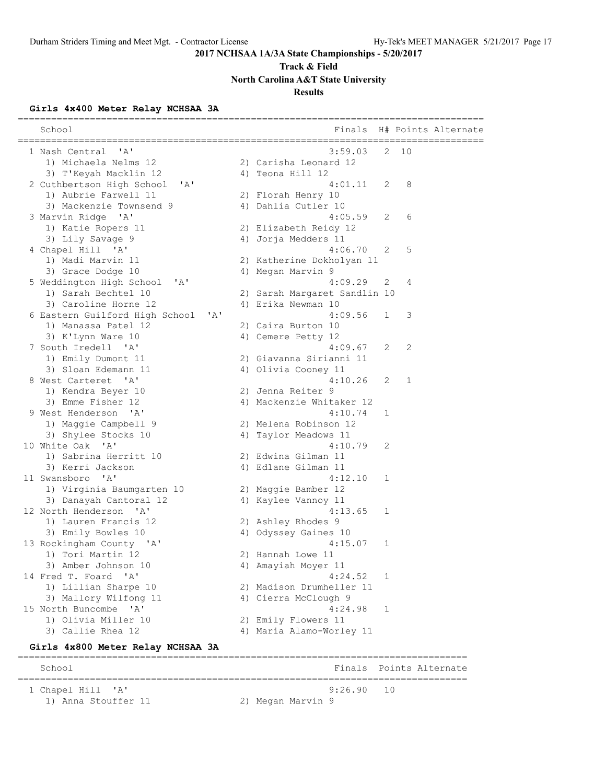## **Track & Field**

**North Carolina A&T State University**

## **Results**

## **Girls 4x400 Meter Relay NCHSAA 3A**

| School                                                 |                              |    |    | Finals H# Points Alternate<br>_____________________ |
|--------------------------------------------------------|------------------------------|----|----|-----------------------------------------------------|
| 1 Nash Central<br>'A'                                  | 3:59.03                      | 2  | 10 |                                                     |
| 1) Michaela Nelms 12                                   | 2) Carisha Leonard 12        |    |    |                                                     |
| 3) T'Keyah Macklin 12                                  | 4) Teona Hill 12             |    |    |                                                     |
| 2 Cuthbertson High School<br>'A'                       | 4:01.11                      | 2  | 8  |                                                     |
| 1) Aubrie Farwell 11                                   | 2) Florah Henry 10           |    |    |                                                     |
| 3) Mackenzie Townsend 9                                | 4) Dahlia Cutler 10          |    |    |                                                     |
| $^{\prime}$ A $^{\prime}$<br>3 Marvin Ridge            | 4:05.59                      | 2  | 6  |                                                     |
| 1) Katie Ropers 11                                     | 2) Elizabeth Reidy 12        |    |    |                                                     |
| 3) Lily Savage 9                                       | 4) Jorja Medders 11          |    |    |                                                     |
| 4 Chapel Hill 'A'                                      | 4:06.70                      | 2  | 5  |                                                     |
| 1) Madi Marvin 11                                      | 2) Katherine Dokholyan 11    |    |    |                                                     |
| 3) Grace Dodge 10                                      | 4) Megan Marvin 9            |    |    |                                                     |
| 5 Weddington High School<br>'A'                        | 4:09.29                      | 2  | 4  |                                                     |
| 1) Sarah Bechtel 10                                    | 2) Sarah Margaret Sandlin 10 |    |    |                                                     |
| 3) Caroline Horne 12                                   | 4) Erika Newman 10           |    |    |                                                     |
| 6 Eastern Guilford High School<br>$\mathsf{A}$         | 4:09.56                      | 1  | 3  |                                                     |
| 1) Manassa Patel 12                                    | 2) Caira Burton 10           |    |    |                                                     |
| 3) K'Lynn Ware 10                                      | 4) Cemere Petty 12           |    |    |                                                     |
| 7 South Iredell 'A'                                    | 4:09.67                      | 2  | 2  |                                                     |
| 1) Emily Dumont 11                                     | 2) Giavanna Sirianni 11      |    |    |                                                     |
| 3) Sloan Edemann 11                                    | 4) Olivia Cooney 11          |    |    |                                                     |
| 8 West Carteret 'A'                                    | 4:10.26                      | 2  | 1  |                                                     |
| 1) Kendra Beyer 10                                     | 2) Jenna Reiter 9            |    |    |                                                     |
| 3) Emme Fisher 12                                      | 4) Mackenzie Whitaker 12     |    |    |                                                     |
| 9 West Henderson<br>' A'                               | 4:10.74                      | 1  |    |                                                     |
| 1) Maggie Campbell 9                                   | 2) Melena Robinson 12        |    |    |                                                     |
| 3) Shylee Stocks 10                                    | 4) Taylor Meadows 11         |    |    |                                                     |
| 10 White Oak<br>' A'                                   | 4:10.79                      | 2  |    |                                                     |
| 1) Sabrina Herritt 10                                  | 2) Edwina Gilman 11          |    |    |                                                     |
| 3) Kerri Jackson                                       | 4) Edlane Gilman 11          |    |    |                                                     |
| 11 Swansboro 'A'                                       | 4:12.10                      | 1  |    |                                                     |
| 1) Virginia Baumgarten 10                              | 2) Maggie Bamber 12          |    |    |                                                     |
| 3) Danayah Cantoral 12                                 | 4) Kaylee Vannoy 11          |    |    |                                                     |
| 12 North Henderson<br>$\mathsf{A}$                     | 4:13.65                      | 1  |    |                                                     |
| 1) Lauren Francis 12                                   | 2) Ashley Rhodes 9           |    |    |                                                     |
| 3) Emily Bowles 10                                     | 4) Odyssey Gaines 10         |    |    |                                                     |
| 13 Rockingham County 'A'                               | 4:15.07                      | 1  |    |                                                     |
| 1) Tori Martin 12                                      | 2) Hannah Lowe 11            |    |    |                                                     |
| 3) Amber Johnson 10                                    | 4) Amayiah Moyer 11          |    |    |                                                     |
| 14 Fred T. Foard<br>$^{\prime}$ A $^{\prime}$          | 4:24.52                      | 1  |    |                                                     |
| 1) Lillian Sharpe 10                                   | 2) Madison Drumheller 11     |    |    |                                                     |
| 3) Mallory Wilfong 11                                  | 4) Cierra McClough 9         |    |    |                                                     |
| 15 North Buncombe<br>' A'                              | 4:24.98                      | 1  |    |                                                     |
| 1) Olivia Miller 10                                    | 2) Emily Flowers 11          |    |    |                                                     |
| 3) Callie Rhea 12                                      | 4) Maria Alamo-Worley 11     |    |    |                                                     |
| Girls 4x800 Meter Relay NCHSAA 3A                      |                              |    |    |                                                     |
| =========<br>School<br>------------------------------- | Finals                       |    |    | Points Alternate<br>======================          |
| 1 Chapel Hill 'A'                                      | 9:26.90                      | 10 |    |                                                     |
| 1) Anna Stouffer 11                                    | 2) Megan Marvin 9            |    |    |                                                     |
|                                                        |                              |    |    |                                                     |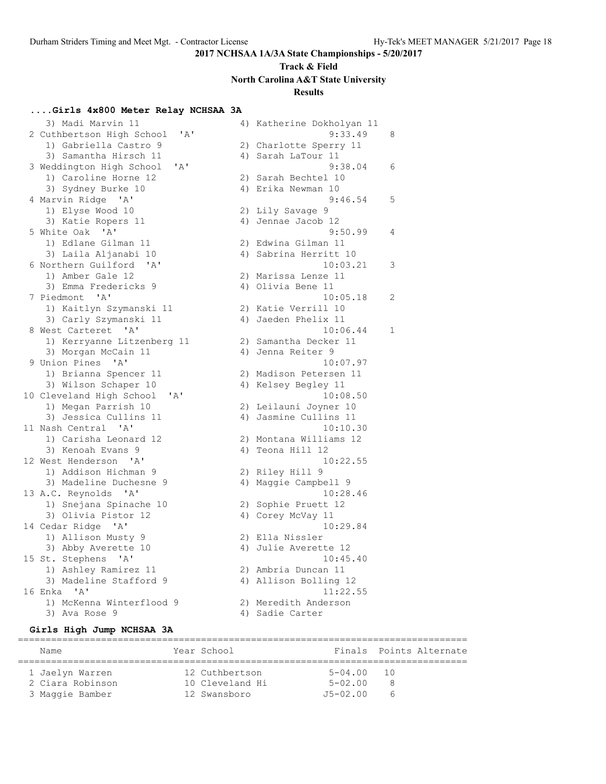## **Track & Field North Carolina A&T State University Results**

### **....Girls 4x800 Meter Relay NCHSAA 3A**

3) Madi Marvin 11 4) Katherine Dokholyan 11 2 Cuthbertson High School 1) Gabriella Castro 9 3) Samantha Hirsch 11 3 Weddington High School 'A 1) Caroline Horne 12 3) Sydney Burke 10 4 Marvin Ridge 'A' 1) Elyse Wood 10 3) Katie Ropers 11 5 White Oak 'A' 1) Edlane Gilman 11 3) Laila Aljanabi 10 6 Northern Guilford 'A' 1) Amber Gale 12 3) Emma Fredericks 9 7 Piedmont 'A' 1) Kaitlyn Szymanski 11 3) Carly Szymanski 11 8 West Carteret 'A' 1) Kerryanne Litzenberg 1 3) Morgan McCain 11 9 Union Pines 'A' 1) Brianna Spencer 11 3) Wilson Schaper 10 10 Cleveland High School 'A 1) Megan Parrish 10 3) Jessica Cullins 11 11 Nash Central 'A' 1) Carisha Leonard 12 3) Kenoah Evans 9 12 West Henderson 'A' 1) Addison Hichman 9 3) Madeline Duchesne 9 13 A.C. Reynolds 'A' 1) Snejana Spinache 10 3) Olivia Pistor 12 14 Cedar Ridge 'A' 1) Allison Musty 9 3) Abby Averette 10 15 St. Stephens 'A' 1) Ashley Ramirez 11 3) Madeline Stafford 9 16 Enka 'A' 1) McKenna Winterflood 9 3) Ava Rose 9 4) Sadie Carter

|       |    | a) varmerine povnoršan ir |   |
|-------|----|---------------------------|---|
| ' A ' |    | 9:33.49                   | 8 |
|       |    | 2) Charlotte Sperry 11    |   |
|       |    | 4) Sarah LaTour 11        |   |
| ı,    |    | 9:38.04                   | 6 |
|       |    | 2) Sarah Bechtel 10       |   |
|       |    |                           |   |
|       | 4) | Erika Newman 10           |   |
|       |    | 9:46.54                   | 5 |
|       | 2) | Lily Savage 9             |   |
|       |    | 4) Jennae Jacob 12        |   |
|       |    | 9:50.99                   | 4 |
|       |    | 2) Edwina Gilman 11       |   |
|       |    | 4) Sabrina Herritt 10     |   |
|       |    | 10:03.21                  | 3 |
|       |    | 2) Marissa Lenze 11       |   |
|       |    | 4) Olivia Bene 11         |   |
|       |    | 10:05.18                  | 2 |
|       |    |                           |   |
|       |    | 2) Katie Verrill 10       |   |
|       |    | 4) Jaeden Phelix 11       |   |
|       |    | 10:06.44                  | 1 |
| 11    |    | 2) Samantha Decker 11     |   |
|       |    | 4) Jenna Reiter 9         |   |
|       |    | 10:07.97                  |   |
|       |    | 2) Madison Petersen 11    |   |
|       |    | 4) Kelsey Begley 11       |   |
|       |    | 10:08.50                  |   |
|       |    | 2) Leilauni Joyner 10     |   |
|       |    | 4) Jasmine Cullins 11     |   |
|       |    | 10:10.30                  |   |
|       |    |                           |   |
|       |    | 2) Montana Williams 12    |   |
|       | 4) | Teona Hill 12             |   |
|       |    | 10:22.55                  |   |
|       |    | 2) Riley Hill 9           |   |
|       |    | 4) Maggie Campbell 9      |   |
|       |    | 10:28.46                  |   |
|       |    | 2) Sophie Pruett 12       |   |
|       | 4) | Corey McVay 11            |   |
|       |    | 10:29.84                  |   |
|       | 2) | Ella Nissler              |   |
|       |    | 4) Julie Averette 12      |   |
|       |    | 10:45.40                  |   |
|       |    | 2) Ambria Duncan 11       |   |
|       |    |                           |   |
|       |    | 4) Allison Bolling 12     |   |
|       |    | 11:22.55                  |   |
|       |    | 2) Meredith Anderson      |   |
|       |    | 1) Sadio Cartor           |   |

#### **Girls High Jump NCHSAA 3A**

================================================================================= Name The Year School The School Finals Points Alternate ================================================================================= 1 Jaelyn Warren 12 Cuthbertson 5-04.00 10 2 Ciara Robinson 10 Cleveland Hi 5-02.00 8 3 Maggie Bamber 12 Swansboro J5-02.00 6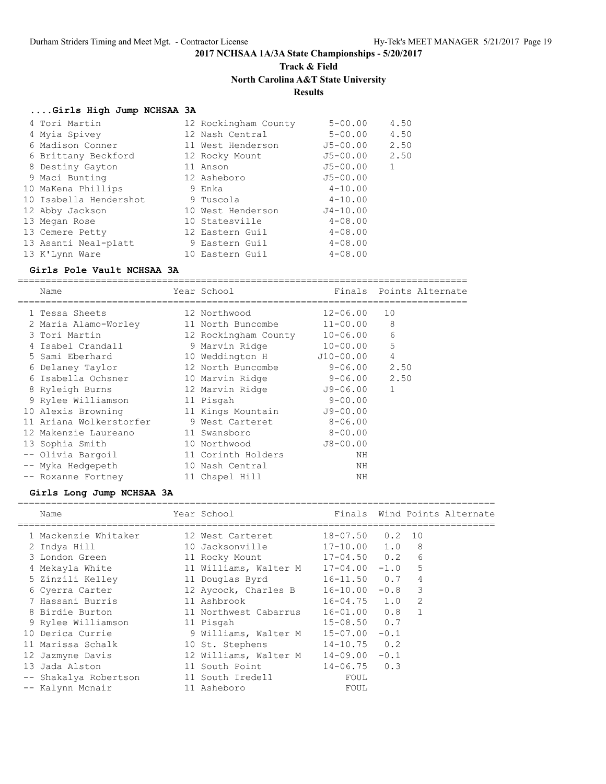## **Track & Field North Carolina A&T State University**

## **Results**

## **....Girls High Jump NCHSAA 3A**

| 4 Tori Martin          | 12 Rockingham County | $5 - 00.00$  | 4.50 |
|------------------------|----------------------|--------------|------|
| 4 Myia Spivey          | 12 Nash Central      | $5 - 00.00$  | 4.50 |
| 6 Madison Conner       | 11 West Henderson    | $J5 - 00.00$ | 2.50 |
| 6 Brittany Beckford    | 12 Rocky Mount       | J5-00.00     | 2.50 |
| 8 Destiny Gayton       | 11 Anson             | $J5 - 00.00$ | 1    |
| 9 Maci Bunting         | 12 Asheboro          | $J5 - 00.00$ |      |
| 10 MaKena Phillips     | 9 Enka               | $4 - 10.00$  |      |
| 10 Isabella Hendershot | 9 Tuscola            | $4 - 10.00$  |      |
| 12 Abby Jackson        | 10 West Henderson    | $J4 - 10.00$ |      |
| 13 Megan Rose          | 10 Statesville       | $4 - 08.00$  |      |
| 13 Cemere Petty        | 12 Eastern Guil      | $4 - 08.00$  |      |
| 13 Asanti Neal-platt   | 9 Eastern Guil       | $4 - 08.00$  |      |
| 13 K'Lynn Ware         | 10 Eastern Guil      | $4 - 08.00$  |      |

### **Girls Pole Vault NCHSAA 3A**

=================================================================================

| Name                    | Year School          | Finals       |                | Points Alternate |
|-------------------------|----------------------|--------------|----------------|------------------|
| 1 Tessa Sheets          | 12 Northwood         | $12 - 06.00$ | 10             |                  |
| 2 Maria Alamo-Worley    | 11 North Buncombe    | $11 - 00.00$ | 8              |                  |
| 3 Tori Martin           | 12 Rockingham County | $10 - 06.00$ | 6              |                  |
| 4 Isabel Crandall       | 9 Marvin Ridge       | $10 - 00.00$ | 5              |                  |
| 5 Sami Eberhard         | 10 Weddington H      | J10-00.00    | $\overline{4}$ |                  |
| 6 Delaney Taylor        | 12 North Buncombe    | $9 - 06.00$  | 2.50           |                  |
| 6 Isabella Ochsner      | 10 Marvin Ridge      | $9 - 06.00$  | 2.50           |                  |
| 8 Ryleigh Burns         | 12 Marvin Ridge      | J9-06.00     | $\mathbf{1}$   |                  |
| 9 Rylee Williamson      | 11 Pisgah            | $9 - 00.00$  |                |                  |
| 10 Alexis Browning      | 11 Kings Mountain    | $J9 - 00.00$ |                |                  |
| 11 Ariana Wolkerstorfer | 9 West Carteret      | $8 - 06.00$  |                |                  |
| 12 Makenzie Laureano    | 11 Swansboro         | $8 - 00.00$  |                |                  |
| 13 Sophia Smith         | 10 Northwood         | $J8 - 00.00$ |                |                  |
| -- Olivia Bargoil       | 11 Corinth Holders   | NΗ           |                |                  |
| -- Myka Hedgepeth       | 10 Nash Central      | NΗ           |                |                  |
| -- Roxanne Fortney      | 11 Chapel Hill       | NΗ           |                |                  |

## **Girls Long Jump NCHSAA 3A**

| Name                                   | Year School                           |                     |  | Finals Wind Points Alternate |
|----------------------------------------|---------------------------------------|---------------------|--|------------------------------|
| 1 Mackenzie Whitaker                   | 12 West Carteret                      | $18 - 07.50$ 0.2 10 |  |                              |
| 2 Indya Hill                           | 10 Jacksonville 17-10.00 1.0 8        |                     |  |                              |
| 3 London Green                         | 11 Rocky Mount 17-04.50 0.2 6         |                     |  |                              |
| 4 Mekayla White                        | 11 Williams, Walter M 17-04.00 -1.0 5 |                     |  |                              |
| 5 Zinzili Kelley                       | 11 Douglas Byrd 16-11.50 0.7 4        |                     |  |                              |
| 6 Cyerra Carter                        | 12 Aycock, Charles B 16-10.00 -0.8 3  |                     |  |                              |
| 7 Hassani Burris<br>11 Ashbrook        |                                       | $16 - 04.75$ 1.0 2  |  |                              |
| 8 Birdie Burton                        | 11 Northwest Cabarrus 16-01.00 0.8 1  |                     |  |                              |
| 9 Rylee Williamson                     | 11 Pisgah                             | $15 - 08.50$ 0.7    |  |                              |
| 10 Derica Currie                       | 9 Williams, Walter M 15-07.00 -0.1    |                     |  |                              |
| 11 Marissa Schalk II                   | 10 St. Stephens 14-10.75 0.2          |                     |  |                              |
| 12 Jazmyne Davis                       | 12 Williams, Walter M $14-09.00 -0.1$ |                     |  |                              |
| 13 Jada Alston                         | 11 South Point                        | $14 - 06.75$ 0.3    |  |                              |
| -- Shakalya Robertson 11 South Iredell |                                       | FOUL                |  |                              |
| -- Kalynn Mcnair                       | 11 Asheboro                           | FOUL                |  |                              |
|                                        |                                       |                     |  |                              |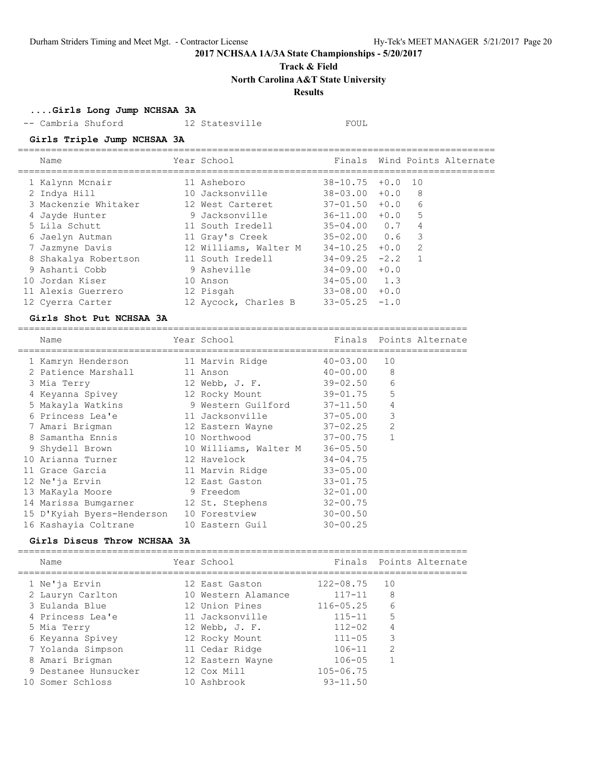**Track & Field**

**North Carolina A&T State University**

## **Results**

**....Girls Long Jump NCHSAA 3A**

-- Cambria Shuford 12 Statesville FOUL

### **Girls Triple Jump NCHSAA 3A**

| Name                 | Year School           | Finals           |        |    | Wind Points Alternate |
|----------------------|-----------------------|------------------|--------|----|-----------------------|
| 1 Kalynn Mcnair      | 11 Asheboro           | $38 - 10.75$     | $+0.0$ | 10 |                       |
| 2 Indya Hill         | 10 Jacksonville       | $38 - 03.00$     | $+0.0$ | 8  |                       |
| 3 Mackenzie Whitaker | 12 West Carteret      | $37 - 01.50$     | $+0.0$ | 6  |                       |
| 4 Jayde Hunter       | 9 Jacksonville        | $36 - 11.00$     | $+0.0$ | -5 |                       |
| 5 Lila Schutt        | 11 South Iredell      | $35 - 04.00 0.7$ |        | 4  |                       |
| 6 Jaelyn Autman      | 11 Gray's Creek       | $35 - 02.00$     | 0.6    | 3  |                       |
| 7 Jazmyne Davis      | 12 Williams, Walter M | $34 - 10.25$     | $+0.0$ | 2  |                       |
| 8 Shakalya Robertson | 11 South Iredell      | $34 - 09.25$     | $-2.2$ |    |                       |
| 9 Ashanti Cobb       | 9 Asheville           | $34 - 09.00$     | $+0.0$ |    |                       |
| 10 Jordan Kiser      | 10 Anson              | $34 - 05.00$     | 1.3    |    |                       |
| 11 Alexis Guerrero   | 12 Pisgah             | $33 - 08.00$     | $+0.0$ |    |                       |
| 12 Cyerra Carter     | 12 Aycock, Charles B  | $33 - 05.25$     | $-1.0$ |    |                       |

### **Girls Shot Put NCHSAA 3A**

| Name                               | Year School                 |               |                | Finals Points Alternate |
|------------------------------------|-----------------------------|---------------|----------------|-------------------------|
| 1 Kamryn Henderson 11 Marvin Ridge |                             | 40-03.00      | 10             |                         |
| 2 Patience Marshall                | 11 Anson                    | $40 - 00.00$  | 8              |                         |
| 3 Mia Terry                        | 12 Webb, J. F.              | $39 - 02.50$  | 6              |                         |
| 4 Keyanna Spivey                   | 12 Rocky Mount              | $39 - 01, 75$ | 5              |                         |
| 5 Makayla Watkins                  | 9 Western Guilford 37-11.50 |               | $\overline{4}$ |                         |
| 6 Princess Lea'e                   | 11 Jacksonville             | $37 - 05.00$  | 3              |                         |
| 7 Amari Brigman                    | 12 Eastern Wayne 37-02.25   |               | $\overline{2}$ |                         |
| 8 Samantha Ennis                   | 10 Northwood                | $37 - 00.75$  | $\mathbf{1}$   |                         |
| 9 Shydell Brown                    | 10 Williams, Walter M       | $36 - 05.50$  |                |                         |
| 10 Arianna Turner                  | 12 Havelock                 | $34 - 04.75$  |                |                         |
| 11 Grace Garcia                    | 11 Marvin Ridge             | $33 - 05.00$  |                |                         |
| 12 Ne'ja Ervin                     | 12 East Gaston              | 33-01.75      |                |                         |
| 13 MaKayla Moore                   | 9 Freedom                   | $32 - 01.00$  |                |                         |
| 14 Marissa Bumgarner               | 12 St. Stephens             | $32 - 00.75$  |                |                         |
| 15 D'Kyiah Byers-Henderson         | 10 Forestview               | $30 - 00.50$  |                |                         |
| 16 Kashayia Coltrane               | 10 Eastern Guil             | $30 - 00.25$  |                |                         |
|                                    |                             |               |                |                         |

### **Girls Discus Throw NCHSAA 3A**

|  | Name                 | Year School         |               | Finals Points Alternate |
|--|----------------------|---------------------|---------------|-------------------------|
|  | 1 Ne'ja Ervin        | 12 East Gaston      | 122-08.75     | 10                      |
|  | 2 Lauryn Carlton     | 10 Western Alamance | $117 - 11$    | 8                       |
|  | 3 Eulanda Blue       | 12 Union Pines      | $116 - 05.25$ | 6                       |
|  | 4 Princess Lea'e     | 11 Jacksonville     | $115 - 11$    | 5                       |
|  | 5 Mia Terry          | 12 Webb, J. F.      | $112 - 02$    | 4                       |
|  | 6 Keyanna Spivey     | 12 Rocky Mount      | $111 - 05$    | 3                       |
|  | 7 Yolanda Simpson    | 11 Cedar Ridge      | $106 - 11$    | $\mathfrak{D}$          |
|  | 8 Amari Brigman      | 12 Eastern Wayne    | $106 - 05$    |                         |
|  | 9 Destanee Hunsucker | 12 Cox Mill         | $105 - 06.75$ |                         |
|  | 10 Somer Schloss     | 10 Ashbrook         | $93 - 11.50$  |                         |
|  |                      |                     |               |                         |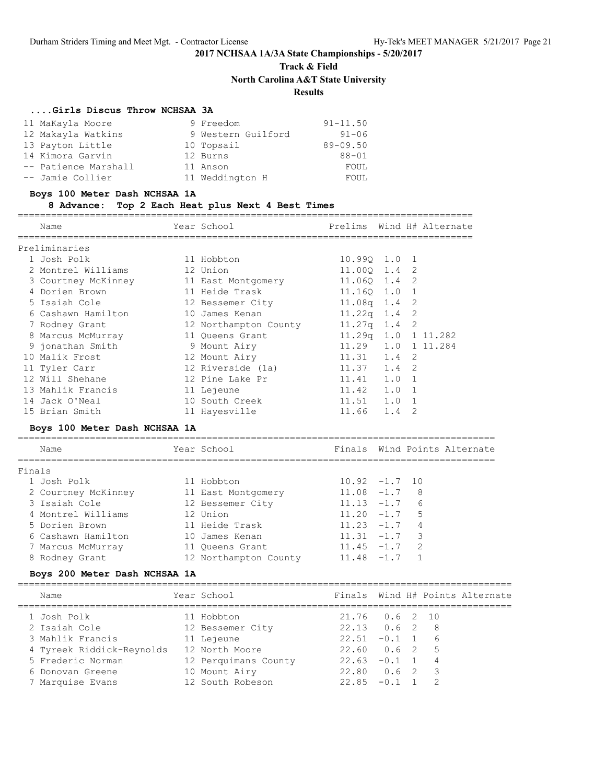## **Track & Field North Carolina A&T State University Results**

### **....Girls Discus Throw NCHSAA 3A**

| 11 MaKayla Moore     | 9 Freedom          | $91 - 11.50$ |
|----------------------|--------------------|--------------|
| 12 Makayla Watkins   | 9 Western Guilford | $91 - 06$    |
| 13 Payton Little     | 10 Topsail         | $89 - 09.50$ |
| 14 Kimora Garvin     | 12 Burns           | $88 - 01$    |
| -- Patience Marshall | 11 Anson           | FOUL         |
| -- Jamie Collier     | 11 Weddington H    | FOUL         |

### **Boys 100 Meter Dash NCHSAA 1A**

### **8 Advance: Top 2 Each Heat plus Next 4 Best Times**

==================================================================================

|        | Name                          | Year School                                          | Prelims         |          |                | Wind H# Alternate               |
|--------|-------------------------------|------------------------------------------------------|-----------------|----------|----------------|---------------------------------|
|        | Preliminaries                 |                                                      |                 |          |                |                                 |
|        | 1 Josh Polk                   | 11 Hobbton                                           | 10.990 1.0      |          | 1              |                                 |
|        | 2 Montrel Williams            | 12 Union                                             | 11.000 1.4      |          | 2              |                                 |
|        | 3 Courtney McKinney           | 11 East Montgomery                                   | 11.06Q 1.4      |          | 2              |                                 |
|        | 4 Dorien Brown                | 11 Heide Trask                                       | 11.160 1.0      |          | $\mathbf{1}$   |                                 |
|        | 5 Isaiah Cole                 | 12 Bessemer City                                     | $11.08q$ 1.4    |          | $\mathbf{2}$   |                                 |
|        | 6 Cashawn Hamilton            | 10 James Kenan                                       | $11.22q$ 1.4    |          | 2              |                                 |
|        | 7 Rodney Grant                | 12 Northampton County                                | $11.27q$ 1.4    |          | 2              |                                 |
|        | 8 Marcus McMurray             | 11 Queens Grant                                      | $11.29q$ $1.0$  |          |                | 1 11.282                        |
|        | 9 jonathan Smith              | 9 Mount Airy                                         | 11.29           | 1.0      |                | 1 11.284                        |
|        | 10 Malik Frost                | 12 Mount Airy                                        | 11.31           | 1.4      | 2              |                                 |
|        | 11 Tyler Carr                 | 12 Riverside (1a)                                    | 11.37 1.4       |          | 2              |                                 |
|        | 12 Will Shehane               | 12 Pine Lake Pr                                      | $11.41$ $1.0$   |          | $\mathbf{1}$   |                                 |
|        | 13 Mahlik Francis             | 11 Lejeune                                           | 11.42           | 1.0      | 1              |                                 |
|        | 14 Jack O'Neal                | 10 South Creek                                       | $11.51$ $1.0$ 1 |          |                |                                 |
|        | 15 Brian Smith                | 11 Hayesville                                        | 11.66 1.4       |          | 2              |                                 |
|        | Boys 100 Meter Dash NCHSAA 1A |                                                      |                 |          |                |                                 |
|        | Name                          | Year School                                          |                 |          |                | Finals Wind Points Alternate    |
| Finals |                               |                                                      |                 |          |                |                                 |
|        | 1 Josh Polk                   | 11 Hobbton<br>11 East Montgomery<br>12 Bessemer City | $10.92 -1.7$    |          | 10             |                                 |
|        | 2 Courtney McKinney           |                                                      | $11.08 -1.7$ 8  |          |                |                                 |
|        | 3 Isaiah Cole                 |                                                      | $11.13 -1.7$ 6  |          |                |                                 |
|        | 4 Montrel Williams            | 12 Union                                             | $11.20 -1.7$ 5  |          |                |                                 |
|        | 5 Dorien Brown                | 11 Heide Trask                                       | $11.23 - 1.7$ 4 |          |                |                                 |
|        | 6 Cashawn Hamilton            | 10 James Kenan                                       | $11.31 -1.7$ 3  |          |                |                                 |
|        | 7 Marcus McMurray             | 11 Queens Grant                                      | $11.45 - 1.7$ 2 |          |                |                                 |
|        | 8 Rodney Grant                | 12 Northampton County 11.48 -1.7                     |                 |          | $\mathbf{1}$   |                                 |
|        | Boys 200 Meter Dash NCHSAA 1A |                                                      |                 |          |                |                                 |
|        | Name                          | Year School                                          |                 |          |                | Finals Wind H# Points Alternate |
|        | 1 Josh Polk                   | 11 Hobbton                                           | 21.76 0.6       |          | 2              | 10                              |
|        | 2 Isaiah Cole                 | 12 Bessemer City                                     | 22.13 0.6 2     |          |                | 8                               |
|        | 3 Mahlik Francis 11 Lejeune   |                                                      | 22.51           | $-0.1$ 1 |                | 6                               |
|        | 4 Tyreek Riddick-Reynolds     | 12 North Moore                                       | 22.60           | 0.6      | $\overline{2}$ | 5                               |

 5 Frederic Norman 12 Perquimans County 22.63 -0.1 1 4 6 Donovan Greene 10 Mount Airy 22.80 0.6 2 3 7 Marquise Evans 12 South Robeson 22.85 -0.1 1 2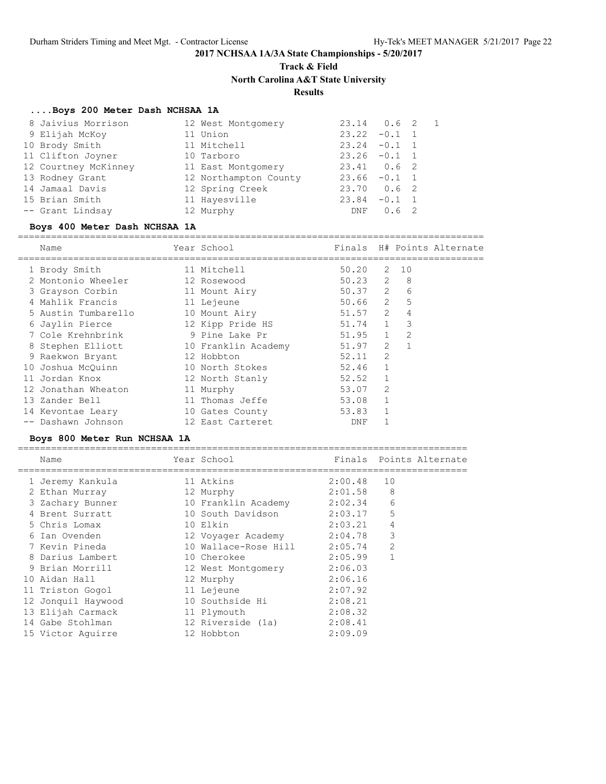## **Track & Field**

**North Carolina A&T State University**

### **Results**

### **....Boys 200 Meter Dash NCHSAA 1A**

| 8 Jaivius Morrison   | 12 West Montgomery    | $23.14$ 0.6 2   |               | $\sqrt{1}$ |
|----------------------|-----------------------|-----------------|---------------|------------|
| 9 Elijah McKoy       | 11 Union              | $23.22 -0.1$ 1  |               |            |
| 10 Brody Smith       | 11 Mitchell           | $23.24 -0.1$ 1  |               |            |
| 11 Clifton Joyner    | 10 Tarboro            | $23.26 -0.1 1$  |               |            |
| 12 Courtney McKinney | 11 East Montgomery    | $23.41$ 0.6 2   |               |            |
| 13 Rodney Grant      | 12 Northampton County | $23.66 - 0.1 1$ |               |            |
| 14 Jamaal Davis      | 12 Spring Creek       | $23.70$ 0.6 2   |               |            |
| 15 Brian Smith       | 11 Hayesville         | 23.84           | $-0.1$ 1      |            |
| -- Grant Lindsay     | 12 Murphy             | DNF             | $0.6 \quad 2$ |            |
|                      |                       |                 |               |            |

### **Boys 400 Meter Dash NCHSAA 1A**

====================================================================================

| Name                                                            | ======================== | Year School      | Finals                                               |              | H# Points Alternate |
|-----------------------------------------------------------------|--------------------------|------------------|------------------------------------------------------|--------------|---------------------|
| 1 Brody Smith                                                   | 11 Mitchell              |                  | $50.20$ 2 10                                         |              |                     |
| 2 Montonio Wheeler 12 Rosewood                                  |                          |                  | 50.23 2 8                                            |              |                     |
| 3 Grayson Corbin 11 Mount Airy                                  |                          |                  | $50.37$ 2 6                                          |              |                     |
| 4 Mahlik Francis                                                |                          | 11 Lejeune       | $50.66$ 2 5                                          |              |                     |
| 5 Austin Tumbarello 10 Mount Airy                               |                          |                  | $51.57$ 2 4                                          |              |                     |
| 6 Jaylin Pierce 12 Kipp Pride HS 51.74 1 3                      |                          |                  |                                                      |              |                     |
| 7 Cole Krehnbrink 9 Pine Lake Pr 51.95 1 2                      |                          |                  |                                                      |              |                     |
| 8 Stephen Elliott 10 Franklin Academy 51.97 2 1                 |                          |                  |                                                      |              |                     |
| 9 Raekwon Bryant                                                | 12 Hobbton               |                  | 52.11                                                | 2            |                     |
| 10 Joshua McQuinn 10 North Stokes                               |                          |                  | $52.46$ 1                                            |              |                     |
| 11 Jordan Knox                                                  |                          | 12 North Stanly  | $52.52$ 1                                            |              |                     |
| 12 Jonathan Wheaton 11 Murphy                                   |                          |                  | 53.07 2                                              |              |                     |
| 13 Zander Bell                                                  |                          | 11 Thomas Jeffe  | 53.08 1                                              |              |                     |
| 14 Kevontae Leary 10 Gates County                               |                          |                  | 53.83 1                                              |              |                     |
| -- Dashawn Johnson                                              |                          | 12 East Carteret | DNF                                                  | $\mathbf{1}$ |                     |
| Boys 800 Meter Run NCHSAA 1A                                    |                          |                  |                                                      |              |                     |
| Name                                                            | Year School              |                  | Finals Points Alternate                              |              |                     |
| =================================<br>1 Jeremy Kankula 11 Atkins |                          |                  | ====================================<br>$2:00.48$ 10 |              |                     |
| 2 Ethan Murray                                                  | 12 Murphy                |                  | 2:01.58                                              | 8            |                     |
|                                                                 |                          |                  | 2:02.34                                              | 6            |                     |

 4 Brent Surratt 10 South Davidson 2:03.17 5 5 Chris Lomax 10 Elkin 2:03.21 4 6 Ian Ovenden 12 Voyager Academy 2:04.78 3 7 Kevin Pineda 10 Wallace-Rose Hill 2:05.74 2 8 Darius Lambert 10 Cherokee 2:05.99 1 9 Brian Morrill 12 West Montgomery 2:06.03 10 Aidan Hall 12 Murphy 2:06.16 11 Triston Gogol 11 Lejeune 2:07.92 12 Jonquil Haywood 10 Southside Hi 2:08.21 13 Elijah Carmack 11 Plymouth 2:08.32 14 Gabe Stohlman 12 Riverside (1a) 2:08.41 15 Victor Aguirre 12 Hobbton 2:09.09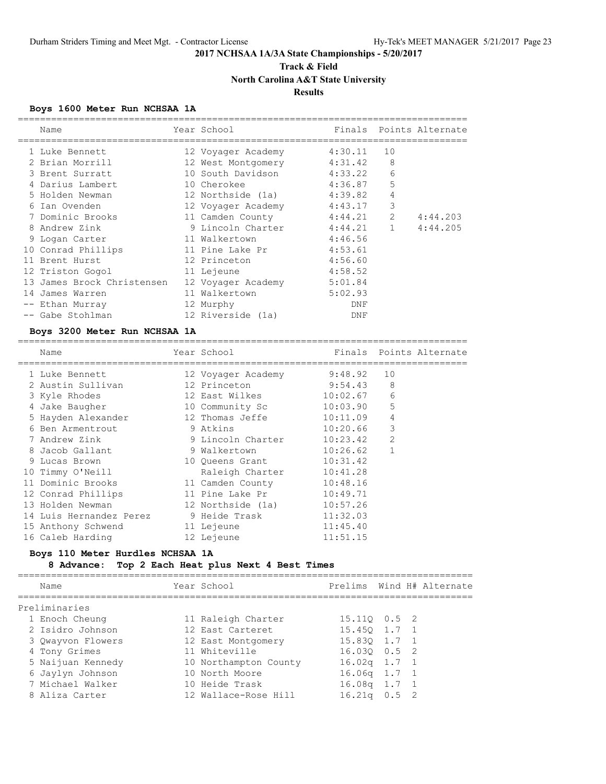## **Track & Field North Carolina A&T State University Results**

## **Boys 1600 Meter Run NCHSAA 1A**

|    | Name                       | Year School        | Finals  |                | Points Alternate |
|----|----------------------------|--------------------|---------|----------------|------------------|
|    | 1 Luke Bennett             | 12 Voyager Academy | 4:30.11 | 10             |                  |
|    | 2 Brian Morrill            | 12 West Montgomery | 4:31.42 | 8              |                  |
|    | 3 Brent Surratt            | 10 South Davidson  | 4:33.22 | 6              |                  |
|    | 4 Darius Lambert           | 10 Cherokee        | 4:36.87 | 5              |                  |
|    | 5 Holden Newman            | 12 Northside (1a)  | 4:39.82 | 4              |                  |
| 6  | Ian Ovenden                | 12 Voyager Academy | 4:43.17 | 3              |                  |
|    | 7 Dominic Brooks           | 11 Camden County   | 4:44.21 | $\overline{2}$ | 4:44.203         |
|    | 8 Andrew Zink              | 9 Lincoln Charter  | 4:44.21 | $\mathbf{1}$   | 4:44.205         |
|    | 9 Logan Carter             | 11 Walkertown      | 4:46.56 |                |                  |
|    | 10 Conrad Phillips         | 11 Pine Lake Pr    | 4:53.61 |                |                  |
|    | 11 Brent Hurst             | 12 Princeton       | 4:56.60 |                |                  |
|    | 12 Triston Gogol           | 11 Lejeune         | 4:58.52 |                |                  |
|    | 13 James Brock Christensen | 12 Voyager Academy | 5:01.84 |                |                  |
| 14 | James Warren               | 11 Walkertown      | 5:02.93 |                |                  |
|    | Ethan Murray               | 12 Murphy          | DNF     |                |                  |
|    | -- Gabe Stohlman           | 12 Riverside (1a)  | DNF     |                |                  |

### **Boys 3200 Meter Run NCHSAA 1A**

| Name                    | Year School        |          | Finals Points Alternate |
|-------------------------|--------------------|----------|-------------------------|
| 1 Luke Bennett          | 12 Voyager Academy | 9:48.92  | 10                      |
| 2 Austin Sullivan       | 12 Princeton       | 9:54.43  | 8                       |
| 3 Kyle Rhodes           | 12 East Wilkes     | 10:02.67 | 6                       |
| 4 Jake Baugher          | 10 Community Sc    | 10:03.90 | 5                       |
| 5 Hayden Alexander      | 12 Thomas Jeffe    | 10:11.09 | 4                       |
| 6 Ben Armentrout        | 9 Atkins           | 10:20.66 | 3                       |
| 7 Andrew Zink           | 9 Lincoln Charter  | 10:23.42 | $\overline{2}$          |
| 8 Jacob Gallant         | 9 Walkertown       | 10:26.62 |                         |
| 9 Lucas Brown           | 10 Queens Grant    | 10:31.42 |                         |
| 10 Timmy O'Neill        | Raleigh Charter    | 10:41.28 |                         |
| 11 Dominic Brooks       | 11 Camden County   | 10:48.16 |                         |
| 12 Conrad Phillips      | 11 Pine Lake Pr    | 10:49.71 |                         |
| 13 Holden Newman        | 12 Northside (1a)  | 10:57.26 |                         |
| 14 Luis Hernandez Perez | 9 Heide Trask      | 11:32.03 |                         |
| 15 Anthony Schwend      | 11 Lejeune         | 11:45.40 |                         |
| 16 Caleb Harding        | 12 Lejeune         | 11:51.15 |                         |

### **Boys 110 Meter Hurdles NCHSAA 1A**

### **8 Advance: Top 2 Each Heat plus Next 4 Best Times**

| Name              | Year School           |                |  | Prelims Wind H# Alternate |
|-------------------|-----------------------|----------------|--|---------------------------|
| Preliminaries     |                       |                |  |                           |
| 1 Enoch Cheung    | 11 Raleigh Charter    | 15.110 0.5 2   |  |                           |
| 2 Isidro Johnson  | 12 East Carteret      | 15.450 1.7 1   |  |                           |
| 3 Qwayvon Flowers | 12 East Montgomery    | 15.830 1.7 1   |  |                           |
| 4 Tony Grimes     | 11 Whiteville         | 16.030 0.5 2   |  |                           |
| 5 Naijuan Kennedy | 10 Northampton County | $16.02q$ 1.7 1 |  |                           |
| 6 Jaylyn Johnson  | 10 North Moore        | $16.06q$ 1.7 1 |  |                           |
| 7 Michael Walker  | 10 Heide Trask        | $16.08q$ 1.7 1 |  |                           |
| 8 Aliza Carter    | 12 Wallace-Rose Hill  | $16.21q$ 0.5 2 |  |                           |
|                   |                       |                |  |                           |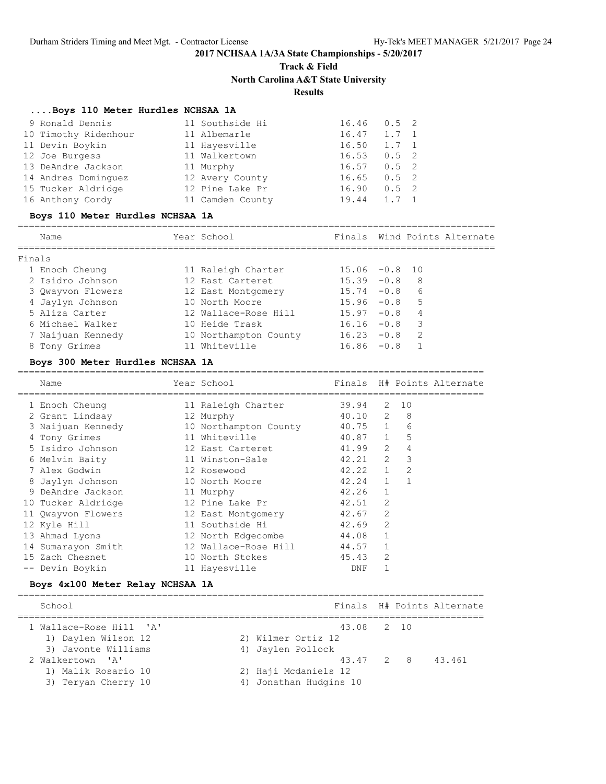# **Track & Field**

**North Carolina A&T State University**

## **Results**

### **....Boys 110 Meter Hurdles NCHSAA 1A**

| 9 Ronald Dennis      | 11 Southside Hi  | 16.46 | $0.5$ 2       |  |
|----------------------|------------------|-------|---------------|--|
| 10 Timothy Ridenhour | 11 Albemarle     | 16.47 | $1.7 \quad 1$ |  |
| 11 Devin Boykin      | 11 Hayesville    | 16.50 | $1.7 \quad 1$ |  |
| 12 Joe Burgess       | 11 Walkertown    | 16.53 | $0.5 \quad 2$ |  |
| 13 DeAndre Jackson   | 11 Murphy        | 16.57 | $0.5 \quad 2$ |  |
| 14 Andres Dominquez  | 12 Avery County  | 16.65 | $0.5 \quad 2$ |  |
| 15 Tucker Aldridge   | 12 Pine Lake Pr  | 16.90 | $0.5 \quad 2$ |  |
| 16 Anthony Cordy     | 11 Camden County | 19.44 | $1.7 \quad 1$ |  |

### **Boys 110 Meter Hurdles NCHSAA 1A**

| Name              | Year School           |                  | Finals Wind Points Alternate |
|-------------------|-----------------------|------------------|------------------------------|
| Finals            |                       |                  |                              |
| 1 Enoch Cheung    | 11 Raleigh Charter    | $15.06 - 0.8 10$ |                              |
| 2 Isidro Johnson  | 12 East Carteret      | $15.39 - 0.8$    | 8                            |
| 3 Qwayvon Flowers | 12 East Montgomery    | $15.74 - 0.8$    | 6                            |
| 4 Jaylyn Johnson  | 10 North Moore        | $15.96 -0.8$ 5   |                              |
| 5 Aliza Carter    | 12 Wallace-Rose Hill  | $15.97 - 0.8$    | 4                            |
| 6 Michael Walker  | 10 Heide Trask        | $16.16 - 0.8$    | 3                            |
| 7 Naijuan Kennedy | 10 Northampton County | $16.23 - 0.8$    | $\overline{2}$               |
| 8 Tony Grimes     | 11 Whiteville         | $16.86 - 0.8$    |                              |
|                   |                       |                  |                              |

### **Boys 300 Meter Hurdles NCHSAA 1A**

| Name               | Year School           |             |                |                | Finals H# Points Alternate |
|--------------------|-----------------------|-------------|----------------|----------------|----------------------------|
|                    |                       |             |                |                |                            |
| 1 Enoch Cheung     | 11 Raleigh Charter    | 39.94       | 2              | 10             |                            |
| 2 Grant Lindsay    | 12 Murphy             | $40.10$ 2   |                | 8              |                            |
| 3 Naijuan Kennedy  | 10 Northampton County | 40.75 1     |                | 6              |                            |
| 4 Tony Grimes      | 11 Whiteville         | $40.87$ 1   |                | 5              |                            |
| 5 Isidro Johnson   | 12 East Carteret      | 41.99 2     |                | $\overline{4}$ |                            |
| 6 Melvin Baity     | 11 Winston-Sale       | $42.21$ 2   |                | 3              |                            |
| 7 Alex Godwin      | 12 Rosewood           | $42.22 \t1$ |                | 2              |                            |
| 8 Jaylyn Johnson   | 10 North Moore        | 42.24       | $\mathbf{1}$   | $\mathbf{1}$   |                            |
| 9 DeAndre Jackson  | 11 Murphy             | 42.26       | $\mathbf{1}$   |                |                            |
| 10 Tucker Aldridge | 12 Pine Lake Pr       | 42.51       | $\mathfrak{D}$ |                |                            |
| 11 Qwayvon Flowers | 12 East Montgomery    | 42.67       | 2              |                |                            |
| 12 Kyle Hill       | 11 Southside Hi       | 42.69       | $\mathfrak{D}$ |                |                            |
| 13 Ahmad Lyons     | 12 North Edgecombe    | 44.08       | $\mathbf{1}$   |                |                            |
| 14 Sumarayon Smith | 12 Wallace-Rose Hill  | 44.57       | $\mathbf{1}$   |                |                            |
| 15 Zach Chesnet    | 10 North Stokes       | 45.43       | 2              |                |                            |
| Devin Boykin       | 11 Hayesville         | DNF         |                |                |                            |
|                    |                       |             |                |                |                            |

### **Boys 4x100 Meter Relay NCHSAA 1A**

| School                  |                        |  | Finals H# Points Alternate |
|-------------------------|------------------------|--|----------------------------|
| 1 Wallace-Rose Hill 'A' | 43.08 2 10             |  |                            |
| 1) Daylen Wilson 12     | 2) Wilmer Ortiz 12     |  |                            |
| 3) Javonte Williams     | 4) Jaylen Pollock      |  |                            |
| 2 Walkertown 'A'        | 43.47 2 8              |  | 43.461                     |
| 1) Malik Rosario 10     | 2) Haji Mcdaniels 12   |  |                            |
| 3) Teryan Cherry 10     | 4) Jonathan Hudgins 10 |  |                            |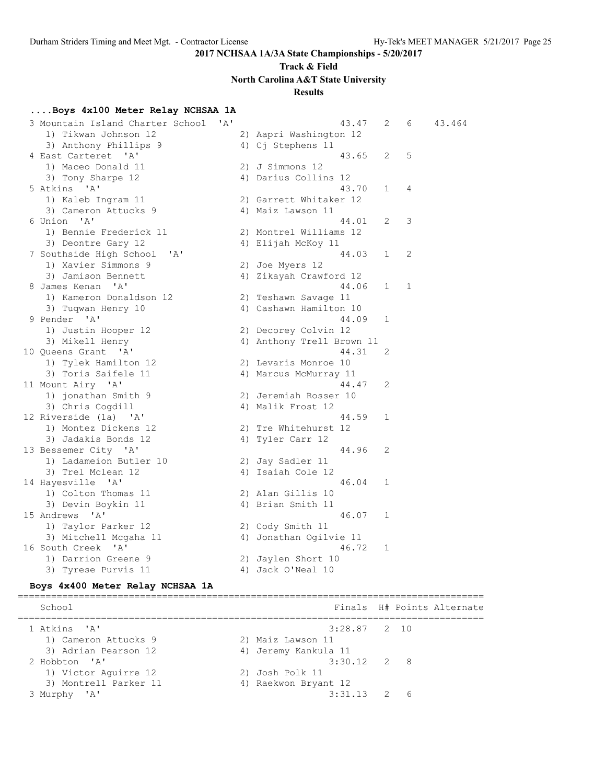## **Track & Field**

**North Carolina A&T State University**

## **Results**

### **....Boys 4x100 Meter Relay NCHSAA 1A**

| 3 Mountain Island Charter School | ' A ' | 43.47                     | 2            | 6 | 43.464 |
|----------------------------------|-------|---------------------------|--------------|---|--------|
| 1) Tikwan Johnson 12             |       | 2) Aapri Washington 12    |              |   |        |
| 3) Anthony Phillips 9            |       | 4) Cj Stephens 11         |              |   |        |
| 4 East Carteret 'A'              |       | 43.65                     | 2            | 5 |        |
| 1) Maceo Donald 11               |       | 2) J Simmons 12           |              |   |        |
| 3) Tony Sharpe 12                |       | 4) Darius Collins 12      |              |   |        |
| 5 Atkins 'A'                     |       | 43.70                     | $\mathbf{1}$ | 4 |        |
| 1) Kaleb Ingram 11               |       | 2) Garrett Whitaker 12    |              |   |        |
| 3) Cameron Attucks 9             |       | 4) Maiz Lawson 11         |              |   |        |
| 6 Union 'A'                      |       | 44.01                     | 2            | 3 |        |
| 1) Bennie Frederick 11           |       | 2) Montrel Williams 12    |              |   |        |
| 3) Deontre Gary 12               |       | 4) Elijah McKoy 11        |              |   |        |
| 7 Southside High School<br>'A'   |       | 44.03                     | 1            | 2 |        |
| 1) Xavier Simmons 9              |       | 2) Joe Myers 12           |              |   |        |
| 3) Jamison Bennett               |       | 4) Zikayah Crawford 12    |              |   |        |
| 8 James Kenan 'A'                |       | 44.06                     | 1            | 1 |        |
| 1) Kameron Donaldson 12          |       | 2) Teshawn Savage 11      |              |   |        |
| 3) Tuqwan Henry 10               |       | 4) Cashawn Hamilton 10    |              |   |        |
| 9 Pender 'A'                     |       | 44.09                     | $\mathbf 1$  |   |        |
| 1) Justin Hooper 12              |       | 2) Decorey Colvin 12      |              |   |        |
| 3) Mikell Henry                  |       | 4) Anthony Trell Brown 11 |              |   |        |
| 10 Queens Grant 'A'              |       | 44.31                     | 2            |   |        |
| 1) Tylek Hamilton 12             |       | 2) Levaris Monroe 10      |              |   |        |
| 3) Toris Saifele 11              |       | 4) Marcus McMurray 11     |              |   |        |
| 11 Mount Airy 'A'                |       | 44.47                     | 2            |   |        |
| 1) jonathan Smith 9              |       | 2) Jeremiah Rosser 10     |              |   |        |
| 3) Chris Cogdill                 |       | 4) Malik Frost 12         |              |   |        |
| 12 Riverside (1a) 'A'            |       | 44.59                     | 1            |   |        |
| 1) Montez Dickens 12             |       | 2) Tre Whitehurst 12      |              |   |        |
| 3) Jadakis Bonds 12              |       | 4) Tyler Carr 12          |              |   |        |
| 13 Bessemer City 'A'             |       | 44.96                     | 2            |   |        |
| 1) Ladameion Butler 10           |       | 2) Jay Sadler 11          |              |   |        |
| 3) Trel Mclean 12                |       | 4) Isaiah Cole 12         |              |   |        |
| 14 Hayesville 'A'                |       | 46.04                     | 1            |   |        |
| 1) Colton Thomas 11              |       | 2) Alan Gillis 10         |              |   |        |
| 3) Devin Boykin 11               |       | 4) Brian Smith 11         |              |   |        |
| 15 Andrews 'A'                   |       | 46.07                     | 1            |   |        |
| 1) Taylor Parker 12              |       | 2) Cody Smith 11          |              |   |        |
| 3) Mitchell Mcgaha 11            |       | 4) Jonathan Ogilvie 11    |              |   |        |
| 16 South Creek 'A'               |       | 46.72                     | 1            |   |        |
| 1) Darrion Greene 9              |       | 2) Jaylen Short 10        |              |   |        |
| 3) Tyrese Purvis 11              |       | 4) Jack O'Neal 10         |              |   |        |
|                                  |       |                           |              |   |        |

### **Boys 4x400 Meter Relay NCHSAA 1A**

==================================================================================== School **Finals H# Points Alternate** ====================================================================================  $3:28.87$  2 10 1) Cameron Attucks 9 2) Maiz Lawson 11 3) Adrian Pearson 12 1988 (4) Jeremy Kankula 11 2 Hobbton 'A' 3:30.12 2 8 1) Victor Aguirre 12 2) Josh Polk 11 3) Montrell Parker 11 1988 (4) Raekwon Bryant 12 3 Murphy 'A' 3:31.13 2 6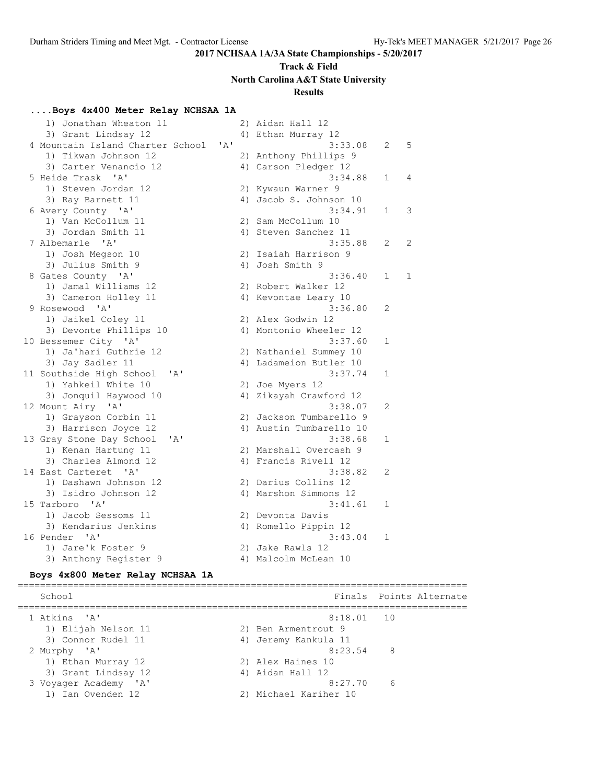## **Track & Field North Carolina A&T State University**

### **Results**

### **....Boys 4x400 Meter Relay NCHSAA 1A**

| 1) Jonathan Wheaton 11                      |  | 2) Aidan Hall 12                   |              |              |
|---------------------------------------------|--|------------------------------------|--------------|--------------|
| 3) Grant Lindsay 12                         |  | 4) Ethan Murray 12                 |              |              |
| 4 Mountain Island Charter School 'A'        |  | 3:33.08                            | 2            | 5            |
| 1) Tikwan Johnson 12                        |  | 2) Anthony Phillips 9              |              |              |
| 3) Carter Venancio 12                       |  | 4) Carson Pledger 12               |              |              |
| 5 Heide Trask 'A'                           |  | 3:34.88                            | 1            | 4            |
| 1) Steven Jordan 12                         |  | 2) Kywaun Warner 9                 |              |              |
| 3) Ray Barnett 11                           |  | 4) Jacob S. Johnson 10             |              |              |
| 6 Avery County 'A'                          |  | 3:34.91                            | $\mathbf{1}$ | 3            |
| 1) Van McCollum 11                          |  | 2) Sam McCollum 10                 |              |              |
| 3) Jordan Smith 11                          |  | 4) Steven Sanchez 11               |              |              |
| 7 Albemarle<br>$^{\prime}$ A                |  | 3:35.88                            | 2            | 2            |
| 1) Josh Megson 10                           |  | 2) Isaiah Harrison 9               |              |              |
| 3) Julius Smith 9                           |  | 4) Josh Smith 9                    |              |              |
| 8 Gates County 'A'                          |  | 3:36.40                            | 1            | $\mathbf{1}$ |
| 1) Jamal Williams 12                        |  | 2) Robert Walker 12                |              |              |
| 3) Cameron Holley 11                        |  | 4) Kevontae Leary 10               |              |              |
| 9 Rosewood 'A'                              |  | 3:36.80                            | 2            |              |
| 1) Jaikel Coley 11                          |  | 2) Alex Godwin 12                  |              |              |
| 3) Devonte Phillips 10                      |  | 4) Montonio Wheeler 12             |              |              |
| 10 Bessemer City 'A'                        |  | 3:37.60                            | 1            |              |
| 1) Ja'hari Guthrie 12                       |  | 2) Nathaniel Summey 10             |              |              |
| 3) Jay Sadler 11                            |  | 4) Ladameion Butler 10             |              |              |
| 11 Southside High School<br>"A"             |  | 3:37.74                            | 1            |              |
| 1) Yahkeil White 10                         |  | 2) Joe Myers 12                    |              |              |
| 3) Jonquil Haywood 10                       |  | 4) Zikayah Crawford 12             |              |              |
| 12 Mount Airy 'A'                           |  | 3:38.07                            | 2            |              |
| 1) Grayson Corbin 11                        |  | 2) Jackson Tumbarello 9            |              |              |
| 3) Harrison Joyce 12<br>'A'                 |  | 4) Austin Tumbarello 10<br>3:38.68 | $\mathbf{1}$ |              |
| 13 Gray Stone Day School                    |  | 2) Marshall Overcash 9             |              |              |
| 1) Kenan Hartung 11<br>3) Charles Almond 12 |  | 4) Francis Rivell 12               |              |              |
| 14 East Carteret 'A'                        |  | 3:38.82                            | 2            |              |
| 1) Dashawn Johnson 12                       |  | 2) Darius Collins 12               |              |              |
| 3) Isidro Johnson 12                        |  | 4) Marshon Simmons 12              |              |              |
| 15 Tarboro 'A'                              |  | 3:41.61                            | 1            |              |
| 1) Jacob Sessoms 11                         |  | 2) Devonta Davis                   |              |              |
| 3) Kendarius Jenkins                        |  | 4) Romello Pippin 12               |              |              |
| 16 Pender 'A'                               |  | 3:43.04                            | $\mathbf{1}$ |              |
| 1) Jare'k Foster 9                          |  | 2) Jake Rawls 12                   |              |              |
| 3) Anthony Register 9                       |  | 4) Malcolm McLean 10               |              |              |
|                                             |  |                                    |              |              |

### **Boys 4x800 Meter Relay NCHSAA 1A**

================================================================================= School **Finals** Points Alternate =================================================================================  $8:18.01$  10 1) Elijah Nelson 11 2) Ben Armentrout 9 3) Connor Rudel 11 (4) Jeremy Kankula 11 2 Murphy 'A' 8:23.54 8 1) Ethan Murray 12 2) Alex Haines 10 3) Grant Lindsay 12 (4) Aidan Hall 12 3 Voyager Academy 'A' 8:27.70 6 1) Ian Ovenden 12 2) Michael Kariher 10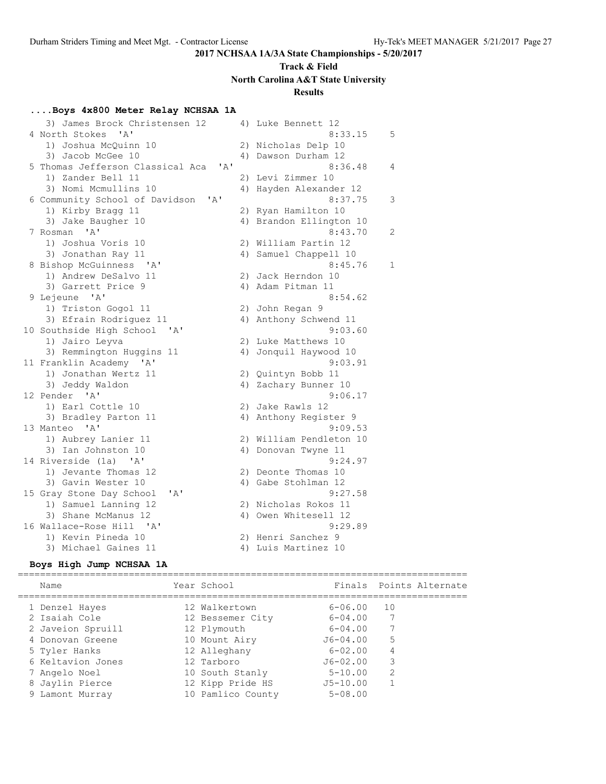## **Track & Field North Carolina A&T State University Results**

## **....Boys 4x800 Meter Relay NCHSAA 1A**

| 3) James Brock Christensen 12               |    | 4) Luke Bennett 12      |   |
|---------------------------------------------|----|-------------------------|---|
| 4 North Stokes<br>$^{\prime}$ A $^{\prime}$ |    | 8:33.15                 | 5 |
| 1) Joshua McQuinn 10                        |    | 2) Nicholas Delp 10     |   |
| 3) Jacob McGee 10                           |    | 4) Dawson Durham 12     |   |
| 5 Thomas Jefferson Classical Aca<br>' A'    |    | 8:36.48                 | 4 |
| 1) Zander Bell 11                           |    | 2) Levi Zimmer 10       |   |
| 3) Nomi Mcmullins 10                        |    | 4) Hayden Alexander 12  |   |
| 6 Community School of Davidson 'A'          |    | 8:37.75                 | 3 |
| 1) Kirby Bragg 11                           |    | 2) Ryan Hamilton 10     |   |
| 3) Jake Baugher 10                          |    | 4) Brandon Ellington 10 |   |
| 7 Rosman 'A'                                |    | 8:43.70                 | 2 |
| 1) Joshua Voris 10                          |    | 2) William Partin 12    |   |
| 3) Jonathan Ray 11                          | 4) | Samuel Chappell 10      |   |
| 8 Bishop McGuinness 'A'                     |    | 8:45.76                 | 1 |
| 1) Andrew DeSalvo 11                        |    | 2) Jack Herndon 10      |   |
| 3) Garrett Price 9                          |    | 4) Adam Pitman 11       |   |
| 9 Lejeune 'A'                               |    | 8:54.62                 |   |
| 1) Triston Gogol 11                         |    | 2) John Regan 9         |   |
| 3) Efrain Rodriguez 11                      |    | 4) Anthony Schwend 11   |   |
| 10 Southside High School 'A'                |    | 9:03.60                 |   |
| 1) Jairo Leyva                              |    | 2) Luke Matthews 10     |   |
| 3) Remmington Huggins 11                    |    | 4) Jonquil Haywood 10   |   |
| 11 Franklin Academy 'A'                     |    | 9:03.91                 |   |
| 1) Jonathan Wertz 11                        |    | 2) Quintyn Bobb 11      |   |
| 3) Jeddy Waldon                             |    | 4) Zachary Bunner 10    |   |
| 12 Pender 'A'                               |    | 9:06.17                 |   |
| 1) Earl Cottle 10                           |    | 2) Jake Rawls 12        |   |
| 3) Bradley Parton 11                        |    | 4) Anthony Register 9   |   |
| 13 Manteo 'A'                               |    | 9:09.53                 |   |
| 1) Aubrey Lanier 11                         |    | 2) William Pendleton 10 |   |
| 3) Ian Johnston 10                          |    | 4) Donovan Twyne 11     |   |
| 14 Riverside (1a) 'A'                       |    | 9:24.97                 |   |
| 1) Jevante Thomas 12                        |    | 2) Deonte Thomas 10     |   |
| 3) Gavin Wester 10                          |    | 4) Gabe Stohlman 12     |   |
| 'A'<br>15 Gray Stone Day School             |    | 9:27.58                 |   |
| 1) Samuel Lanning 12                        |    | 2) Nicholas Rokos 11    |   |
| 3) Shane McManus 12                         |    | 4) Owen Whitesell 12    |   |
| 16 Wallace-Rose Hill 'A'                    |    | 9:29.89                 |   |
| 1) Kevin Pineda 10                          |    | 2) Henri Sanchez 9      |   |
| 3) Michael Gaines 11                        |    | 4) Luis Martinez 10     |   |

## **Boys High Jump NCHSAA 1A**

| Name              | Year School       |              | Finals Points Alternate |
|-------------------|-------------------|--------------|-------------------------|
| 1 Denzel Hayes    | 12 Walkertown     | $6 - 06.00$  | 10                      |
| 2 Isaiah Cole     | 12 Bessemer City  | $6 - 04.00$  |                         |
| 2 Javeion Spruill | 12 Plymouth       | $6 - 04.00$  |                         |
| 4 Donovan Greene  | 10 Mount Airy     | $J6 - 04.00$ | 5                       |
| 5 Tyler Hanks     | 12 Alleghany      | $6 - 02.00$  | 4                       |
| 6 Keltavion Jones | 12 Tarboro        | $J6 - 02.00$ | 3                       |
| 7 Angelo Noel     | 10 South Stanly   | $5 - 10.00$  | 2                       |
| 8 Jaylin Pierce   | 12 Kipp Pride HS  | $J5 - 10.00$ |                         |
| 9 Lamont Murray   | 10 Pamlico County | $5 - 08.00$  |                         |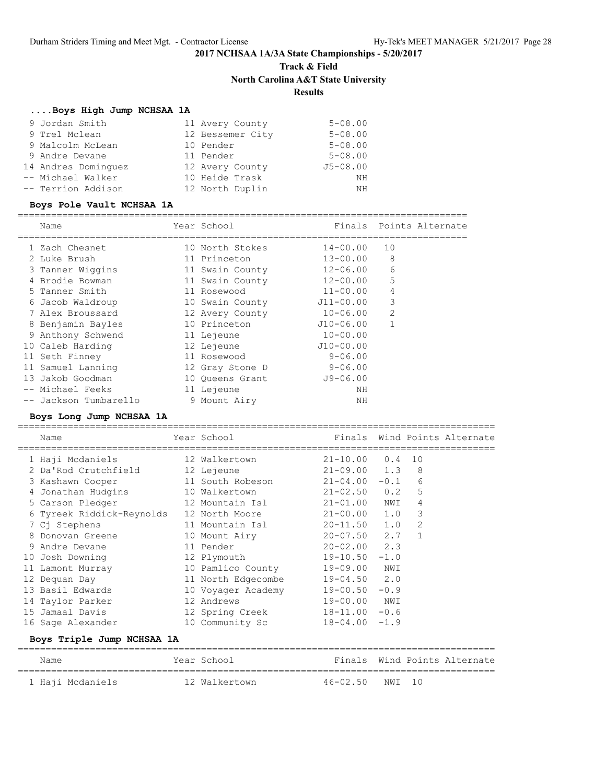**Track & Field**

**North Carolina A&T State University**

## **Results**

### **....Boys High Jump NCHSAA 1A**

| 9 Jordan Smith      | 11 Avery County  | $5 - 08.00$  |
|---------------------|------------------|--------------|
| 9 Trel Mclean       | 12 Bessemer City | $5 - 08.00$  |
| 9 Malcolm McLean    | 10 Pender        | $5 - 08.00$  |
| 9 Andre Devane      | 11 Pender        | $5 - 08.00$  |
| 14 Andres Dominguez | 12 Avery County  | $J5 - 08.00$ |
| -- Michael Walker   | 10 Heide Trask   | ΝH           |
| -- Terrion Addison  | 12 North Duplin  | ΝH           |

### **Boys Pole Vault NCHSAA 1A**

| Name                  | Year School     |              | Finals Points Alternate |
|-----------------------|-----------------|--------------|-------------------------|
| 1 Zach Chesnet        | 10 North Stokes | $14 - 00.00$ | 10                      |
| 2 Luke Brush          | 11 Princeton    | $13 - 00.00$ | 8                       |
| 3 Tanner Wiggins      | 11 Swain County | $12 - 06.00$ | 6                       |
| 4 Brodie Bowman       | 11 Swain County | 12-00.00     | 5                       |
| 5 Tanner Smith        | 11 Rosewood     | $11 - 00.00$ | 4                       |
| 6 Jacob Waldroup      | 10 Swain County | J11-00.00    | 3                       |
| 7 Alex Broussard      | 12 Avery County | $10 - 06.00$ | $\overline{2}$          |
| 8 Benjamin Bayles     | 10 Princeton    | J10-06.00    | 1                       |
| 9 Anthony Schwend     | 11 Lejeune      | $10 - 00.00$ |                         |
| 10 Caleb Harding      | 12 Lejeune      | $J10-00.00$  |                         |
| 11 Seth Finney        | 11 Rosewood     | $9 - 06.00$  |                         |
| 11 Samuel Lanning     | 12 Gray Stone D | $9 - 06.00$  |                         |
| 13 Jakob Goodman      | 10 Oueens Grant | $J9 - 06.00$ |                         |
| -- Michael Feeks      | 11 Lejeune      | ΝH           |                         |
| -- Jackson Tumbarello | 9 Mount Airy    | NΗ           |                         |

### **Boys Long Jump NCHSAA 1A**

| Name                      | Year School and the School                                                                                     |                    |     |              | Finals Wind Points Alternate |  |  |  |  |  |  |  |
|---------------------------|----------------------------------------------------------------------------------------------------------------|--------------------|-----|--------------|------------------------------|--|--|--|--|--|--|--|
| 1 Haji Mcdaniels          | 12 Walkertown                                                                                                  | $21 - 10.00$ 0.4   |     | 10           |                              |  |  |  |  |  |  |  |
| 2 Da'Rod Crutchfield      | 12 Lejeune                                                                                                     | $21 - 09.00$ 1.3 8 |     |              |                              |  |  |  |  |  |  |  |
| 3 Kashawn Cooper          | 11 South Robeson                                                                                               | $21 - 04.00 - 0.1$ |     | 6            |                              |  |  |  |  |  |  |  |
| 4 Jonathan Hudgins        | 10 Walkertown 21-02.50 0.2                                                                                     |                    |     | 5            |                              |  |  |  |  |  |  |  |
| 5 Carson Pledger          |                                                                                                                |                    |     | 4            |                              |  |  |  |  |  |  |  |
| 6 Tyreek Riddick-Reynolds | 12 North Moore 21-00.00 1.0 3                                                                                  |                    |     |              |                              |  |  |  |  |  |  |  |
| 7 Cj Stephens             | 11 Mountain Isl                                                                                                | $20 - 11.50$ 1.0   |     | 2            |                              |  |  |  |  |  |  |  |
| 8 Donovan Greene          | 10 Mount Airy                                                                                                  | $20 - 07.50$ 2.7   |     | $\mathbf{1}$ |                              |  |  |  |  |  |  |  |
| 9 Andre Devane            | 11 Pender                                                                                                      | $20 - 02.00$ 2.3   |     |              |                              |  |  |  |  |  |  |  |
| 10 Josh Downing           | 12 Plymouth and the state of the state of the state of the state of the state of the state of the state of the | $19 - 10.50 - 1.0$ |     |              |                              |  |  |  |  |  |  |  |
| 11 Lamont Murray          | 10 Pamlico County                                                                                              | 19-09.00 NWI       |     |              |                              |  |  |  |  |  |  |  |
| 12 Dequan Day             | 11 North Edgecombe                                                                                             | $19 - 04.50$ 2.0   |     |              |                              |  |  |  |  |  |  |  |
| 13 Basil Edwards          | 10 Voyager Academy                                                                                             | $19 - 00.50 - 0.9$ |     |              |                              |  |  |  |  |  |  |  |
| 14 Taylor Parker          | 12 Andrews                                                                                                     | $19 - 00.00$       | NWI |              |                              |  |  |  |  |  |  |  |
| 15 Jamaal Davis           | 12 Spring Creek                                                                                                | $18 - 11.00 - 0.6$ |     |              |                              |  |  |  |  |  |  |  |
| 16 Sage Alexander         | 10 Community Sc                                                                                                | $18 - 04.00 - 1.9$ |     |              |                              |  |  |  |  |  |  |  |
|                           |                                                                                                                |                    |     |              | Boys Triple Jump NCHSAA 1A   |  |  |  |  |  |  |  |

### ====================================================================================== Name Year School Finals Wind Points Alternate ====================================================================================== 1 Haji Mcdaniels 12 Walkertown 46-02.50 NWI 10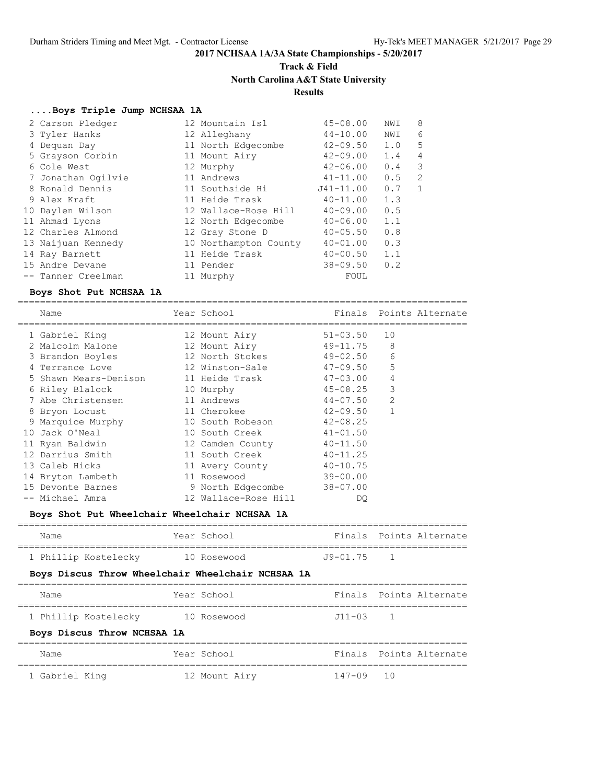## **Track & Field North Carolina A&T State University Results**

### **....Boys Triple Jump NCHSAA 1A**

| 2 Carson Pledger   | 12 Mountain Isl       | $45 - 08.00$ | NWI | 8              |
|--------------------|-----------------------|--------------|-----|----------------|
| 3 Tyler Hanks      | 12 Alleghany          | $44 - 10.00$ | NWI | 6              |
| 4 Dequan Day       | 11 North Edgecombe    | $42 - 09.50$ | 1.0 | 5              |
| 5 Grayson Corbin   | 11 Mount Airy         | $42 - 09.00$ | 1.4 | 4              |
| 6 Cole West        | 12 Murphy             | $42 - 06.00$ | 0.4 | 3              |
| 7 Jonathan Ogilvie | 11 Andrews            | $41 - 11.00$ | 0.5 | $\mathfrak{D}$ |
| 8 Ronald Dennis    | 11 Southside Hi       | J41-11.00    | 0.7 |                |
| 9 Alex Kraft       | 11 Heide Trask        | $40 - 11.00$ | 1.3 |                |
| 10 Daylen Wilson   | 12 Wallace-Rose Hill  | $40 - 09.00$ | 0.5 |                |
| 11 Ahmad Lyons     | 12 North Edgecombe    | $40 - 06.00$ | 1.1 |                |
| 12 Charles Almond  | 12 Gray Stone D       | $40 - 05.50$ | 0.8 |                |
| 13 Naijuan Kennedy | 10 Northampton County | $40 - 01.00$ | 0.3 |                |
| 14 Ray Barnett     | 11 Heide Trask        | $40 - 00.50$ | 1.1 |                |
| 15 Andre Devane    | 11 Pender             | $38 - 09.50$ | 0.2 |                |
| -- Tanner Creelman | 11 Murphy             | FOUL         |     |                |

### **Boys Shot Put NCHSAA 1A**

================================================================================= Name Year School Finals Points Alternate

| <b>IVAILL</b>         | TAMI AANAT           | --------     | TATILA ULTIMAR |
|-----------------------|----------------------|--------------|----------------|
| 1 Gabriel King        | 12 Mount Airy        | $51 - 03.50$ | 10             |
| 2 Malcolm Malone      | 12 Mount Airy        | 49-11.75     | 8              |
| 3 Brandon Boyles      | 12 North Stokes      | $49 - 02.50$ | 6              |
| 4 Terrance Love       | 12 Winston-Sale      | 47-09.50     | 5              |
| 5 Shawn Mears-Denison | 11 Heide Trask       | 47-03.00     | $\overline{4}$ |
| 6 Riley Blalock       | 10 Murphy            | 45-08.25     | 3              |
| 7 Abe Christensen     | 11 Andrews           | 44-07.50     | $\overline{2}$ |
| 8 Bryon Locust        | 11 Cherokee          | 42-09.50     | $\mathbf{1}$   |
| 9 Marquice Murphy     | 10 South Robeson     | 42-08.25     |                |
| 10 Jack O'Neal        | 10 South Creek       | $41 - 01.50$ |                |
| 11 Ryan Baldwin       | 12 Camden County     | $40 - 11.50$ |                |
| 12 Darrius Smith      | 11 South Creek       | $40 - 11.25$ |                |
| 13 Caleb Hicks        | 11 Avery County      | $40 - 10.75$ |                |
| 14 Bryton Lambeth     | 11 Rosewood          | 39-00.00     |                |
| 15 Devonte Barnes     | 9 North Edgecombe    | 38-07.00     |                |
| -- Michael Amra       | 12 Wallace-Rose Hill | DO           |                |

### **Boys Shot Put Wheelchair Wheelchair NCHSAA 1A**

| Name                 | Year School |              | Finals Points Alternate |
|----------------------|-------------|--------------|-------------------------|
| 1 Phillip Kostelecky | 10 Rosewood | $J9 - 01.75$ |                         |

### **Boys Discus Throw Wheelchair Wheelchair NCHSAA 1A**

| Name                        | Year School   |              | Finals Points Alternate |
|-----------------------------|---------------|--------------|-------------------------|
| 1 Phillip Kostelecky        | 10 Rosewood   | $J11 - 03$ 1 |                         |
| Boys Discus Throw NCHSAA 1A |               |              |                         |
| Name                        | Year School   |              | Finals Points Alternate |
| 1 Gabriel King              | 12 Mount Airy | 147-09 10    |                         |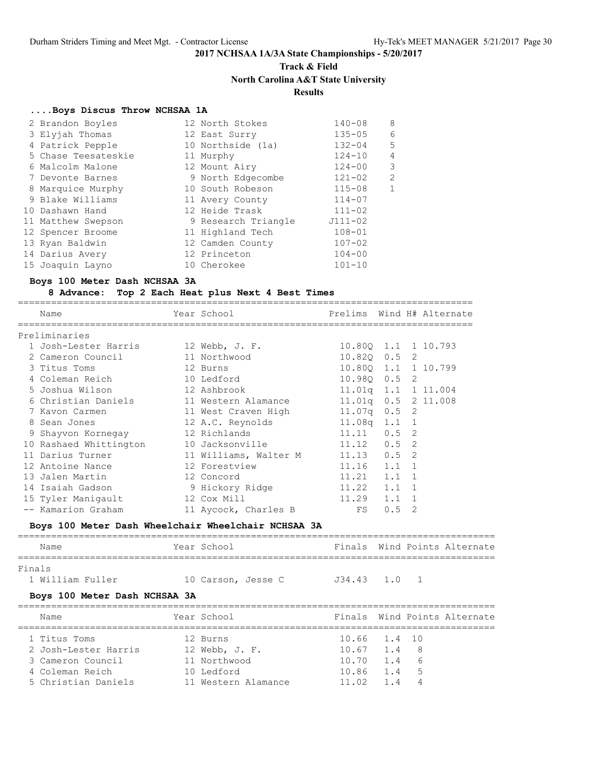## **Track & Field North Carolina A&T State University**

## **Results**

### **....Boys Discus Throw NCHSAA 1A**

| 2 Brandon Boyles    | 12 North Stokes     | $140 - 08$  | 8              |
|---------------------|---------------------|-------------|----------------|
| 3 Elyjah Thomas     | 12 East Surry       | $135 - 05$  | 6              |
| 4 Patrick Pepple    | 10 Northside (1a)   | $132 - 04$  | 5              |
| 5 Chase Teesateskie | 11 Murphy           | $124 - 10$  | 4              |
| 6 Malcolm Malone    | 12 Mount Airy       | $124 - 00$  | 3              |
| 7 Devonte Barnes    | 9 North Edgecombe   | $121 - 02$  | $\overline{2}$ |
| 8 Marquice Murphy   | 10 South Robeson    | $115 - 08$  | $\mathbf{1}$   |
| 9 Blake Williams    | 11 Avery County     | $114 - 07$  |                |
| 10 Dashawn Hand     | 12 Heide Trask      | $111 - 02$  |                |
| 11 Matthew Swepson  | 9 Research Triangle | $J111 - 02$ |                |
| 12 Spencer Broome   | 11 Highland Tech    | $108 - 01$  |                |
| 13 Ryan Baldwin     | 12 Camden County    | $107 - 02$  |                |
| 14 Darius Avery     | 12 Princeton        | $104 - 00$  |                |
| 15 Joaquin Layno    | 10 Cherokee         | $101 - 10$  |                |

### **Boys 100 Meter Dash NCHSAA 3A**

### **8 Advance: Top 2 Each Heat plus Next 4 Best Times**

================================================================================== Name Year School Prelims Wind H# Alternate ================================================================================== Preliminaries 1 Josh-Lester Harris 12 Webb, J. F. 10.80Q 1.1 1 10.793 2 Cameron Council 11 Northwood 10.82Q 0.5 2 3 Titus Toms 12 Burns 10.80Q 1.1 1 10.799 4 Coleman Reich 10 Ledford 10.98Q 0.5 2 5 Joshua Wilson 12 Ashbrook 11.01q 1.1 1 11.004 6 Christian Daniels 11 Western Alamance 11.01q 0.5 2 11.008 7 Kavon Carmen 11 West Craven High 11.07q 0.5 2 8 Sean Jones 12 A.C. Reynolds 11.08q 1.1 1 9 Shayvon Kornegay 12 Richlands 11.11 0.5 2 10 Rashaed Whittington 10 Jacksonville 11.12 0.5 2 11 Darius Turner 11 Williams, Walter M 11.13 0.5 2 12 Antoine Nance 12 Forestview 11.16 1.1 1 13 Jalen Martin 12 Concord 11.21 1.1 1 14 Isaiah Gadson 9 Hickory Ridge 11.22 1.1 1 15 Tyler Manigault 12 Cox Mill 11.29 1.1 1 -- Kamarion Graham 11 Aycock, Charles B FS 0.5 2

### **Boys 100 Meter Dash Wheelchair Wheelchair NCHSAA 3A**

| Year School                                              |                               |                                         |                                                                                                |
|----------------------------------------------------------|-------------------------------|-----------------------------------------|------------------------------------------------------------------------------------------------|
| 10 Carson, Jesse C                                       |                               |                                         |                                                                                                |
| Year School                                              |                               |                                         |                                                                                                |
| 12 Burns<br>12 Webb, J. F.<br>11 Northwood<br>10 Ledford |                               | - 8<br>6<br>5                           |                                                                                                |
|                                                          | Boys 100 Meter Dash NCHSAA 3A | $10.67$ 1.4<br>$10.70$ 1.4<br>10.86 1.4 | Finals Wind Points Alternate<br>$J34.43$ 1.0 1<br>Finals Wind Points Alternate<br>10.66 1.4 10 |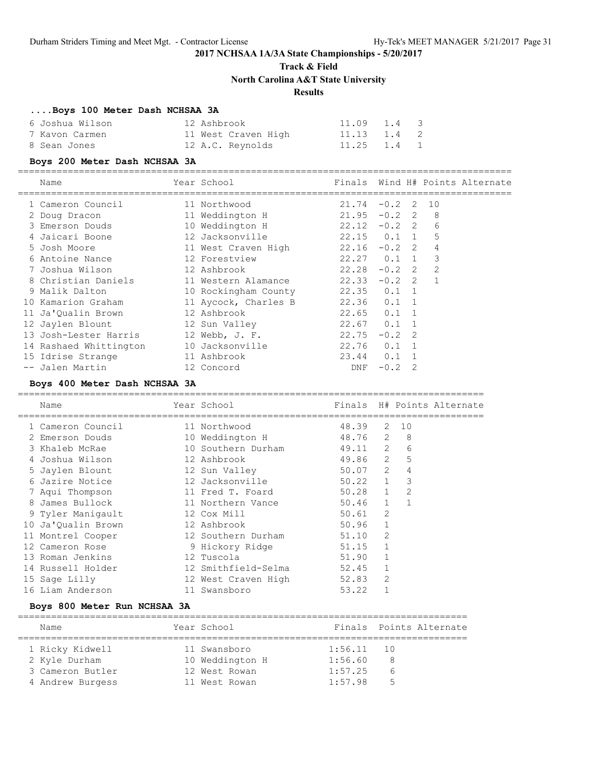**Track & Field**

**North Carolina A&T State University**

## **Results**

### **....Boys 100 Meter Dash NCHSAA 3A**

|              | 6 Joshua Wilson | 12 Ashbrook |                     | $11.09$ $1.4$ 3 |  |
|--------------|-----------------|-------------|---------------------|-----------------|--|
|              | 7 Kavon Carmen  |             | 11 West Craven High | 11.13 1.4 2     |  |
| 8 Sean Jones |                 |             | 12 A.C. Reynolds    | 11.25 1.4 1     |  |

### **Boys 200 Meter Dash NCHSAA 3A**

=========================================================================================

| Name            | √≏ar<br>- School | Wind H# Points Alternate<br>Finals |
|-----------------|------------------|------------------------------------|
|                 |                  |                                    |
| Cameron Council | Northwood        | $-0$ 2 2<br>$\overline{1}$         |

| Cameron councri        | II NUILUNUU          | 2 1 . <i>.</i> 7 | $\sqrt{2}$    | ⊥∪             |  |
|------------------------|----------------------|------------------|---------------|----------------|--|
| 2 Doug Dracon          | 11 Weddington H      | 21.95            | $-0.2$ 2      | 8              |  |
| 3 Emerson Douds        | 10 Weddington H      | $22.12 - 0.2$ 2  |               | 6              |  |
| 4 Jaicari Boone        | 12 Jacksonville      | $22.15$ 0.1 1    |               | 5              |  |
| 5 Josh Moore           | 11 West Craven High  | $22.16 - 0.2$ 2  |               | 4              |  |
| 6 Antoine Nance        | 12 Forestview        | $22.27$ 0.1 1    |               | 3              |  |
| 7 Joshua Wilson        | 12 Ashbrook          | 22.28            | $-0.2$ 2      | 2              |  |
| 8 Christian Daniels    | 11 Western Alamance  | 22.33            | $-0.2$ 2      | $\overline{1}$ |  |
| 9 Malik Dalton         | 10 Rockingham County | $22.35$ $0.1$ 1  |               |                |  |
| 10 Kamarion Graham     | 11 Aycock, Charles B | $22.36$ 0.1 1    |               |                |  |
| 11 Ja'Oualin Brown     | 12 Ashbrook          | $22.65$ 0.1 1    |               |                |  |
| 12 Jaylen Blount       | 12 Sun Valley        | $22.67$ 0.1 1    |               |                |  |
| 13 Josh-Lester Harris  | 12 Webb, J. F.       | 22.75            | $-0.2$ 2      |                |  |
| 14 Rashaed Whittington | 10 Jacksonville      | 22.76            | $0.1 \quad 1$ |                |  |
| 15 Idrise Strange      | 11 Ashbrook          | $23.44$ 0.1 1    |               |                |  |
| -- Jalen Martin        | 12 Concord           | DNF              | $-0.2$ 2      |                |  |

### **Boys 400 Meter Dash NCHSAA 3A**

| Name               | Year School         |           |                |      | Finals H# Points Alternate |
|--------------------|---------------------|-----------|----------------|------|----------------------------|
| 1 Cameron Council  | 11 Northwood        | 48.39     |                | 2 10 |                            |
| 2 Emerson Douds    | 10 Weddington H     | 48.76 2   |                | - 8  |                            |
| 3 Khaleb McRae     | 10 Southern Durham  | 49.11 2   |                | 6    |                            |
| 4 Joshua Wilson    | 12 Ashbrook         | 49.86 2   |                | 5    |                            |
| 5 Jaylen Blount    | 12 Sun Valley       | 50.07 2   |                | 4    |                            |
| 6 Jazire Notice    | 12 Jacksonville     | 50.22 1   |                | 3    |                            |
| 7 Aqui Thompson    | 11 Fred T. Foard    | $50.28$ 1 |                | 2    |                            |
| 8 James Bullock    | 11 Northern Vance   | $50.46$ 1 |                |      |                            |
| 9 Tyler Maniqault  | 12 Cox Mill         | $50.61$ 2 |                |      |                            |
| 10 Ja'Qualin Brown | 12 Ashbrook         | 50.96     | $\overline{1}$ |      |                            |
| 11 Montrel Cooper  | 12 Southern Durham  | 51.10     | 2              |      |                            |
| 12 Cameron Rose    | 9 Hickory Ridge     | 51.15     | $\mathbf{1}$   |      |                            |
| 13 Roman Jenkins   | 12 Tuscola          | 51.90     |                |      |                            |
| 14 Russell Holder  | 12 Smithfield-Selma | 52.45     |                |      |                            |
| 15 Sage Lilly      | 12 West Craven High | 52.83     | 2              |      |                            |
| 16 Liam Anderson   | 11 Swansboro        | 53.22     |                |      |                            |
|                    |                     |           |                |      |                            |

### **Boys 800 Meter Run NCHSAA 3A**

| Name             | Year School     |         | Finals Points Alternate |
|------------------|-----------------|---------|-------------------------|
|                  |                 |         |                         |
| 1 Ricky Kidwell  | 11 Swansboro    | 1:56.11 | $\overline{10}$         |
| 2 Kyle Durham    | 10 Weddington H | 1:56.60 | 8                       |
| 3 Cameron Butler | 12 West Rowan   | 1:57.25 | b                       |
| 4 Andrew Burgess | 11 West Rowan   | 1:57.98 | 5                       |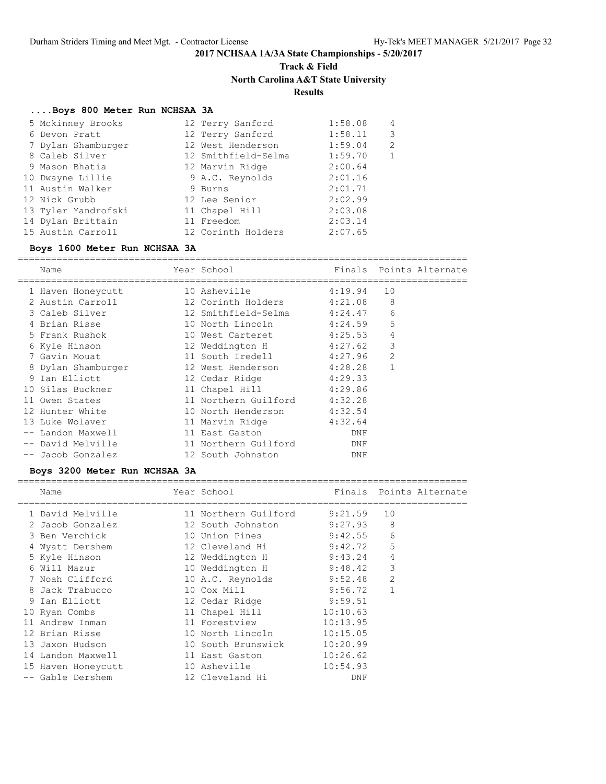## **Track & Field North Carolina A&T State University**

## **Results**

## **....Boys 800 Meter Run NCHSAA 3A**

| 5 Mckinney Brooks   | 12 Terry Sanford    | 1:58.08 | 4             |
|---------------------|---------------------|---------|---------------|
| 6 Devon Pratt       | 12 Terry Sanford    | 1:58.11 | 3             |
| 7 Dylan Shamburger  | 12 West Henderson   | 1:59.04 | $\mathcal{D}$ |
| 8 Caleb Silver      | 12 Smithfield-Selma | 1:59.70 | 1             |
| 9 Mason Bhatia      | 12 Marvin Ridge     | 2:00.64 |               |
| 10 Dwayne Lillie    | 9 A.C. Reynolds     | 2:01.16 |               |
| 11 Austin Walker    | 9 Burns             | 2:01.71 |               |
| 12 Nick Grubb       | 12 Lee Senior       | 2:02.99 |               |
| 13 Tyler Yandrofski | 11 Chapel Hill      | 2:03.08 |               |
| 14 Dylan Brittain   | 11 Freedom          | 2:03.14 |               |
| 15 Austin Carroll   | 12 Corinth Holders  | 2:07.65 |               |

### **Boys 1600 Meter Run NCHSAA 3A**

| Name               | Year School          |         |                | Finals Points Alternate |
|--------------------|----------------------|---------|----------------|-------------------------|
|                    |                      |         |                |                         |
| 1 Haven Honeycutt  | 10 Asheville         | 4:19.94 | 10             |                         |
| 2 Austin Carroll   | 12 Corinth Holders   | 4:21.08 | 8              |                         |
| 3 Caleb Silver     | 12 Smithfield-Selma  | 4:24.47 | 6              |                         |
| 4 Brian Risse      | 10 North Lincoln     | 4:24.59 | 5              |                         |
| 5 Frank Rushok     | 10 West Carteret     | 4:25.53 | 4              |                         |
| 6 Kyle Hinson      | 12 Weddington H      | 4:27.62 | 3              |                         |
| 7 Gavin Mouat      | 11 South Iredell     | 4:27.96 | $\overline{2}$ |                         |
| 8 Dylan Shamburger | 12 West Henderson    | 4:28.28 |                |                         |
| 9 Ian Elliott      | 12 Cedar Ridge       | 4:29.33 |                |                         |
| 10 Silas Buckner   | 11 Chapel Hill       | 4:29.86 |                |                         |
| 11 Owen States     | 11 Northern Guilford | 4:32.28 |                |                         |
| 12 Hunter White    | 10 North Henderson   | 4:32.54 |                |                         |
| 13 Luke Wolaver    | 11 Marvin Ridge      | 4:32.64 |                |                         |
| Landon Maxwell     | 11 East Gaston       | DNF     |                |                         |
| -- David Melville  | 11 Northern Guilford | DNF     |                |                         |
| -- Jacob Gonzalez  | 12 South Johnston    | DNF     |                |                         |

### **Boys 3200 Meter Run NCHSAA 3A**

| Name               | Year School          |          |                | Finals Points Alternate |
|--------------------|----------------------|----------|----------------|-------------------------|
| 1 David Melville   | 11 Northern Guilford | 9:21.59  | 10             |                         |
| 2 Jacob Gonzalez   | 12 South Johnston    | 9:27.93  | 8              |                         |
| 3 Ben Verchick     | 10 Union Pines       | 9:42.55  | 6              |                         |
| 4 Wyatt Dershem    | 12 Cleveland Hi      | 9:42.72  | 5              |                         |
| 5 Kyle Hinson      | 12 Weddington H      | 9:43.24  | 4              |                         |
| 6 Will Mazur       | 10 Weddington H      | 9:48.42  | 3              |                         |
| 7 Noah Clifford    | 10 A.C. Reynolds     | 9:52.48  | $\overline{2}$ |                         |
| 8 Jack Trabucco    | 10 Cox Mill          | 9:56.72  |                |                         |
| 9 Ian Elliott      | 12 Cedar Ridge       | 9:59.51  |                |                         |
| 10 Ryan Combs      | 11 Chapel Hill       | 10:10.63 |                |                         |
| 11 Andrew Inman    | 11 Forestview        | 10:13.95 |                |                         |
| 12 Brian Risse     | 10 North Lincoln     | 10:15.05 |                |                         |
| 13 Jaxon Hudson    | 10 South Brunswick   | 10:20.99 |                |                         |
| 14 Landon Maxwell  | 11 East Gaston       | 10:26.62 |                |                         |
| 15 Haven Honeycutt | 10 Asheville         | 10:54.93 |                |                         |
| -- Gable Dershem   | 12 Cleveland Hi      | DNF      |                |                         |
|                    |                      |          |                |                         |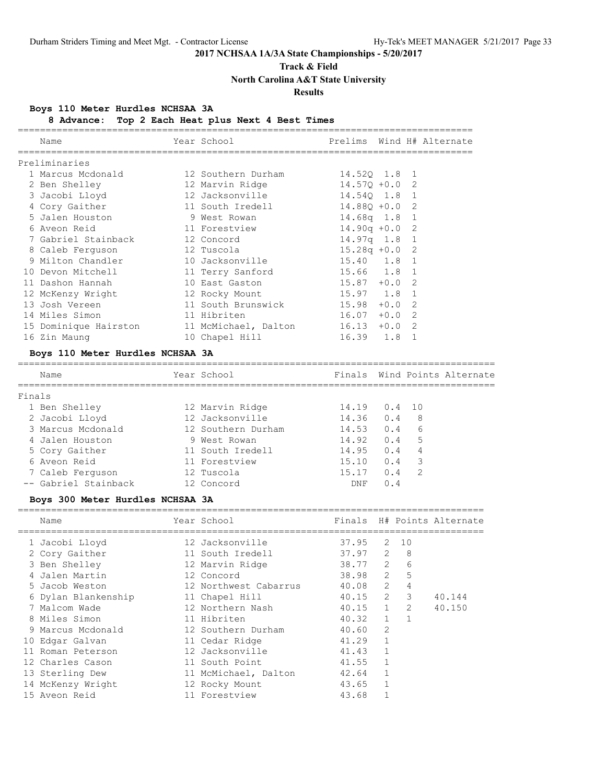## **Track & Field**

**North Carolina A&T State University**

## **Results**

## **Boys 110 Meter Hurdles NCHSAA 3A**

### **8 Advance: Top 2 Each Heat plus Next 4 Best Times**

|        | Name                             | Year School                       | Prelims Wind H# Alternate |       |                |                              |
|--------|----------------------------------|-----------------------------------|---------------------------|-------|----------------|------------------------------|
|        | Preliminaries                    |                                   |                           |       |                |                              |
|        | 1 Marcus Mcdonald                | 12 Southern Durham                | 14.520 1.8 1              |       |                |                              |
|        | 2 Ben Shelley                    | 12 Marvin Ridge                   | $14.57Q + 0.0$            |       | 2              |                              |
|        | 3 Jacobi Lloyd                   | 12 Jacksonville                   | 14.540 1.8                |       | $\mathbf 1$    |                              |
|        | 4 Cory Gaither                   | 11 South Iredell                  | $14.88Q + 0.0$            |       | 2              |                              |
|        | 5 Jalen Houston                  | 9 West Rowan                      | 14.68q 1.8                |       | $\mathbf{1}$   |                              |
|        | 6 Aveon Reid                     | 11 Forestview                     | $14.90q +0.0$             |       | $\mathbf{2}$   |                              |
|        | 7 Gabriel Stainback              | 12 Concord                        | 14.97q 1.8                |       | $\mathbf{1}$   |                              |
|        | 8 Caleb Ferguson                 | 12 Tuscola                        | $15.28q +0.0$             |       | $\overline{2}$ |                              |
|        | 9 Milton Chandler                | 10 Jacksonville                   | 15.40 1.8                 |       | $\mathbf{1}$   |                              |
|        | 10 Devon Mitchell                | 11 Terry Sanford 15.66 1.8        |                           |       | $\mathbf{1}$   |                              |
|        | 11 Dashon Hannah                 | 10 East Gaston                    | $15.87 + 0.0$             |       | $\overline{2}$ |                              |
|        | 12 McKenzy Wright                | 12 Rocky Mount                    | $15.97$ 1.8               |       | $\mathbf{1}$   |                              |
|        | 13 Josh Vereen                   | 11 South Brunswick                | $15.98 + 0.0$             |       | 2              |                              |
|        | 14 Miles Simon                   | 11 Hibriten                       | $16.07 + 0.0$             |       | 2              |                              |
|        | 15 Dominique Hairston            | 11 McMichael, Dalton 16.13 +0.0 2 |                           |       |                |                              |
|        | 16 Zin Maung                     | 10 Chapel Hill                    | 16.39 1.8                 |       | 1              |                              |
|        | Boys 110 Meter Hurdles NCHSAA 3A |                                   |                           |       |                |                              |
|        | Name                             | Year School                       |                           |       |                | Finals Wind Points Alternate |
| Finals |                                  |                                   |                           |       |                |                              |
|        | 1 Ben Shelley                    | 12 Marvin Ridge                   | 14.19                     | 0.4   | 10             |                              |
|        | 2 Jacobi Lloyd                   | 12 Jacksonville                   | 14.36                     | 0.4   | 8              |                              |
|        | 3 Marcus Mcdonald                | 12 Southern Durham 14.53          |                           | 0.46  |                |                              |
|        | 4 Jalen Houston                  | 9 West Rowan                      | 14.92                     | 0.4 5 |                |                              |
|        | 5 Cory Gaither                   | 11 South Iredell                  | 14.95                     | 0.4   | $\overline{4}$ |                              |
|        | 6 Aveon Reid                     | 11 Forestview                     | 15.10                     | 0.4   | 3              |                              |
|        | 7 Caleb Ferguson                 | 12 Tuscola                        | 15.17                     | 0.4   | $\overline{2}$ |                              |
|        | -- Gabriel Stainback             | 12 Concord                        | DNF                       | 0.4   |                |                              |

### **Boys 300 Meter Hurdles NCHSAA 3A**

| Name                | Year School           |                 |                |    | Finals H# Points Alternate |
|---------------------|-----------------------|-----------------|----------------|----|----------------------------|
| 1 Jacobi Lloyd      | 12 Jacksonville       | 37.95           | 2              | 10 |                            |
| 2 Cory Gaither      | 11 South Iredell      | 37.97           | 2              | 8  |                            |
| 3 Ben Shelley       | 12 Marvin Ridge       | 38.77 2         |                | 6  |                            |
| 4 Jalen Martin      | 12 Concord            | 38.98 2         |                | 5  |                            |
| 5 Jacob Weston      | 12 Northwest Cabarrus | 40.08 2         |                | 4  |                            |
| 6 Dylan Blankenship | 11 Chapel Hill        | $40.15$ 2       |                | 3  | 40.144                     |
| 7 Malcom Wade       | 12 Northern Nash      | $40.15$ 1       |                | 2  | 40.150                     |
| 8 Miles Simon       | 11 Hibriten           | $40.32 \quad 1$ |                |    |                            |
| 9 Marcus Mcdonald   | 12 Southern Durham    | 40.60           | $\overline{2}$ |    |                            |
| 10 Edgar Galvan     | 11 Cedar Ridge        | 41.29           |                |    |                            |
| 11 Roman Peterson   | 12 Jacksonville       | 41.43           |                |    |                            |
| 12 Charles Cason    | 11 South Point        | 41.55           |                |    |                            |
| 13 Sterling Dew     | 11 McMichael, Dalton  | 42.64           |                |    |                            |
| 14 McKenzy Wright   | 12 Rocky Mount        | 43.65           |                |    |                            |
| 15 Aveon Reid       | 11 Forestview         | 43.68           |                |    |                            |
|                     |                       |                 |                |    |                            |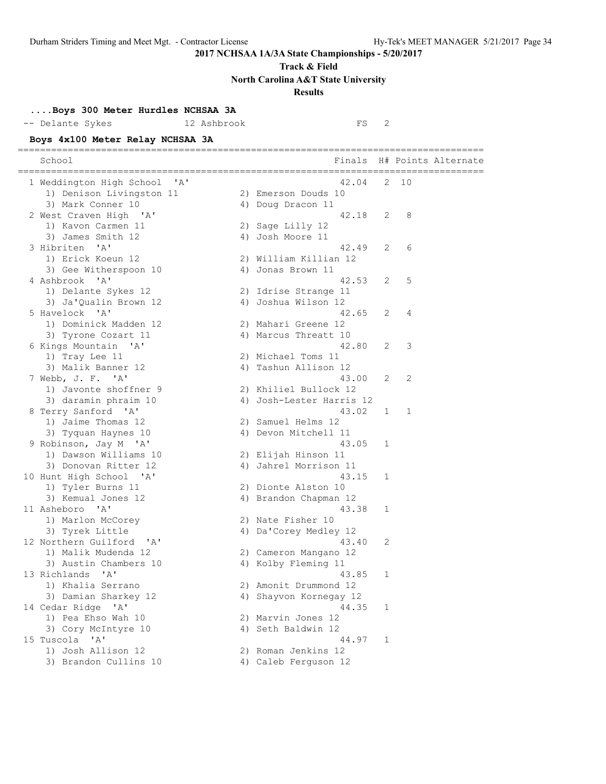**Track & Field**

**North Carolina A&T State University**

## **Results**

## **....Boys 300 Meter Hurdles NCHSAA 3A**

-- Delante Sykes 12 Ashbrook FS 2

**Boys 4x100 Meter Relay NCHSAA 3A**

| $-200 - 200$<br>-- -----                          |                          |   |    |                            |
|---------------------------------------------------|--------------------------|---|----|----------------------------|
| School                                            |                          |   |    | Finals H# Points Alternate |
| 1 Weddington High School 'A'                      | 42.04                    | 2 | 10 |                            |
| 1) Denison Livingston 11                          | 2) Emerson Douds 10      |   |    |                            |
| 3) Mark Conner 10                                 | 4) Doug Dracon 11        |   |    |                            |
| 2 West Craven High 'A'                            | 42.18                    | 2 | 8  |                            |
| 1) Kavon Carmen 11                                | 2) Sage Lilly 12         |   |    |                            |
| 3) James Smith 12                                 | 4) Josh Moore 11         |   |    |                            |
| 3 Hibriten 'A'                                    | 42.49                    | 2 | 6  |                            |
| 1) Erick Koeun 12                                 | 2) William Killian 12    |   |    |                            |
| 3) Gee Witherspoon 10                             | 4) Jonas Brown 11        |   |    |                            |
| 4 Ashbrook 'A'                                    | 42.53                    | 2 | 5  |                            |
| 1) Delante Sykes 12                               | 2) Idrise Strange 11     |   |    |                            |
| 3) Ja'Qualin Brown 12                             | 4) Joshua Wilson 12      |   |    |                            |
| 5 Havelock 'A'                                    | 42.65                    | 2 | 4  |                            |
| 1) Dominick Madden 12                             | 2) Mahari Greene 12      |   |    |                            |
| 3) Tyrone Cozart 11                               | 4) Marcus Threatt 10     |   |    |                            |
| 6 Kings Mountain 'A'                              | 42.80                    | 2 | 3  |                            |
| 1) Tray Lee 11                                    | 2) Michael Toms 11       |   |    |                            |
| 3) Malik Banner 12                                | 4) Tashun Allison 12     |   |    |                            |
| 7 Webb, J. F. 'A'                                 | 43.00                    | 2 | 2  |                            |
| 1) Javonte shoffner 9                             | 2) Khiliel Bullock 12    |   |    |                            |
| 3) daramin phraim 10                              | 4) Josh-Lester Harris 12 |   |    |                            |
| 8 Terry Sanford 'A'                               | 43.02                    | 1 | 1  |                            |
| 1) Jaime Thomas 12                                | 2) Samuel Helms 12       |   |    |                            |
| 3) Tyquan Haynes 10                               | 4) Devon Mitchell 11     |   |    |                            |
| 9 Robinson, Jay M 'A'                             | 43.05                    | 1 |    |                            |
| 1) Dawson Williams 10                             | 2) Elijah Hinson 11      |   |    |                            |
| 3) Donovan Ritter 12                              | 4) Jahrel Morrison 11    |   |    |                            |
| 10 Hunt High School 'A'                           | 43.15                    | 1 |    |                            |
| 1) Tyler Burns 11                                 | 2) Dionte Alston 10      |   |    |                            |
| 3) Kemual Jones 12                                | 4) Brandon Chapman 12    |   |    |                            |
| 11 Asheboro 'A'                                   | 43.38                    | 1 |    |                            |
| 1) Marlon McCorey                                 | 2) Nate Fisher 10        |   |    |                            |
| 3) Tyrek Little                                   | 4) Da'Corey Medley 12    |   |    |                            |
| 12 Northern Guilford<br>$^{\prime}$ A $^{\prime}$ | 43.40                    | 2 |    |                            |
| 1) Malik Mudenda 12                               | 2) Cameron Mangano 12    |   |    |                            |
| 3) Austin Chambers 10                             | 4) Kolby Fleming 11      |   |    |                            |
| 13 Richlands 'A'                                  | 43.85                    | 1 |    |                            |
| 1) Khalia Serrano                                 | 2) Amonit Drummond 12    |   |    |                            |
| 3) Damian Sharkey 12                              | 4) Shayvon Kornegay 12   |   |    |                            |
| 14 Cedar Ridge 'A'                                | 44.35                    | 1 |    |                            |
| 1) Pea Ehso Wah 10                                | 2) Marvin Jones 12       |   |    |                            |
| 3) Cory McIntyre 10                               | 4) Seth Baldwin 12       |   |    |                            |
| 15 Tuscola 'A'                                    | 44.97                    | 1 |    |                            |
| 1) Josh Allison 12                                | 2) Roman Jenkins 12      |   |    |                            |
| 3) Brandon Cullins 10                             | 4) Caleb Ferguson 12     |   |    |                            |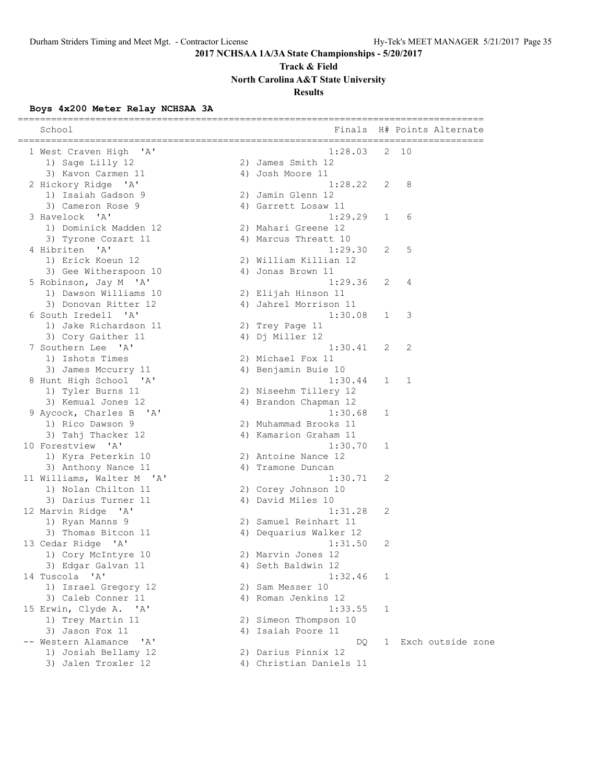**Track & Field**

**North Carolina A&T State University**

## **Results**

## **Boys 4x200 Meter Relay NCHSAA 3A**

| 1 West Craven High 'A'<br>1:28.03<br>2<br>10<br>1) Sage Lilly 12<br>2) James Smith 12<br>3) Kavon Carmen 11<br>4) Josh Moore 11<br>2 Hickory Ridge 'A'<br>1:28.22<br>2<br>8<br>1) Isaiah Gadson 9<br>2) Jamin Glenn 12<br>3) Cameron Rose 9<br>4) Garrett Losaw 11<br>3 Havelock 'A'<br>1:29.29<br>6<br>$\mathbf{1}$<br>1) Dominick Madden 12<br>2) Mahari Greene 12<br>3) Tyrone Cozart 11<br>4) Marcus Threatt 10<br>4 Hibriten 'A'<br>1:29.30<br>5<br>2<br>1) Erick Koeun 12<br>2) William Killian 12<br>3) Gee Witherspoon 10<br>4) Jonas Brown 11<br>1:29.36<br>5 Robinson, Jay M 'A'<br>2<br>4<br>1) Dawson Williams 10<br>2) Elijah Hinson 11<br>3) Donovan Ritter 12<br>4) Jahrel Morrison 11<br>1:30.08<br>6 South Iredell 'A'<br>3<br>$\mathbf{1}$<br>1) Jake Richardson 11<br>2) Trey Page 11<br>4) Dj Miller 12<br>3) Cory Gaither 11<br>7 Southern Lee 'A'<br>1:30.41<br>2<br>2<br>1) Ishots Times<br>2) Michael Fox 11<br>3) James Mccurry 11<br>4) Benjamin Buie 10<br>1:30.44<br>8 Hunt High School 'A'<br>1<br>1<br>1) Tyler Burns 11<br>2) Niseehm Tillery 12<br>3) Kemual Jones 12<br>4) Brandon Chapman 12<br>1:30.68<br>9 Aycock, Charles B 'A'<br>1<br>1) Rico Dawson 9<br>2) Muhammad Brooks 11<br>3) Tahj Thacker 12<br>4) Kamarion Graham 11<br>1:30.70<br>10 Forestview 'A'<br>1<br>2) Antoine Nance 12<br>1) Kyra Peterkin 10<br>3) Anthony Nance 11<br>4) Tramone Duncan<br>11 Williams, Walter M 'A'<br>1:30.71<br>2<br>1) Nolan Chilton 11<br>2) Corey Johnson 10<br>4) David Miles 10<br>3) Darius Turner 11<br>1:31.28<br>12 Marvin Ridge 'A'<br>2<br>1) Ryan Manns 9<br>2) Samuel Reinhart 11<br>3) Thomas Bitcon 11<br>4) Dequarius Walker 12<br>2<br>13 Cedar Ridge 'A'<br>1:31.50<br>1) Cory McIntyre 10<br>2) Marvin Jones 12<br>4) Seth Baldwin 12<br>3) Edgar Galvan 11<br>14 Tuscola 'A'<br>1:32.46<br>1<br>2) Sam Messer 10<br>1) Israel Gregory 12<br>3) Caleb Conner 11<br>4) Roman Jenkins 12<br>15 Erwin, Clyde A. 'A'<br>1:33.55<br>1<br>1) Trey Martin 11<br>2) Simeon Thompson 10<br>3) Jason Fox 11<br>4) Isaiah Poore 11<br>-- Western Alamance<br>Exch outside zone<br>$\mathsf{A}$<br>DQ.<br>$\mathbf{1}$<br>1) Josiah Bellamy 12<br>2) Darius Pinnix 12<br>3) Jalen Troxler 12<br>4) Christian Daniels 11 | School | Finals | H# Points Alternate<br>================================= |
|----------------------------------------------------------------------------------------------------------------------------------------------------------------------------------------------------------------------------------------------------------------------------------------------------------------------------------------------------------------------------------------------------------------------------------------------------------------------------------------------------------------------------------------------------------------------------------------------------------------------------------------------------------------------------------------------------------------------------------------------------------------------------------------------------------------------------------------------------------------------------------------------------------------------------------------------------------------------------------------------------------------------------------------------------------------------------------------------------------------------------------------------------------------------------------------------------------------------------------------------------------------------------------------------------------------------------------------------------------------------------------------------------------------------------------------------------------------------------------------------------------------------------------------------------------------------------------------------------------------------------------------------------------------------------------------------------------------------------------------------------------------------------------------------------------------------------------------------------------------------------------------------------------------------------------------------------------------------------------------------------------------------------------------------------------------------------------------------------------------------------------------------------------------------------------------------------------------------------------------------------------------|--------|--------|----------------------------------------------------------|
|                                                                                                                                                                                                                                                                                                                                                                                                                                                                                                                                                                                                                                                                                                                                                                                                                                                                                                                                                                                                                                                                                                                                                                                                                                                                                                                                                                                                                                                                                                                                                                                                                                                                                                                                                                                                                                                                                                                                                                                                                                                                                                                                                                                                                                                                |        |        |                                                          |
|                                                                                                                                                                                                                                                                                                                                                                                                                                                                                                                                                                                                                                                                                                                                                                                                                                                                                                                                                                                                                                                                                                                                                                                                                                                                                                                                                                                                                                                                                                                                                                                                                                                                                                                                                                                                                                                                                                                                                                                                                                                                                                                                                                                                                                                                |        |        |                                                          |
|                                                                                                                                                                                                                                                                                                                                                                                                                                                                                                                                                                                                                                                                                                                                                                                                                                                                                                                                                                                                                                                                                                                                                                                                                                                                                                                                                                                                                                                                                                                                                                                                                                                                                                                                                                                                                                                                                                                                                                                                                                                                                                                                                                                                                                                                |        |        |                                                          |
|                                                                                                                                                                                                                                                                                                                                                                                                                                                                                                                                                                                                                                                                                                                                                                                                                                                                                                                                                                                                                                                                                                                                                                                                                                                                                                                                                                                                                                                                                                                                                                                                                                                                                                                                                                                                                                                                                                                                                                                                                                                                                                                                                                                                                                                                |        |        |                                                          |
|                                                                                                                                                                                                                                                                                                                                                                                                                                                                                                                                                                                                                                                                                                                                                                                                                                                                                                                                                                                                                                                                                                                                                                                                                                                                                                                                                                                                                                                                                                                                                                                                                                                                                                                                                                                                                                                                                                                                                                                                                                                                                                                                                                                                                                                                |        |        |                                                          |
|                                                                                                                                                                                                                                                                                                                                                                                                                                                                                                                                                                                                                                                                                                                                                                                                                                                                                                                                                                                                                                                                                                                                                                                                                                                                                                                                                                                                                                                                                                                                                                                                                                                                                                                                                                                                                                                                                                                                                                                                                                                                                                                                                                                                                                                                |        |        |                                                          |
|                                                                                                                                                                                                                                                                                                                                                                                                                                                                                                                                                                                                                                                                                                                                                                                                                                                                                                                                                                                                                                                                                                                                                                                                                                                                                                                                                                                                                                                                                                                                                                                                                                                                                                                                                                                                                                                                                                                                                                                                                                                                                                                                                                                                                                                                |        |        |                                                          |
|                                                                                                                                                                                                                                                                                                                                                                                                                                                                                                                                                                                                                                                                                                                                                                                                                                                                                                                                                                                                                                                                                                                                                                                                                                                                                                                                                                                                                                                                                                                                                                                                                                                                                                                                                                                                                                                                                                                                                                                                                                                                                                                                                                                                                                                                |        |        |                                                          |
|                                                                                                                                                                                                                                                                                                                                                                                                                                                                                                                                                                                                                                                                                                                                                                                                                                                                                                                                                                                                                                                                                                                                                                                                                                                                                                                                                                                                                                                                                                                                                                                                                                                                                                                                                                                                                                                                                                                                                                                                                                                                                                                                                                                                                                                                |        |        |                                                          |
|                                                                                                                                                                                                                                                                                                                                                                                                                                                                                                                                                                                                                                                                                                                                                                                                                                                                                                                                                                                                                                                                                                                                                                                                                                                                                                                                                                                                                                                                                                                                                                                                                                                                                                                                                                                                                                                                                                                                                                                                                                                                                                                                                                                                                                                                |        |        |                                                          |
|                                                                                                                                                                                                                                                                                                                                                                                                                                                                                                                                                                                                                                                                                                                                                                                                                                                                                                                                                                                                                                                                                                                                                                                                                                                                                                                                                                                                                                                                                                                                                                                                                                                                                                                                                                                                                                                                                                                                                                                                                                                                                                                                                                                                                                                                |        |        |                                                          |
|                                                                                                                                                                                                                                                                                                                                                                                                                                                                                                                                                                                                                                                                                                                                                                                                                                                                                                                                                                                                                                                                                                                                                                                                                                                                                                                                                                                                                                                                                                                                                                                                                                                                                                                                                                                                                                                                                                                                                                                                                                                                                                                                                                                                                                                                |        |        |                                                          |
|                                                                                                                                                                                                                                                                                                                                                                                                                                                                                                                                                                                                                                                                                                                                                                                                                                                                                                                                                                                                                                                                                                                                                                                                                                                                                                                                                                                                                                                                                                                                                                                                                                                                                                                                                                                                                                                                                                                                                                                                                                                                                                                                                                                                                                                                |        |        |                                                          |
|                                                                                                                                                                                                                                                                                                                                                                                                                                                                                                                                                                                                                                                                                                                                                                                                                                                                                                                                                                                                                                                                                                                                                                                                                                                                                                                                                                                                                                                                                                                                                                                                                                                                                                                                                                                                                                                                                                                                                                                                                                                                                                                                                                                                                                                                |        |        |                                                          |
|                                                                                                                                                                                                                                                                                                                                                                                                                                                                                                                                                                                                                                                                                                                                                                                                                                                                                                                                                                                                                                                                                                                                                                                                                                                                                                                                                                                                                                                                                                                                                                                                                                                                                                                                                                                                                                                                                                                                                                                                                                                                                                                                                                                                                                                                |        |        |                                                          |
|                                                                                                                                                                                                                                                                                                                                                                                                                                                                                                                                                                                                                                                                                                                                                                                                                                                                                                                                                                                                                                                                                                                                                                                                                                                                                                                                                                                                                                                                                                                                                                                                                                                                                                                                                                                                                                                                                                                                                                                                                                                                                                                                                                                                                                                                |        |        |                                                          |
|                                                                                                                                                                                                                                                                                                                                                                                                                                                                                                                                                                                                                                                                                                                                                                                                                                                                                                                                                                                                                                                                                                                                                                                                                                                                                                                                                                                                                                                                                                                                                                                                                                                                                                                                                                                                                                                                                                                                                                                                                                                                                                                                                                                                                                                                |        |        |                                                          |
|                                                                                                                                                                                                                                                                                                                                                                                                                                                                                                                                                                                                                                                                                                                                                                                                                                                                                                                                                                                                                                                                                                                                                                                                                                                                                                                                                                                                                                                                                                                                                                                                                                                                                                                                                                                                                                                                                                                                                                                                                                                                                                                                                                                                                                                                |        |        |                                                          |
|                                                                                                                                                                                                                                                                                                                                                                                                                                                                                                                                                                                                                                                                                                                                                                                                                                                                                                                                                                                                                                                                                                                                                                                                                                                                                                                                                                                                                                                                                                                                                                                                                                                                                                                                                                                                                                                                                                                                                                                                                                                                                                                                                                                                                                                                |        |        |                                                          |
|                                                                                                                                                                                                                                                                                                                                                                                                                                                                                                                                                                                                                                                                                                                                                                                                                                                                                                                                                                                                                                                                                                                                                                                                                                                                                                                                                                                                                                                                                                                                                                                                                                                                                                                                                                                                                                                                                                                                                                                                                                                                                                                                                                                                                                                                |        |        |                                                          |
|                                                                                                                                                                                                                                                                                                                                                                                                                                                                                                                                                                                                                                                                                                                                                                                                                                                                                                                                                                                                                                                                                                                                                                                                                                                                                                                                                                                                                                                                                                                                                                                                                                                                                                                                                                                                                                                                                                                                                                                                                                                                                                                                                                                                                                                                |        |        |                                                          |
|                                                                                                                                                                                                                                                                                                                                                                                                                                                                                                                                                                                                                                                                                                                                                                                                                                                                                                                                                                                                                                                                                                                                                                                                                                                                                                                                                                                                                                                                                                                                                                                                                                                                                                                                                                                                                                                                                                                                                                                                                                                                                                                                                                                                                                                                |        |        |                                                          |
|                                                                                                                                                                                                                                                                                                                                                                                                                                                                                                                                                                                                                                                                                                                                                                                                                                                                                                                                                                                                                                                                                                                                                                                                                                                                                                                                                                                                                                                                                                                                                                                                                                                                                                                                                                                                                                                                                                                                                                                                                                                                                                                                                                                                                                                                |        |        |                                                          |
|                                                                                                                                                                                                                                                                                                                                                                                                                                                                                                                                                                                                                                                                                                                                                                                                                                                                                                                                                                                                                                                                                                                                                                                                                                                                                                                                                                                                                                                                                                                                                                                                                                                                                                                                                                                                                                                                                                                                                                                                                                                                                                                                                                                                                                                                |        |        |                                                          |
|                                                                                                                                                                                                                                                                                                                                                                                                                                                                                                                                                                                                                                                                                                                                                                                                                                                                                                                                                                                                                                                                                                                                                                                                                                                                                                                                                                                                                                                                                                                                                                                                                                                                                                                                                                                                                                                                                                                                                                                                                                                                                                                                                                                                                                                                |        |        |                                                          |
|                                                                                                                                                                                                                                                                                                                                                                                                                                                                                                                                                                                                                                                                                                                                                                                                                                                                                                                                                                                                                                                                                                                                                                                                                                                                                                                                                                                                                                                                                                                                                                                                                                                                                                                                                                                                                                                                                                                                                                                                                                                                                                                                                                                                                                                                |        |        |                                                          |
|                                                                                                                                                                                                                                                                                                                                                                                                                                                                                                                                                                                                                                                                                                                                                                                                                                                                                                                                                                                                                                                                                                                                                                                                                                                                                                                                                                                                                                                                                                                                                                                                                                                                                                                                                                                                                                                                                                                                                                                                                                                                                                                                                                                                                                                                |        |        |                                                          |
|                                                                                                                                                                                                                                                                                                                                                                                                                                                                                                                                                                                                                                                                                                                                                                                                                                                                                                                                                                                                                                                                                                                                                                                                                                                                                                                                                                                                                                                                                                                                                                                                                                                                                                                                                                                                                                                                                                                                                                                                                                                                                                                                                                                                                                                                |        |        |                                                          |
|                                                                                                                                                                                                                                                                                                                                                                                                                                                                                                                                                                                                                                                                                                                                                                                                                                                                                                                                                                                                                                                                                                                                                                                                                                                                                                                                                                                                                                                                                                                                                                                                                                                                                                                                                                                                                                                                                                                                                                                                                                                                                                                                                                                                                                                                |        |        |                                                          |
|                                                                                                                                                                                                                                                                                                                                                                                                                                                                                                                                                                                                                                                                                                                                                                                                                                                                                                                                                                                                                                                                                                                                                                                                                                                                                                                                                                                                                                                                                                                                                                                                                                                                                                                                                                                                                                                                                                                                                                                                                                                                                                                                                                                                                                                                |        |        |                                                          |
|                                                                                                                                                                                                                                                                                                                                                                                                                                                                                                                                                                                                                                                                                                                                                                                                                                                                                                                                                                                                                                                                                                                                                                                                                                                                                                                                                                                                                                                                                                                                                                                                                                                                                                                                                                                                                                                                                                                                                                                                                                                                                                                                                                                                                                                                |        |        |                                                          |
|                                                                                                                                                                                                                                                                                                                                                                                                                                                                                                                                                                                                                                                                                                                                                                                                                                                                                                                                                                                                                                                                                                                                                                                                                                                                                                                                                                                                                                                                                                                                                                                                                                                                                                                                                                                                                                                                                                                                                                                                                                                                                                                                                                                                                                                                |        |        |                                                          |
|                                                                                                                                                                                                                                                                                                                                                                                                                                                                                                                                                                                                                                                                                                                                                                                                                                                                                                                                                                                                                                                                                                                                                                                                                                                                                                                                                                                                                                                                                                                                                                                                                                                                                                                                                                                                                                                                                                                                                                                                                                                                                                                                                                                                                                                                |        |        |                                                          |
|                                                                                                                                                                                                                                                                                                                                                                                                                                                                                                                                                                                                                                                                                                                                                                                                                                                                                                                                                                                                                                                                                                                                                                                                                                                                                                                                                                                                                                                                                                                                                                                                                                                                                                                                                                                                                                                                                                                                                                                                                                                                                                                                                                                                                                                                |        |        |                                                          |
|                                                                                                                                                                                                                                                                                                                                                                                                                                                                                                                                                                                                                                                                                                                                                                                                                                                                                                                                                                                                                                                                                                                                                                                                                                                                                                                                                                                                                                                                                                                                                                                                                                                                                                                                                                                                                                                                                                                                                                                                                                                                                                                                                                                                                                                                |        |        |                                                          |
|                                                                                                                                                                                                                                                                                                                                                                                                                                                                                                                                                                                                                                                                                                                                                                                                                                                                                                                                                                                                                                                                                                                                                                                                                                                                                                                                                                                                                                                                                                                                                                                                                                                                                                                                                                                                                                                                                                                                                                                                                                                                                                                                                                                                                                                                |        |        |                                                          |
|                                                                                                                                                                                                                                                                                                                                                                                                                                                                                                                                                                                                                                                                                                                                                                                                                                                                                                                                                                                                                                                                                                                                                                                                                                                                                                                                                                                                                                                                                                                                                                                                                                                                                                                                                                                                                                                                                                                                                                                                                                                                                                                                                                                                                                                                |        |        |                                                          |
|                                                                                                                                                                                                                                                                                                                                                                                                                                                                                                                                                                                                                                                                                                                                                                                                                                                                                                                                                                                                                                                                                                                                                                                                                                                                                                                                                                                                                                                                                                                                                                                                                                                                                                                                                                                                                                                                                                                                                                                                                                                                                                                                                                                                                                                                |        |        |                                                          |
|                                                                                                                                                                                                                                                                                                                                                                                                                                                                                                                                                                                                                                                                                                                                                                                                                                                                                                                                                                                                                                                                                                                                                                                                                                                                                                                                                                                                                                                                                                                                                                                                                                                                                                                                                                                                                                                                                                                                                                                                                                                                                                                                                                                                                                                                |        |        |                                                          |
|                                                                                                                                                                                                                                                                                                                                                                                                                                                                                                                                                                                                                                                                                                                                                                                                                                                                                                                                                                                                                                                                                                                                                                                                                                                                                                                                                                                                                                                                                                                                                                                                                                                                                                                                                                                                                                                                                                                                                                                                                                                                                                                                                                                                                                                                |        |        |                                                          |
|                                                                                                                                                                                                                                                                                                                                                                                                                                                                                                                                                                                                                                                                                                                                                                                                                                                                                                                                                                                                                                                                                                                                                                                                                                                                                                                                                                                                                                                                                                                                                                                                                                                                                                                                                                                                                                                                                                                                                                                                                                                                                                                                                                                                                                                                |        |        |                                                          |
|                                                                                                                                                                                                                                                                                                                                                                                                                                                                                                                                                                                                                                                                                                                                                                                                                                                                                                                                                                                                                                                                                                                                                                                                                                                                                                                                                                                                                                                                                                                                                                                                                                                                                                                                                                                                                                                                                                                                                                                                                                                                                                                                                                                                                                                                |        |        |                                                          |
|                                                                                                                                                                                                                                                                                                                                                                                                                                                                                                                                                                                                                                                                                                                                                                                                                                                                                                                                                                                                                                                                                                                                                                                                                                                                                                                                                                                                                                                                                                                                                                                                                                                                                                                                                                                                                                                                                                                                                                                                                                                                                                                                                                                                                                                                |        |        |                                                          |
|                                                                                                                                                                                                                                                                                                                                                                                                                                                                                                                                                                                                                                                                                                                                                                                                                                                                                                                                                                                                                                                                                                                                                                                                                                                                                                                                                                                                                                                                                                                                                                                                                                                                                                                                                                                                                                                                                                                                                                                                                                                                                                                                                                                                                                                                |        |        |                                                          |
|                                                                                                                                                                                                                                                                                                                                                                                                                                                                                                                                                                                                                                                                                                                                                                                                                                                                                                                                                                                                                                                                                                                                                                                                                                                                                                                                                                                                                                                                                                                                                                                                                                                                                                                                                                                                                                                                                                                                                                                                                                                                                                                                                                                                                                                                |        |        |                                                          |
|                                                                                                                                                                                                                                                                                                                                                                                                                                                                                                                                                                                                                                                                                                                                                                                                                                                                                                                                                                                                                                                                                                                                                                                                                                                                                                                                                                                                                                                                                                                                                                                                                                                                                                                                                                                                                                                                                                                                                                                                                                                                                                                                                                                                                                                                |        |        |                                                          |
|                                                                                                                                                                                                                                                                                                                                                                                                                                                                                                                                                                                                                                                                                                                                                                                                                                                                                                                                                                                                                                                                                                                                                                                                                                                                                                                                                                                                                                                                                                                                                                                                                                                                                                                                                                                                                                                                                                                                                                                                                                                                                                                                                                                                                                                                |        |        |                                                          |
|                                                                                                                                                                                                                                                                                                                                                                                                                                                                                                                                                                                                                                                                                                                                                                                                                                                                                                                                                                                                                                                                                                                                                                                                                                                                                                                                                                                                                                                                                                                                                                                                                                                                                                                                                                                                                                                                                                                                                                                                                                                                                                                                                                                                                                                                |        |        |                                                          |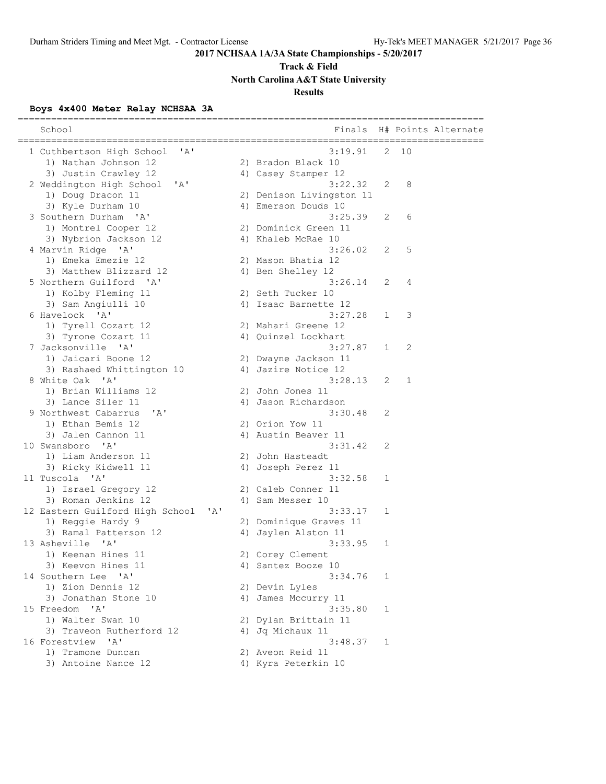## **Track & Field North Carolina A&T State University**

## **Results**

## **Boys 4x400 Meter Relay NCHSAA 3A**

| School                                          | Finals                   |              | ==================== | H# Points Alternate |
|-------------------------------------------------|--------------------------|--------------|----------------------|---------------------|
| 1 Cuthbertson High School<br>' A'               | 3:19.91                  | 2            | 10                   |                     |
| 1) Nathan Johnson 12                            | 2) Bradon Black 10       |              |                      |                     |
| 3) Justin Crawley 12                            | 4) Casey Stamper 12      |              |                      |                     |
| 'A<br>2 Weddington High School                  | 3:22.32                  | 2            | 8                    |                     |
| 1) Doug Dracon 11                               | 2) Denison Livingston 11 |              |                      |                     |
| 3) Kyle Durham 10                               | 4) Emerson Douds 10      |              |                      |                     |
| 3 Southern Durham 'A'                           | 3:25.39                  | 2            | 6                    |                     |
| 1) Montrel Cooper 12                            | 2) Dominick Green 11     |              |                      |                     |
| 3) Nybrion Jackson 12                           | 4) Khaleb McRae 10       |              |                      |                     |
| 4 Marvin Ridge 'A'                              | 3:26.02                  | 2            | 5                    |                     |
| 1) Emeka Emezie 12                              | 2) Mason Bhatia 12       |              |                      |                     |
| 3) Matthew Blizzard 12                          | 4) Ben Shelley 12        |              |                      |                     |
| 5 Northern Guilford 'A'                         | 3:26.14                  | 2            | 4                    |                     |
| 1) Kolby Fleming 11                             | 2) Seth Tucker 10        |              |                      |                     |
| 3) Sam Angiulli 10                              | 4) Isaac Barnette 12     |              |                      |                     |
| 6 Havelock 'A'                                  | 3:27.28                  | 1            | 3                    |                     |
| 1) Tyrell Cozart 12                             | 2) Mahari Greene 12      |              |                      |                     |
| 3) Tyrone Cozart 11                             | 4) Quinzel Lockhart      |              |                      |                     |
| 7 Jacksonville 'A'                              | 3:27.87                  | $\mathbf{1}$ | 2                    |                     |
| 1) Jaicari Boone 12                             | 2) Dwayne Jackson 11     |              |                      |                     |
| 3) Rashaed Whittington 10                       | 4) Jazire Notice 12      |              |                      |                     |
| 8 White Oak<br>$^{\prime}$ A $^{\prime}$        | 3:28.13                  | 2            | 1                    |                     |
| 1) Brian Williams 12                            | 2) John Jones 11         |              |                      |                     |
| 3) Lance Siler 11                               | 4) Jason Richardson      |              |                      |                     |
| 9 Northwest Cabarrus<br>' A'                    | 3:30.48                  | 2            |                      |                     |
| 1) Ethan Bemis 12                               | 2) Orion Yow 11          |              |                      |                     |
| 3) Jalen Cannon 11                              | 4) Austin Beaver 11      |              |                      |                     |
| 10 Swansboro<br>$^{\prime}$ A $^{\prime}$       | 3:31.42                  | 2            |                      |                     |
| 1) Liam Anderson 11                             | 2) John Hasteadt         |              |                      |                     |
| 3) Ricky Kidwell 11                             | 4) Joseph Perez 11       |              |                      |                     |
| 11 Tuscola 'A'                                  | 3:32.58                  | 1            |                      |                     |
| 1) Israel Gregory 12                            | 2) Caleb Conner 11       |              |                      |                     |
| 3) Roman Jenkins 12                             | 4) Sam Messer 10         |              |                      |                     |
| 12 Eastern Guilford High School<br>$\mathsf{A}$ | 3:33.17                  | 1            |                      |                     |
| 1) Reggie Hardy 9                               | 2) Dominique Graves 11   |              |                      |                     |
| 3) Ramal Patterson 12                           | 4) Jaylen Alston 11      |              |                      |                     |
| 13 Asheville<br>$\mathsf{A}$                    | 3:33.95                  | 1            |                      |                     |
| 1) Keenan Hines 11                              | 2) Corey Clement         |              |                      |                     |
| 3) Keevon Hines 11                              | 4) Santez Booze 10       |              |                      |                     |
| 14 Southern Lee 'A'                             | 3:34.76                  | 1            |                      |                     |
| 1) Zion Dennis 12                               | 2) Devin Lyles           |              |                      |                     |
| 3) Jonathan Stone 10                            | 4) James Mccurry 11      |              |                      |                     |
| 15 Freedom 'A'                                  | 3:35.80                  | 1            |                      |                     |
| 1) Walter Swan 10                               | 2) Dylan Brittain 11     |              |                      |                     |
| 3) Traveon Rutherford 12                        | 4) Jq Michaux 11         |              |                      |                     |
| $^{\prime}$ A $^{\prime}$<br>16 Forestview      | 3:48.37                  | 1            |                      |                     |
| 1) Tramone Duncan                               | 2) Aveon Reid 11         |              |                      |                     |
| 3) Antoine Nance 12                             | 4) Kyra Peterkin 10      |              |                      |                     |
|                                                 |                          |              |                      |                     |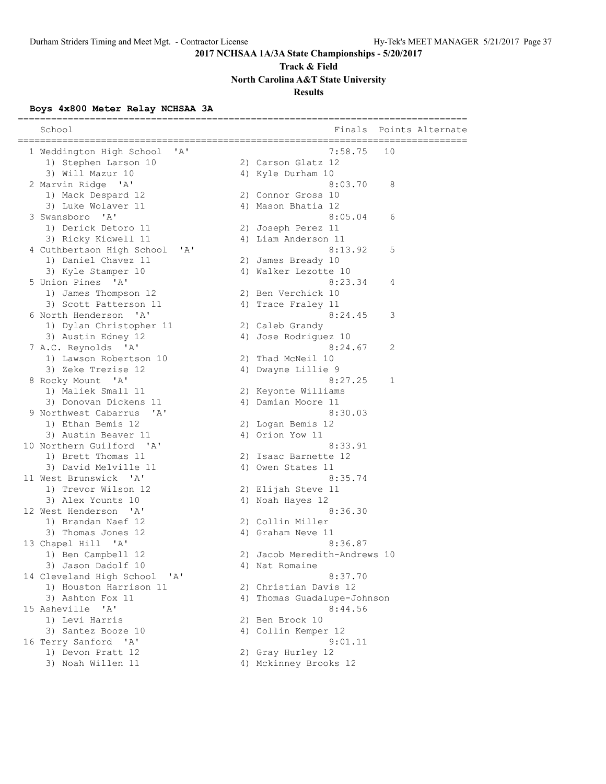## **Track & Field North Carolina A&T State University**

## **Results**

## **Boys 4x800 Meter Relay NCHSAA 3A**

| School                                                | Finals                       | Points Alternate<br>----------------- |
|-------------------------------------------------------|------------------------------|---------------------------------------|
| 1 Weddington High School<br>$^{\prime}$ A $^{\prime}$ | 7:58.75                      | 10                                    |
| 1) Stephen Larson 10                                  | 2) Carson Glatz 12           |                                       |
| 3) Will Mazur 10                                      | 4) Kyle Durham 10            |                                       |
| 2 Marvin Ridge 'A'                                    | 8:03.70                      | 8                                     |
| 1) Mack Despard 12                                    | 2) Connor Gross 10           |                                       |
| 3) Luke Wolaver 11                                    | 4) Mason Bhatia 12           |                                       |
| 3 Swansboro 'A'                                       | 8:05.04                      | 6                                     |
| 1) Derick Detoro 11                                   | 2) Joseph Perez 11           |                                       |
| 3) Ricky Kidwell 11                                   | 4) Liam Anderson 11          |                                       |
| 4 Cuthbertson High School<br>"A"                      | 8:13.92                      | 5                                     |
| 1) Daniel Chavez 11                                   | 2) James Bready 10           |                                       |
| 3) Kyle Stamper 10                                    | 4) Walker Lezotte 10         |                                       |
| 5 Union Pines 'A'                                     | 8:23.34                      | 4                                     |
| 1) James Thompson 12                                  | 2) Ben Verchick 10           |                                       |
| 3) Scott Patterson 11                                 | 4) Trace Fraley 11           |                                       |
| 6 North Henderson<br>$^{\prime}$ A $^{\prime}$        | 8:24.45                      | 3                                     |
| 1) Dylan Christopher 11                               | 2) Caleb Grandy              |                                       |
| 3) Austin Edney 12                                    | 4) Jose Rodriguez 10         |                                       |
| 7 A.C. Reynolds 'A'                                   | 8:24.67                      | 2                                     |
| 1) Lawson Robertson 10                                | 2) Thad McNeil 10            |                                       |
| 3) Zeke Trezise 12                                    | 4) Dwayne Lillie 9           |                                       |
| 8 Rocky Mount 'A'                                     | 8:27.25                      | 1                                     |
| 1) Maliek Small 11                                    | 2) Keyonte Williams          |                                       |
| 3) Donovan Dickens 11                                 | 4) Damian Moore 11           |                                       |
| 9 Northwest Cabarrus<br>' A'                          | 8:30.03                      |                                       |
| 1) Ethan Bemis 12                                     | 2) Logan Bemis 12            |                                       |
| 3) Austin Beaver 11                                   | 4) Orion Yow 11              |                                       |
| 10 Northern Guilford 'A'                              | 8:33.91                      |                                       |
| 1) Brett Thomas 11                                    | 2) Isaac Barnette 12         |                                       |
| 3) David Melville 11                                  | 4) Owen States 11            |                                       |
| 11 West Brunswick 'A'                                 | 8:35.74                      |                                       |
| 1) Trevor Wilson 12                                   | 2) Elijah Steve 11           |                                       |
| 3) Alex Younts 10                                     | 4) Noah Hayes 12             |                                       |
| 12 West Henderson<br>$^{\prime}$ A $^{\prime}$        | 8:36.30                      |                                       |
| 1) Brandan Naef 12                                    | 2) Collin Miller             |                                       |
| 3) Thomas Jones 12                                    | 4) Graham Neve 11            |                                       |
| 13 Chapel Hill 'A'                                    | 8:36.87                      |                                       |
| 1) Ben Campbell 12                                    | 2) Jacob Meredith-Andrews 10 |                                       |
| 3) Jason Dadolf 10                                    | 4) Nat Romaine               |                                       |
| 14 Cleveland High School 'A'                          | 8:37.70                      |                                       |
| 1) Houston Harrison 11                                | 2) Christian Davis 12        |                                       |
| 3) Ashton Fox 11                                      | 4) Thomas Guadalupe-Johnson  |                                       |
|                                                       |                              |                                       |
| 15 Asheville 'A'                                      | 8:44.56                      |                                       |
| 1) Levi Harris                                        | 2) Ben Brock 10              |                                       |
| 3) Santez Booze 10                                    | 4) Collin Kemper 12          |                                       |
| 16 Terry Sanford 'A'                                  | 9:01.11                      |                                       |
| 1) Devon Pratt 12                                     | 2) Gray Hurley 12            |                                       |
| 3) Noah Willen 11                                     | 4) Mckinney Brooks 12        |                                       |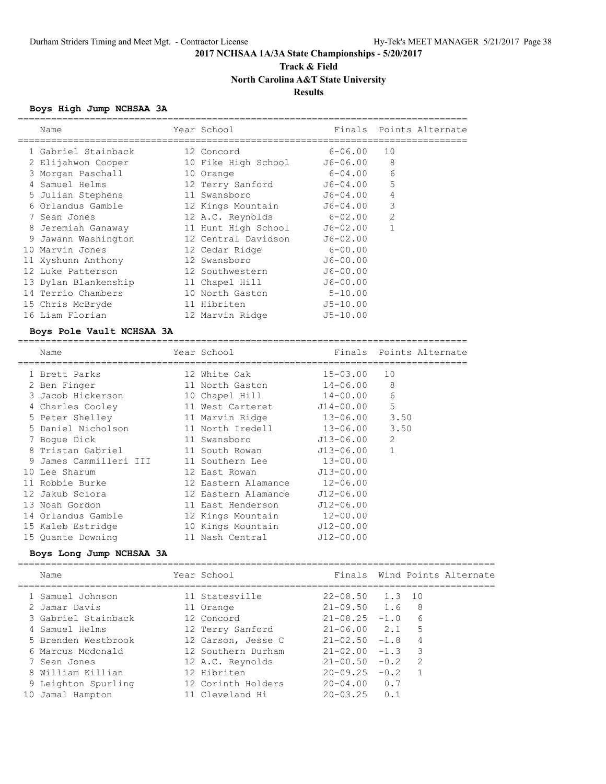## **Track & Field North Carolina A&T State University**

## **Results**

## **Boys High Jump NCHSAA 3A**

|   | Name                 | Year School         |              |                | Finals Points Alternate |
|---|----------------------|---------------------|--------------|----------------|-------------------------|
|   | 1 Gabriel Stainback  | 12 Concord          | $6 - 06.00$  | 10             |                         |
|   | 2 Elijahwon Cooper   | 10 Fike High School | J6-06.00     | 8              |                         |
|   | 3 Morgan Paschall    | 10 Orange           | 6-04.00      | 6              |                         |
| 4 | Samuel Helms         | 12 Terry Sanford    | $J6 - 04.00$ | 5              |                         |
|   | 5 Julian Stephens    | 11 Swansboro        | $J6 - 04.00$ | 4              |                         |
|   | 6 Orlandus Gamble    | 12 Kings Mountain   | J6-04.00     | 3              |                         |
|   | 7 Sean Jones         | 12 A.C. Reynolds    | $6 - 02.00$  | $\overline{2}$ |                         |
|   | 8 Jeremiah Ganaway   | 11 Hunt High School | $J6 - 02.00$ |                |                         |
|   | 9 Jawann Washington  | 12 Central Davidson | $J6 - 02.00$ |                |                         |
|   | 10 Marvin Jones      | 12 Cedar Ridge      | 6-00.00      |                |                         |
|   | 11 Xyshunn Anthony   | 12 Swansboro        | $J6 - 00.00$ |                |                         |
|   | 12 Luke Patterson    | 12 Southwestern     | $J6 - 00.00$ |                |                         |
|   | 13 Dylan Blankenship | 11 Chapel Hill      | $J6 - 00.00$ |                |                         |
|   | 14 Terrio Chambers   | 10 North Gaston     | $5 - 10.00$  |                |                         |
|   | 15 Chris McBryde     | 11 Hibriten         | $J5 - 10.00$ |                |                         |
|   | 16 Liam Florian      | 12 Marvin Ridge     | $J5 - 10.00$ |                |                         |

### **Boys Pole Vault NCHSAA 3A**

| Name                   | Year School         | Finals        | Points Alternate |
|------------------------|---------------------|---------------|------------------|
| 1 Brett Parks          | 12 White Oak        | $15 - 03.00$  | 10               |
| 2 Ben Finger           | 11 North Gaston     | $14 - 06.00$  | 8                |
| 3 Jacob Hickerson      | 10 Chapel Hill      | $14 - 00.00$  | 6                |
| 4 Charles Cooley       | 11 West Carteret    | $J14 - 00.00$ | 5                |
| 5 Peter Shelley        | 11 Marvin Ridge     | $13 - 06.00$  | 3.50             |
| 5 Daniel Nicholson     | 11 North Iredell    | 13-06.00      | 3.50             |
| 7 Boque Dick           | 11 Swansboro        | J13-06.00     | $\mathfrak{D}$   |
| 8 Tristan Gabriel      | 11 South Rowan      | $J13 - 06.00$ |                  |
| 9 James Cammilleri III | 11 Southern Lee     | $13 - 00.00$  |                  |
| 10 Lee Sharum          | 12 East Rowan       | $J13 - 00.00$ |                  |
| 11 Robbie Burke        | 12 Eastern Alamance | $12 - 06.00$  |                  |
| 12 Jakub Sciora        | 12 Eastern Alamance | $J12 - 06.00$ |                  |
| 13 Noah Gordon         | 11 East Henderson   | $J12 - 06.00$ |                  |
| 14 Orlandus Gamble     | 12 Kings Mountain   | $12 - 00.00$  |                  |
| 15 Kaleb Estridge      | 10 Kings Mountain   | $J12 - 00.00$ |                  |
| 15 Ouante Downing      | 11 Nash Central     | $J12 - 00.00$ |                  |

### **Boys Long Jump NCHSAA 3A**

|    | Name                | Year School        |                     |                         | Finals Wind Points Alternate |
|----|---------------------|--------------------|---------------------|-------------------------|------------------------------|
|    | 1 Samuel Johnson    | 11 Statesville     | $22 - 08.50$ 1.3 10 |                         |                              |
|    | 2 Jamar Davis       | 11 Orange          | $21 - 09.50$ 1.6    | - 8                     |                              |
|    | 3 Gabriel Stainback | 12 Concord         | $21 - 08.25 - 1.0$  | 6                       |                              |
|    | 4 Samuel Helms      | 12 Terry Sanford   | $21 - 06.00$ 2.1    | 5                       |                              |
|    | 5 Brenden Westbrook | 12 Carson, Jesse C | $21 - 02.50 - 1.8$  | 4                       |                              |
|    | 6 Marcus Mcdonald   | 12 Southern Durham | $21 - 02.00 - 1.3$  | $\overline{\mathbf{3}}$ |                              |
|    | 7 Sean Jones        | 12 A.C. Reynolds   | $21 - 00.50 - 0.2$  | $\mathcal{L}$           |                              |
|    | 8 William Killian   | 12 Hibriten        | $20 - 09.25 - 0.2$  |                         |                              |
|    | 9 Leighton Spurling | 12 Corinth Holders | $20 - 04.00 0.7$    |                         |                              |
| 10 | Jamal Hampton       | 11 Cleveland Hi    | $20 - 03.25$ 0.1    |                         |                              |
|    |                     |                    |                     |                         |                              |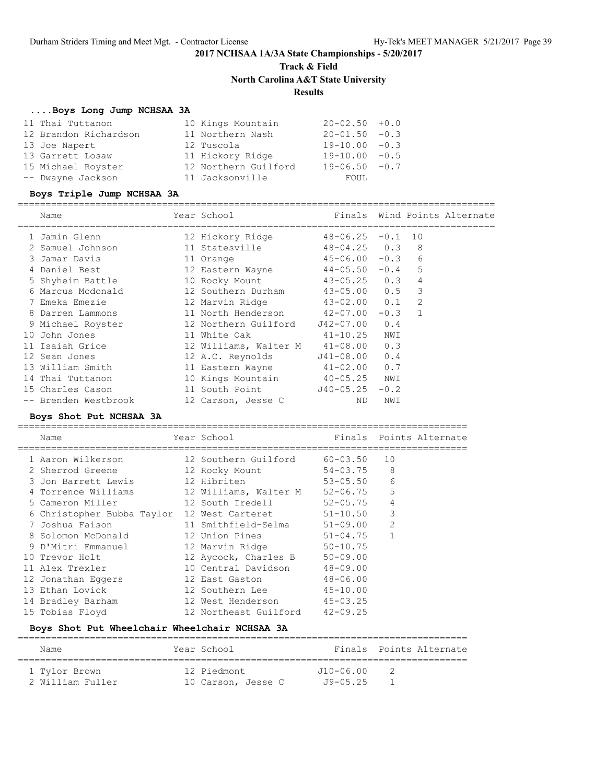**Track & Field**

**North Carolina A&T State University**

## **Results**

### **....Boys Long Jump NCHSAA 3A**

| 11 Thai Tuttanon      | 10 Kings Mountain    | $20 - 02.50 + 0.0$ |
|-----------------------|----------------------|--------------------|
| 12 Brandon Richardson | 11 Northern Nash     | $20 - 01.50 - 0.3$ |
| 13 Joe Napert         | 12 Tuscola           | $19 - 10.00 - 0.3$ |
| 13 Garrett Losaw      | 11 Hickory Ridge     | $19 - 10.00 - 0.5$ |
| 15 Michael Royster    | 12 Northern Guilford | $19 - 06.50 - 0.7$ |
| -- Dwayne Jackson     | 11 Jacksonville      | FOUL               |

### **Boys Triple Jump NCHSAA 3A**

## ======================================================================================

| Name                 | Year School                    |                    |           |                | Finals Wind Points Alternate |
|----------------------|--------------------------------|--------------------|-----------|----------------|------------------------------|
| 1 Jamin Glenn        | 12 Hickory Ridge               | $48 - 06.25$       | $-0.1$ 10 |                |                              |
| 2 Samuel Johnson     | 11 Statesville                 | $48 - 04.25$ 0.3 8 |           |                |                              |
| 3 Jamar Davis        | 11 Orange                      | $45 - 06.00 - 0.3$ |           | 6              |                              |
| 4 Daniel Best        | 12 Eastern Wayne 44-05.50 -0.4 |                    |           | 5              |                              |
| 5 Shyheim Battle     | 10 Rocky Mount 43-05.25 0.3    |                    |           | 4              |                              |
| 6 Marcus Mcdonald    | 12 Southern Durham             | $43 - 05.00$ 0.5   |           | 3              |                              |
| 7 Emeka Emezie       | 12 Marvin Ridge 43-02.00 0.1   |                    |           | 2              |                              |
| 8 Darren Lammons     | 11 North Henderson 42-07.00    |                    | $-0.3$    | $\overline{1}$ |                              |
| 9 Michael Royster    | 12 Northern Guilford           | J42-07.00          | 0.4       |                |                              |
| 10 John Jones        | 11 White Oak                   | $41 - 10.25$       | NWI       |                |                              |
| 11 Isaiah Grice      | 12 Williams, Walter M          | $41 - 08.00$ 0.3   |           |                |                              |
| 12 Sean Jones        | 12 A.C. Reynolds J41-08.00 0.4 |                    |           |                |                              |
| 13 William Smith     | 11 Eastern Wayne 41-02.00 0.7  |                    |           |                |                              |
| 14 Thai Tuttanon     | 10 Kings Mountain 40-05.25 NWI |                    |           |                |                              |
| 15 Charles Cason     | 11 South Point                 | $J40-05.25 -0.2$   |           |                |                              |
| -- Brenden Westbrook | 12 Carson, Jesse C             | ND.                | NWI       |                |                              |

## **Boys Shot Put NCHSAA 3A**

| Name                       | Year School                   |              |                | Finals Points Alternate |
|----------------------------|-------------------------------|--------------|----------------|-------------------------|
| 1 Aaron Wilkerson          | 12 Southern Guilford          | 60-03.50     | 10             |                         |
| 2 Sherrod Greene           | 12 Rocky Mount                | 54-03.75     | 8              |                         |
| 3 Jon Barrett Lewis        | 12 Hibriten                   | $53 - 05.50$ | 6              |                         |
| 4 Torrence Williams        | 12 Williams, Walter M         | 52-06.75     | 5              |                         |
| 5 Cameron Miller           | 12 South Iredell              | $52 - 05.75$ | 4              |                         |
| 6 Christopher Bubba Taylor | 12 West Carteret 51-10.50     |              | 3              |                         |
| 7 Joshua Faison            | 11 Smithfield-Selma 51-09.00  |              | $\overline{2}$ |                         |
| 8 Solomon McDonald         | 12 Union Pines                | $51 - 04.75$ | $\mathbf{1}$   |                         |
| 9 D'Mitri Emmanuel         | 12 Marvin Ridge 50-10.75      |              |                |                         |
| 10 Trevor Holt             | 12 Aycock, Charles B 50-09.00 |              |                |                         |
| 11 Alex Trexler            | 10 Central Davidson           | $48 - 09.00$ |                |                         |
| 12 Jonathan Eqqers         | 12 East Gaston                | 48-06.00     |                |                         |
| 13 Ethan Lovick            | 12 Southern Lee 45-10.00      |              |                |                         |
| 14 Bradley Barham          | 12 West Henderson 45-03.25    |              |                |                         |
| 15 Tobias Floyd            | 12 Northeast Guilford         | $42 - 09.25$ |                |                         |

## **Boys Shot Put Wheelchair Wheelchair NCHSAA 3A**

| Name             | Year School        |                   | Finals Points Alternate |
|------------------|--------------------|-------------------|-------------------------|
| 1 Tylor Brown    | 12 Piedmont        | $J10 - 06.00$     |                         |
| 2 William Fuller | 10 Carson, Jesse C | $.79 - 0.5$ . 2.5 |                         |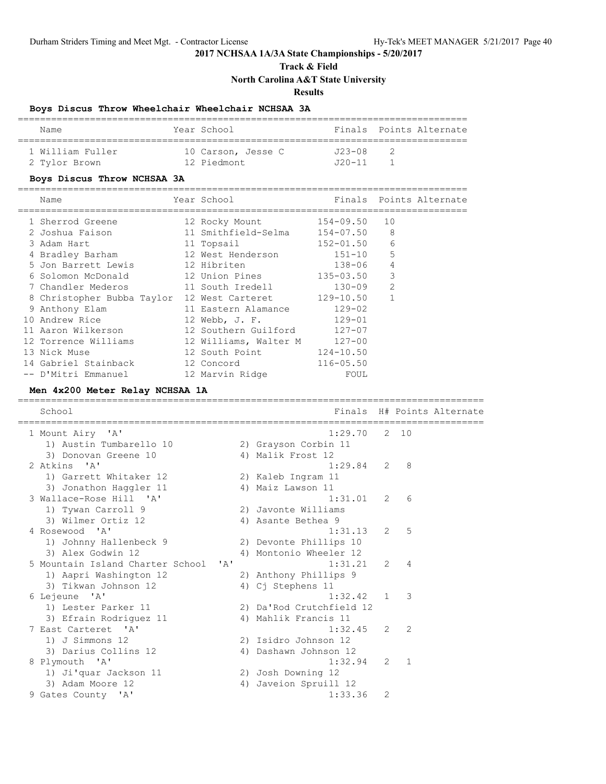## **Track & Field North Carolina A&T State University**

**Results**

## **Boys Discus Throw Wheelchair Wheelchair NCHSAA 3A**

| Name             | Year School        |            | Finals Points Alternate |
|------------------|--------------------|------------|-------------------------|
| 1 William Fuller | 10 Carson, Jesse C | $723 - 08$ |                         |
| 2 Tylor Brown    | 12 Piedmont        | 11–120.    |                         |

## **Boys Discus Throw NCHSAA 3A**

| Name                            | Year School                 |               |                | Finals Points Alternate |
|---------------------------------|-----------------------------|---------------|----------------|-------------------------|
| 1 Sherrod Greene                | 12 Rocky Mount              | 154-09.50     | 10             |                         |
| 2 Joshua Faison                 | 11 Smithfield-Selma         | 154-07.50     | 8              |                         |
| 3 Adam Hart                     | 11 Topsail                  | 152-01.50     | 6              |                         |
| 4 Bradley Barham                | 12 West Henderson           | 151-10        | 5              |                         |
| 5 Jon Barrett Lewis 12 Hibriten |                             | $138 - 06$    | $\overline{4}$ |                         |
| 6 Solomon McDonald              | 12 Union Pines              | 135-03.50     | 3              |                         |
| 7 Chandler Mederos              | 11 South Iredell            | $130 - 09$    | $\overline{2}$ |                         |
| 8 Christopher Bubba Taylor      | 12 West Carteret 129-10.50  |               | $\mathbf{1}$   |                         |
| 9 Anthony Elam                  | 11 Eastern Alamance         | $129 - 02$    |                |                         |
| 10 Andrew Rice                  | 12 Webb, J. F.              | 129-01        |                |                         |
| 11 Aaron Wilkerson              | 12 Southern Guilford 127-07 |               |                |                         |
| 12 Torrence Williams            | 12 Williams, Walter M       | $127 - 00$    |                |                         |
| 13 Nick Muse                    | 12 South Point              | $124 - 10.50$ |                |                         |
| 14 Gabriel Stainback            | 12 Concord                  | $116 - 05.50$ |                |                         |
| -- D'Mitri Emmanuel             | 12 Marvin Ridge             | FOUL          |                |                         |

## **Men 4x200 Meter Relay NCHSAA 1A**

| School                               |    |                          |               |                | Finals H# Points Alternate<br>======================= |
|--------------------------------------|----|--------------------------|---------------|----------------|-------------------------------------------------------|
| 1 Mount Airy 'A'                     |    | 1:29.70                  |               | $2 \quad 10$   |                                                       |
| 1) Austin Tumbarello 10              |    | 2) Grayson Corbin 11     |               |                |                                                       |
| 3) Donovan Greene 10                 |    | 4) Malik Frost 12        |               |                |                                                       |
| 2 Atkins 'A'                         |    | $1:29.84$ 2 8            |               |                |                                                       |
| 1) Garrett Whitaker 12               |    | 2) Kaleb Ingram 11       |               |                |                                                       |
| 3) Jonathon Haqqler 11               |    | 4) Maiz Lawson 11        |               |                |                                                       |
| 3 Wallace-Rose Hill 'A'              |    | 1:31.01                  | 2             | - 6            |                                                       |
| 1) Tywan Carroll 9                   |    | 2) Javonte Williams      |               |                |                                                       |
| 3) Wilmer Ortiz 12                   |    | 4) Asante Bethea 9       |               |                |                                                       |
| 4 Rosewood 'A'                       |    | 1:31.13                  | 2             | $5^{\circ}$    |                                                       |
| 1) Johnny Hallenbeck 9               |    | 2) Devonte Phillips 10   |               |                |                                                       |
| 3) Alex Godwin 12                    |    | 4) Montonio Wheeler 12   |               |                |                                                       |
| 5 Mountain Island Charter School 'A' |    | 1:31.21                  | 2             | $\overline{4}$ |                                                       |
| 1) Aapri Washington 12               |    | 2) Anthony Phillips 9    |               |                |                                                       |
| 3) Tikwan Johnson 12                 |    | 4) Cj Stephens 11        |               |                |                                                       |
| 6 Lejeune 'A'                        |    | 1:32.42                  | $\mathbf{1}$  | -3             |                                                       |
| 1) Lester Parker 11                  |    | 2) Da'Rod Crutchfield 12 |               |                |                                                       |
| 3) Efrain Rodriquez 11               |    | 4) Mahlik Francis 11     |               |                |                                                       |
| 7 East Carteret 'A'                  |    | 1:32.45                  | $\mathcal{L}$ | $\overline{2}$ |                                                       |
| 1) J Simmons 12                      |    | 2) Isidro Johnson 12     |               |                |                                                       |
| 3) Darius Collins 12                 |    | 4) Dashawn Johnson 12    |               |                |                                                       |
| 8 Plymouth 'A'                       |    | 1:32.94                  | 2             | $\overline{1}$ |                                                       |
| 1) Ji'quar Jackson 11                |    | 2) Josh Downing 12       |               |                |                                                       |
| 3) Adam Moore 12                     | 4) | Javeion Spruill 12       |               |                |                                                       |
| 9 Gates County 'A'                   |    | 1:33.36                  | 2             |                |                                                       |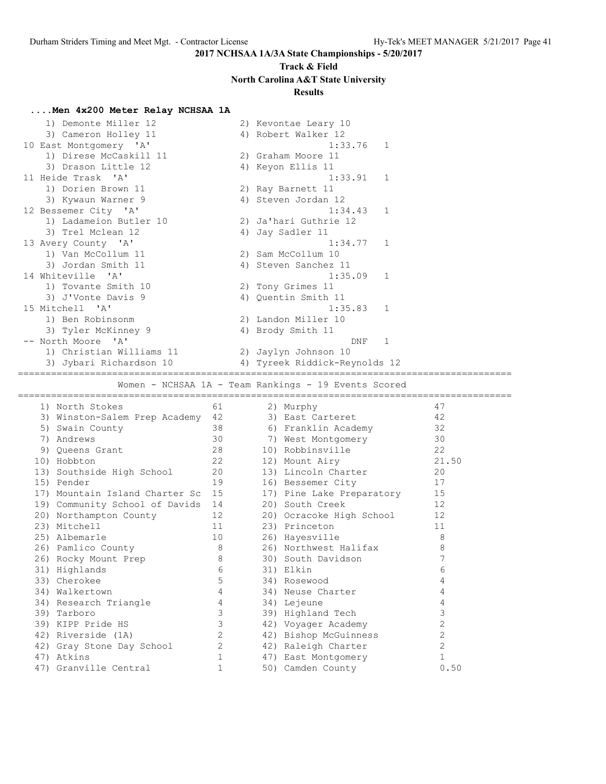## **Track & Field North Carolina A&T State University**

## **Results**

## **....Men 4x200 Meter Relay NCHSAA 1A**

| 1) Demonte Miller 12                       |             | 2) Kevontae Leary 10                                 |  |
|--------------------------------------------|-------------|------------------------------------------------------|--|
| 3) Cameron Holley 11                       |             | 4) Robert Walker 12                                  |  |
| 10 East Montgomery 'A'                     |             | 1:33.76<br>1                                         |  |
| 1) Direse McCaskill 11                     |             | 2) Graham Moore 11                                   |  |
| 3) Drason Little 12                        |             | 4) Keyon Ellis 11                                    |  |
| 11 Heide Trask 'A'                         |             | 1:33.91<br>1                                         |  |
| 1) Dorien Brown 11                         |             | 2) Ray Barnett 11                                    |  |
| 3) Kywaun Warner 9                         |             | 4) Steven Jordan 12                                  |  |
| 12 Bessemer City 'A'                       |             | 1:34.43<br>1                                         |  |
| 1) Ladameion Butler 10                     |             | 2) Ja'hari Guthrie 12                                |  |
| 3) Trel Mclean 12                          |             | 4) Jay Sadler 11                                     |  |
|                                            |             | 1                                                    |  |
| 13 Avery County 'A'                        |             | 1:34.77<br>2) Sam McCollum 10                        |  |
| 1) Van McCollum 11                         |             |                                                      |  |
| 3) Jordan Smith 11                         |             | 4) Steven Sanchez 11                                 |  |
| 14 Whiteville<br>$^{\prime}$ A $^{\prime}$ |             | 1:35.09<br>1                                         |  |
| 1) Tovante Smith 10                        |             | 2) Tony Grimes 11                                    |  |
| 3) J'Vonte Davis 9                         |             | 4) Quentin Smith 11                                  |  |
| 15 Mitchell 'A'                            |             | 1:35.83<br>1                                         |  |
| 1) Ben Robinsonm                           |             | 2) Landon Miller 10                                  |  |
| 3) Tyler McKinney 9                        |             | 4) Brody Smith 11                                    |  |
| -- North Moore 'A'                         |             | 1<br>DNF                                             |  |
| 1) Christian Williams 11                   |             | 2) Jaylyn Johnson 10                                 |  |
| 3) Jybari Richardson 10                    |             | 4) Tyreek Riddick-Reynolds 12                        |  |
|                                            |             |                                                      |  |
|                                            |             | Women - NCHSAA 1A - Team Rankings - 19 Events Scored |  |
| 1) North Stokes                            | 61          | 47<br>2) Murphy                                      |  |
| 3) Winston-Salem Prep Academy              | 42          | 42<br>3) East Carteret                               |  |
| 5) Swain County                            | 38          | 32<br>6) Franklin Academy                            |  |
| 7) Andrews                                 | 30          | 30<br>7) West Montgomery                             |  |
| 9) Queens Grant                            | 28          | 22<br>10) Robbinsville                               |  |
| 10) Hobbton                                | 22          | 21.50                                                |  |
|                                            |             | 12) Mount Airy                                       |  |
| 13) Southside High School                  | 20          | 13) Lincoln Charter<br>20                            |  |
| 15) Pender                                 | 19          | 17<br>16) Bessemer City                              |  |
| 17) Mountain Island Charter Sc             | 15          | 15<br>17) Pine Lake Preparatory                      |  |
| 19) Community School of Davids 14          |             | 12<br>20) South Creek                                |  |
| 20) Northampton County                     | 12          | 12<br>20) Ocracoke High School                       |  |
| 23) Mitchell                               | 11          | 11<br>23) Princeton                                  |  |
| 25) Albemarle                              | 10          | 8<br>26) Hayesville                                  |  |
| 26) Pamlico County                         | 8           | 26) Northwest Halifax<br>8                           |  |
| 26) Rocky Mount Prep                       | 8           | 7<br>30) South Davidson                              |  |
| 31) Highlands                              | 6           | 31) Elkin<br>6                                       |  |
| 33) Cherokee                               | 5           | 4<br>34) Rosewood                                    |  |
| 34) Walkertown                             | 4           | 34) Neuse Charter<br>4                               |  |
| 34) Research Triangle                      |             | 4                                                    |  |
| 39) Tarboro                                | 4           | 34) Lejeune                                          |  |
| 39) KIPP Pride HS                          | 3           | 3                                                    |  |
|                                            | 3           | 39) Highland Tech<br>$\mathbf{2}$                    |  |
|                                            |             | 42) Voyager Academy                                  |  |
| 42) Riverside (1A)                         | 2           | $\mathbf{2}$<br>42) Bishop McGuinness                |  |
| 42) Gray Stone Day School<br>47) Atkins    | 2<br>1      | $\mathbf{2}$<br>42) Raleigh Charter<br>$\mathbf{1}$  |  |
| 47) Granville Central                      | $\mathbf 1$ | 47) East Montgomery<br>50) Camden County<br>0.50     |  |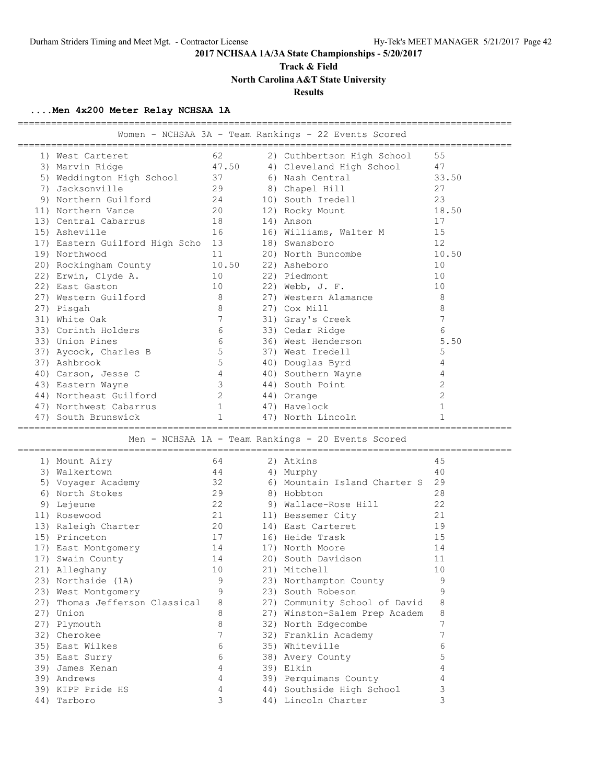**Track & Field**

**North Carolina A&T State University**

## **Results**

## **....Men 4x200 Meter Relay NCHSAA 1A**

|                                   |                |       | =============                                        |                |
|-----------------------------------|----------------|-------|------------------------------------------------------|----------------|
|                                   |                |       | Women - NCHSAA 3A - Team Rankings - 22 Events Scored |                |
|                                   |                |       |                                                      |                |
| 1) West Carteret                  | 62             |       | 2) Cuthbertson High School                           | 55             |
| 3) Marvin Ridge                   |                | 47.50 | 4) Cleveland High School                             | 47             |
| 5) Weddington High School         | 37             |       | 6) Nash Central                                      | 33.50          |
| 7) Jacksonville                   | 29             |       | 8) Chapel Hill                                       | 27             |
| 9) Northern Guilford              | 24             |       | 10) South Iredell                                    | 23             |
| 11) Northern Vance                | 20             |       | 12) Rocky Mount                                      | 18.50          |
| 13) Central Cabarrus              | 18             |       | 14) Anson                                            | 17             |
| 15) Asheville                     | 16             |       | 16) Williams, Walter M                               | 15             |
| 17) Eastern Guilford High Scho 13 |                |       | 18) Swansboro                                        | 12             |
| 19) Northwood                     | 11             |       | 20) North Buncombe                                   | 10.50          |
| 20) Rockingham County             |                | 10.50 | 22) Asheboro                                         | 10             |
| 22) Erwin, Clyde A.               | 10             |       | 22) Piedmont                                         | 10             |
| 22) East Gaston                   | 10             |       | 22) Webb, J. F.                                      | 10             |
| 27) Western Guilford              | 8              |       | 27) Western Alamance                                 | 8              |
| 27) Pisgah                        | 8              |       | 27) Cox Mill                                         | 8              |
| 31) White Oak                     | 7              |       | 31) Gray's Creek                                     | 7              |
| 33) Corinth Holders               | 6              |       | 33) Cedar Ridge                                      | 6              |
| 33) Union Pines                   | 6              |       | 36) West Henderson                                   | 5.50           |
| 37) Aycock, Charles B             | 5              |       | 37) West Iredell                                     | 5              |
| 37) Ashbrook                      | 5              |       | 40) Douglas Byrd                                     | 4              |
| 40) Carson, Jesse C               | 4              |       | 40) Southern Wayne                                   | 4              |
| 43) Eastern Wayne                 | 3              |       | 44) South Point                                      | $\overline{2}$ |
| 44) Northeast Guilford            | $\overline{2}$ |       | 44) Orange                                           | $\overline{2}$ |
| 47) Northwest Cabarrus            | $\mathbf{1}$   |       | 47) Havelock                                         | $\mathbf{1}$   |
| 47) South Brunswick               | $\mathbf{1}$   |       | 47) North Lincoln                                    | 1              |
|                                   |                |       |                                                      |                |
|                                   |                |       | Men - NCHSAA 1A - Team Rankings - 20 Events Scored   |                |
|                                   |                |       |                                                      |                |
| 1) Mount Airy                     | 64             |       | 2) Atkins                                            | 45             |
| 3) Walkertown                     | 44             |       | 4) Murphy                                            | 40             |
| 5) Voyager Academy                | 32             |       | 6) Mountain Island Charter S                         | 29             |
| 6) North Stokes                   | 29             |       | 8) Hobbton                                           | 28             |
| 9) Lejeune                        | 22             |       | 9) Wallace-Rose Hill                                 | 22             |
| 11) Rosewood                      | 21             |       | 11) Bessemer City                                    | 21             |
| 13) Raleigh Charter               | 20             |       | 14) East Carteret                                    | 19             |
| 15) Princeton                     | 17             |       | 16) Heide Trask                                      | 15             |
| 17) East Montgomery               | 14             |       | 17) North Moore                                      | 14             |
| 17) Swain County                  | 14             |       | 20) South Davidson                                   | 11             |
| 21) Alleghany                     | 10             |       | 21) Mitchell                                         | 10             |
| 23) Northside (1A)                | 9              |       | 23) Northampton County                               | 9              |
| 23) West Montgomery               | 9              |       | 23) South Robeson                                    | 9              |
| 27) Thomas Jefferson Classical    | 8              |       | 27) Community School of David                        | 8              |
| 27) Union                         | 8              |       | 27) Winston-Salem Prep Academ                        | 8              |
| 27) Plymouth                      | 8              |       | 32) North Edgecombe                                  | 7              |
| 32) Cherokee                      | 7              |       | 32) Franklin Academy                                 | 7              |
| 35) East Wilkes                   | 6              |       | 35) Whiteville                                       | 6              |
| 35) East Surry                    | 6              |       | 38) Avery County                                     | 5              |
| 39) James Kenan                   | 4              |       | 39) Elkin                                            | 4              |
| 39) Andrews                       | 4              |       | 39) Perquimans County                                | 4              |
| 39) KIPP Pride HS                 | $\overline{4}$ |       | 44) Southside High School                            | 3              |
| 44) Tarboro                       | 3              |       | 44) Lincoln Charter                                  | 3              |